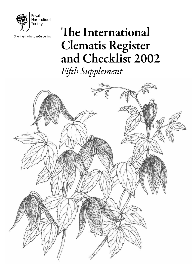

Sharing the best in Gardening

# The International Clematis Register and Checklist 2002 *Fifth Supplement*

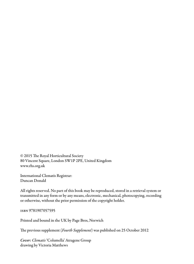© 2015 The Royal Horticultural Society 80 Vincent Square, London SW1P 2PE, United Kingdom www.rhs.org.uk

International Clematis Registrar: Duncan Donald

All rights reserved. No part of this book may be reproduced, stored in a retrieval system or transmitted in any form or by any means, electronic, mechanical, photocopying, recording or otherwise, without the prior permission of the copyright holder.

isbn 9781907057595

Printed and bound in the UK by Page Bros, Norwich

The previous supplement (*Fourth Supplement*) was published on 25 October 2012

*Cover: Clematis* 'Columella' Atragene Group drawing by Victoria Matthews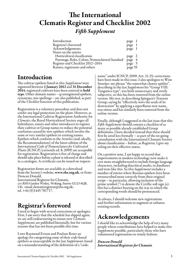## The International Clematis Register and Checklist 2002 *Fifth Supplement*

| Introduction                                     | page 1  |  |
|--------------------------------------------------|---------|--|
| Registrar's foreword                             | page 1  |  |
| Acknowledgements                                 | page 1  |  |
| Notes on the entries                             |         |  |
| Horticultural classification                     | page 2  |  |
| Parentage, Roles, Colour, Nomenclatural Standard | page 4  |  |
| Register and Checklist 2012-2014                 | page 5  |  |
| Raisers, registrants and others                  | page 55 |  |
|                                                  |         |  |

### Introduction

The cultivar epithets listed in this *Supplement* were registered between 1 January 2012 and 31 December 2014; registered cultivars have been entered in **bold** type. Other clematis names – *eg* unregistered epithets, synonyms, mis-spellings – are also published, as part of the *Checklist* function of this publication.

Registration is a voluntary procedure and does not confer any legal protection on the plant. However, as the International Cultivar Registration Authority for *Clematis*, the Royal Horticultural Society urges all hybridizers, raisers and other introducers to register their cultivar or Group names to reduce the potential confusion caused by new epithets which involve the same or very similar epithets to existing names. Epithets which conform to the Articles (and, ideally, the Recommendations) of the latest edition of the *International Code of Nomenclature for Cultivated Plants* [ICNCP] (currently ed. 8, 2009) are acceptable for registration. Registration is free of charge and should take place before a plant is released or described in a catalogue. A certificate can be issued on request.

Registration forms are available as a download from the Society's website, www.rhs.org.uk, or from: Duncan Donald,

International Registrar for Clematis, c/o RHS Garden Wisley, Woking, Surrey GU23 6QB, UK; email clematisregistrar@rhs.org.uk; tel. +44 (0)1445 781717.

### Registrar's foreword

I need to begin with several corrections or apologies. First, I am sorry that the schedule has slipped again; we are still endeavouring to ensure new *Clematis Supplements* are published biennially, but for various reasons that has not been possible this time.

I owe Raymond Evison and Poulsen Roser an apology for categorising some of their code-based epithets as unacceptable in the last *Supplement*, based on a misunderstanding of the definition of a "codename" under ICNCP, 2009: Art. 21.25; corrections have been made in this issue. I also apologize to Wim Snoeijer: my phrase "the somewhat clumsy epithet", describing in the last *Supplement* his "Group VIII: Tangutica type", was both unnecessary and overly subjective, so this has been removed from the online version. My text, in describing Spingarn's Texensis Group, saying he "effectively sows the seeds of its destruction" by applying a superfluous new name, was otiose and has similarly been removed from the online version.

Finally, although I suggested in the last issue that this *Fifth Supplement* should contain a checklist of as many as possible already established Group definitions, I have decided instead that these should first be aired less formally – as part of the on-going consultation with the International Clematis Society about classification – before, as Registrar, I give my ruling on their effective status.

On a positive note, I am happy to record that improvements in modern technology now make it ever more straightforward to include foreign language characters, including diacritical marks, in databases and texts like this. So this *Supplement* includes a number of entries where Russian epithets have been retranscribed more correctly from their original script – in particular, allowing inclusion of the prime symbol (′) to denote the Cyrillic soft sign (ь): this has a distinct bearing on the way in which the corresponding words should be pronounced.

As always, I should welcome new registrations and further information to augment or enhance existing records.

### Acknowledgements

I should like to acknowledge the help of very many people whose contributions have helped to make this *Supplement* possible, particularly those who have volunteered registrations in timely fashion.

*Duncan Donald International Registrar for* Clematis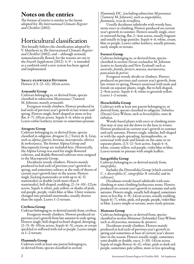### Notes on the entries

The format of entries is similar to the layout adopted for *The International Clematis Register and Checklist* (2002).

### Horticultural classification

This broadly follows the classification adopted by V. Matthews in *The International Clematis Register and Checklist* (2002), and – although seriously nomenclaturally flawed, for the reasons set out in the *Fourth Supplement* (2012): 4–9 – is intended as a yardstick until a new system has been agreed and implemented.

### Small-flowered Division

Flowers  $(1.5-)2-12(-18)$ cm across

#### Armandii Group

Cultivars belonging to, or derived from, species classified in subsection *Meyenianae* (Tamura) M. Johnson, mainly *armandii*.

Evergreen woody climbers. Flowers produced in leaf-axils of previous year's growth in late winter and spring. Flowers single, bowl-shaped or more or less flat,  $4-7(-10)$ cm across. Sepals  $4-6$ , white or pink. Leaves rather leathery, ternate or sometimes pinnate.

#### Atragene Group

Cultivars belonging to, or derived from, species classified in subgenus *Atragene* (L.) Torrey & A. Gray, such as *alpina*, *fauriei*, *koreana*, *macropetala*, *sibirica* & *turkestanica*. The former Alpina Group and Macropetala Group are included here. Historically, the Alpina Group was used for single-flowered cultivars, and double-flowered cultivars were assigned to the Macropetala Group.

Deciduous woody climbers. Flowers mainly produced in leaf-axils of previous year's growth in spring, and sometimes solitary at the ends of shoots of current year's growth later in the season. Flowers single (lacking staminodes or with up to  $4(-5)$ ) staminodes) or double (with more than 6 staminodes), bell-shaped, nodding, (2–)4–10(–12)cm across. Sepals 4, white, pale yellow, or shades of pink, red-purple, purple, violet-blue or blue. Outer stamens changed into petaloid staminodes, usually shorter than the sepals. Leaves 1–2-ternate.

### Cirrhosa Group

Cultivars belonging to, or derived mainly from, *cirrhosa*.

Evergreen woody climbers. Flowers produced on previous year's growth from late autumn to early spring. Flowers single, bell-shaped to bowl-shaped, drooping,  $(2-)$ 5–8(–10)cm across. Sepals 4(–5), cream, or cream speckled or suffused with red or purple. Leaves simple or 1–2-ternate.

### Flammula Group

Cultivars with at least one parent belonging to, or derived from, species classified in section

*Flammula* DC. (excluding subsection *Meyenianae* (Tamura) M. Johnson), such as *angustifolia*,

Usually deciduous subshrubs with woody base, stems erect or climbing. Flowers produced on current year's growth in summer. Flowers usually single, erect or outward-facing, flat, 2–4cm across, usually fragrant and usually in large panicles. Sepals 4–6, white, cream, blue or purple. Leaves rather leathery, usually pinnate, rarely simple or ternate.

#### Forsteri Group

Cultivars belonging to, or derived from, species classified in section *Novae*-*zeelandiae* M. Johnson (native to Australia and New Zealand) such as *australis*, *foetida*, *forsteri*, *marata*, *marmoraria*, *paniculata* & *petriei*.

Evergreen woody shrubs or climbers. Flowers produced on previous and current year's growth, from late winter to spring. Flowers unisexual with male and female on separate plants, single, flat to bell-shaped, 2–9cm across. Sepals 4–8, white to greenish yellow. Leaves 1–2-ternate.

### Heracleifolia Group

Cultivars with at least one parent belonging to, or derived from, species classified in subgenus *Tubulosa* (Decne) Grey-Wilson, such as *heracleifolia*, *stans* &

Woody-based plants with erect or climbing stems that may or may not die down to the base in winter. Flowers produced on current year's growth in summer and early autumn. Flowers single, tubular, bell-shaped or with the sepals spreading, hermaphrodite, or unisexual with male and female on the same or on separate plants, (1.5–)2–5cm across. Sepals 4–6, white, creamy yellow, red-purple, violet-blue or blue. Leaves ternate or pinnate with simple leaflets.

### Integrifolia Group

Cultivars belonging to, or derived mainly from,

*integrifolia*. Includes the Diversifolia Group (which covered  $C \times$  *diversifolia* (*C. integrifolia*  $\times$  *viticella*) and its cultivars).

Deciduous woody-based subshrubs with nonclimbing or semi-climbing herbaceous stems. Flowers produced on current year's growth in summer and early autumn. Flowers single, usually bell-shaped, sometimes more or less flat,  $4-\frac{9}{-14}$ cm across, usually nodding. Sepals 4(–7), white, pink, red-purple, purple, violet-blue or blue. Leaves simple or ternate, more rarely pinnate.

#### Montana Group

Cultivars belonging to, or derived from, species classified in section *Montanae* (Schneider) Grey-Wilson such as *chrysocoma*, *montana* & *spooneri*.

Deciduous woody climbers. Flowers mainly produced in leaf-axils of previous year's growth in spring and sometimes at base of current year's shoots later in the season. Flowers usually single, sometimes semi-double or double, erect,  $3-10(-14)$ cm across. Sepals of single flowers 4(–6), white, pink to dark redpurple, sometimes pale yellow, more or less spreading.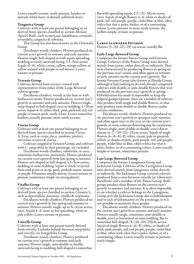Leaves usually ternate, rarely pinnate, hairless to sparsely white-hairy or densely yellowish-hairy.

#### Tangutica Group

Cultivars with at least one parent belonging to, or derived from, species classified in section *Meclatis* (Spach) Baill., such as *intricata*, *ladakhiana*, *orientalis*, *serratifolia*, *tangutica* & *tibetana*. This Group has also been known as the Orientalis

Group.

Deciduous woody climbers. Flowers produced on current year's growth in summer and early autumn. Flowers single, bell-shaped or with sepals spreading, nodding or rarely outward-facing, 2.5–9cm across. Sepals 4(–6), white, cream, yellow, orange-yellow, or yellow stained with purple or red-brown. Leaves ternate or pinnate.

#### Texensis Group

Cultivars derived from *texensis* crossed with representatives from either of the Large-flowered cultivar-groups.

Deciduous climbers, woody at the base or with herbaceous stems. Flowers produced on current year's growth in summer and early autumn. Flowers single, tulip-shaped to bell-shaped, erect to nodding, 4–10cm across. Sepals 4–6, rather thick, pink, pink-red, red, redpurple or mauve-pink, rarely white. Leaves somewhat leathery, usually pinnate, more rarely ternate.

#### Viorna Group

Cultivars with at least one parent belonging to, or derived from, species classified in section *Viorna* A. Gray, such as *crispa*, *fusca*, *ianthina*, *pitcheri*, *reticulata*, *texensis* & *viorna*. Cultivars assigned to Texensis Group, and cultivars

with *C*. *integrifolia* in their parentage, are excluded.

Deciduous woody climbers, subshrubs, or erect, sometimes herbaceous, perennials. Flowers produced on current year's growth from late spring to autumn. Flowers urn-shaped or bell-shaped, 1.5–5cm across, nodding or semi-nodding. Sepals 4, thick, recurved from mid-point or at tip, pink, pinkish mauve, mauve or purple. Filaments usually downy. Leaves ternate to pinnate (sometimes simple on young plants).

#### Vitalba Group

Cultivars with at least one parent belonging to, or derived from, species classified in section *Clematis* L., such as *ligusticifolia*, *potaninii*, *vitalba* & *virginiana*.

Deciduous woody climbers. Flowers produced on current year's growth in late spring and summer to autumn. Flowers usually single, up to  $5(-6)$ cm across, erect. Sepals 4–6, more or less spreading, white to pale yellow. Leaves ternate or pinnate.

#### Viticella Group

Cultivars with at least one parent mainly derived from *viticella*. Excludes hybrids between *integrifolia* and *viticella*: see Integrifolia Group.

Deciduous woody climbers. Flowers produced on current year's growth in summer and early autumn. Flowers single, semi-double or double, outward-facing to nodding, bell-shaped to somewhat flat with spreading sepals,  $2.5-12(-18)$ cm across, erect. Sepals of single flowers 4–6, white or shades of pink, red, red-purple, purple, violet-blue or blue, often with a bar that is paler, darker, or of a contrasting colour. Leaves pinnate or more rarely ternate, the leaflets simple, ternate or pinnate.

#### Large-flowered Division

Flowers  $(5-)10-22(-29)$  cm across, usually flat

#### Early Large-flowered Group

Comprises the former Patens Group and Fortunei Group. Cultivars of the Patens Group were derived mainly from *patens*, either directly or indirectly. They were characterized by producing flowers in spring on the previous year's wood, and often again in summer or early autumn on the current year's growth. The former Fortunei Group (also known as Florida Group, although it had nothing to do with *florida*) comprised cultivars with double or semi-double flowers that were produced on the previous year's growth in spring. Hybridization has made it impossible to keep the original groups separate: there are a number of cultivars that produce both single and double flowers, or that only produce semi-double or double flowers under certain conditions.

Deciduous woody climbers. Flowers produced on the previous year's growth in spring or early summer, and often again later in the year on the current year's growth; in some cultivars flowering may be continuous. Flowers single, semi-double or double, erect, flat or almost so,  $(7-)10-22(-25)$ cm across. Sepals of single flowers  $(4-)6-8(-9)$ , white, cream, pale or greenish yellow, or shades of pink, pink-purple, red, red-purple, purple, violet-blue or blue, often with a bar that is paler, darker, or of a contrasting colour. Leaves usually simple or ternate, sometimes pinnate

#### Late Large-flowered Group

Comprises the former Lanuginosa Group and Jackmanii Group. Cultivars of the Lanuginosa Group were derived mainly from *lanuginosa*, either directly or indirectly. The Jackmanii Group covered cultivars produced from a cross between *viticella* (or a derivative therefrom) and a member of the Patens Group. Both groups produce their flowers on the current year's growth in summer and autumn. It is often impossible to say whether a cultivar belongs to the Lanuginosa Group or to the Jackmanii Group, due to hybridization and/or lack of information on the parentage, so it is not possible to maintain these groups.

Deciduous woody climbers. Flowers produced on the current year's growth in summer and early autumn. Flowers usually single, sometimes semi-double or double, erect to horizontal or semi-nodding, flat to somewhat bell-shaped, (5–)10–20(–29)cm across. Sepals of single flowers  $4-6(-8)$ , white, or shades of pink, pink-purple, red, red-purple, purple, violet-blue or blue, often with a bar that is paler, darker, or of a contrasting colour. Leaves usually ternate or pinnate, rarely simple.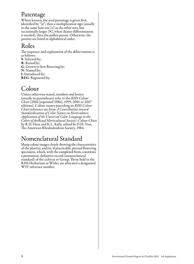### Parentage

Where known, the seed parentage is given first, identified by "(s)"; then a multiplication sign (usually in the same font size  $[x]$  as the other text, but occasionally larger [×], when clearer differentiation is needed); then the pollen parent. Otherwise, the parents are listed in alphabetical order.

### Roles

The sequence and explanation of the abbreviations is as follows: S: Selected by; R: Raised by; G: Grown to first flowering by; N: Named by; I: Introduced by; REG: Registered by.

### Colour

Unless otherwise stated, numbers and letters (usually in parentheses) refer to the *RHS Colour Chart* (1966 [reprinted 1986], 1995, 2001 or 2007 editions). Colour names preceding an *RHS Colour Chart* reference are from *A Contribution toward Standardization of Color Names in Horticulture*: *Application of the Universal Color Language to the Colors of theRoyal Horticultural Society's Colour Chart* by R.D. Huse and K.L. Kelly, edited by D.H. Voss, The American Rhododendron Society, 1984.

## Nomenclatural Standard

Sharp colour images clearly showing the characteristics of the plant(s), and/or, if practicable, pressed flowering specimens, which, with the completed form, constitute a permanent, definitive record (nomenclatural standard) of the cultivar or Group. Those held in the RHS Herbarium at Wisley are allocated a designated WSY reference number.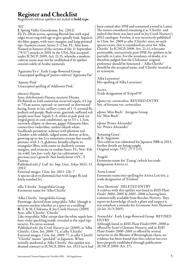### Register and Checklist

Registered cultivar epithets are styled in **bold type**.

#### $'$ 011'

I: Spring Valley Greenhouse, Inc. (2012) Fls 15–20cm across, opening flattish but with sepal edges recurving with age to give spindly look. Sepals 6, sky-blue, gappy, with wavy margins and long-pointed tips. Stamens cream. Stems 2–2.5m. FL: May-June. Named in honour of the victims of the 11 September ["9/11"] attacks in 2001 in the USA. Not accepted under ICNCP, 2009: Art. 21.15, whereby a modern cultivar name may not be established if its epithet consists solely of Arabic numerals.

'Agazuma-Ya-e' Early Large-flowered Group Unaccepted spelling of (*patens* cultivar) 'Agazuma-Yae'

'Ajisony Pink' Unaccepted spelling of 'Addisonii Pink'

#### *akoensis* Hayata

Syns: *dolichosepala* Hayata; *owatarii* Hayata Fls flattish or with somewhat recurved sepals, 4.5 (up to 7.5)cm across, upward- or outward- or downwardfacing, borne in lax, axillary cymes of 1–5, scented fls; pedicels red-purple. Buds ovate, greenish, suffused redpurple near base. Sepals 5–6, white or pale pink (or tinged green in cool conditions), up to  $3.5 \times 1.3$ cm, narrowly elliptic or obovate, gappy. Filaments blue; connectives violet-blue; anthers bluish white. Seedheads persistent; achenes with plumose tail. Climber with reddish, ridged stems, downy at first, growing up to 4m. Lvs sometimes ternate but usually pinnate, with 3–5, glabrous, broadly elliptic to triangular lflets, with entire or shallowly crenate margins, and truncate or cordate bases. FL: Nov–Feb (in wild), late Jan–early Apr (in cultivation) on previous year's growth. Not hardy beow +5°C. S Taiwan.

Published refs: *J*. *Coll*. *Sci*. *Imp*. *Univ*. *Tokyo* 30(1): 13 (1911)

External images: *Clem*. *Int*. *2013*: 126–7 A species akin to *flammula* but with larger fls and finely toothed lvs.

*alba* 'Chirifu' Integrifolia Group Erroneous name for 'Alba Chirifu'

'Alba Chirifu' Integrifolia Group

Parentage: derived from *integrifolia* 'Alba' (though it remains unclear whether as a sport or a seedling) **R**: T. & M. Chikuma, **I**: Joy Creek Nursery (2009) Syns: *alba* 'Chirifu'; 'Chirifu' Like *integrifolia* 'Alba' except that the white sepals here have violet speckling inside, revealed as the sepal tips recurve. Fls citrus-scented. Published refs: *Joy Creek Nurserycat*. (2009), as 'Alba Chirifu'; *Clem*. *Int*. *2009*: 71, as *alba* 'Chirifu' External images: *Clem*. *Int*. *2009*: 77, as *alba* 'Chirifu' "Chirifu" means "speckled" in Japanese. When initially marketed as 'Alba Chirifu', this epithet was deemed contrary to ICNCP, 2004: Art. 19.13 (as it had been coined after 1958 and contained a word in Latin). The raisers considered renaming it as 'Chirifu', and indeed this form was later used in Joy Creek Nursery's 2012 catalogue. Further, it was incorrectly published in *Clem. Int. 2009* as *alba* 'Chirifu': since no such species exists, this is considered an error for 'Alba Chirifu'. In ICNCP, 2009: Art. 21.11, it became permissible, retroactively post-1958, for epithets to be partially in Latin. For the avoidance of doubt, it is therefore judged that the Chikumas' original preference should be honoured – 'Alba Chirifu' should be the accepted name, and 'Chirifu' treated as its synonym.

'Alba Luxuriens' Mis-spelling of 'Alba Luxurians'

A<sub>LITA</sub> Trade designation of 'Evipo070'

*alpina* var. *carunculosa* REVISED ENTRY Syn. of *koreana* var. *carunculosa*

*alpina* 'Miss Buch' Atragene Group See 'Miss Buch'

*alpina* 'Prince Alexander' See 'Prince Alexander'

'Amazing Grace' R: K. Sugimoto This cultivar was submitted for Japanese PBR in 2013; further details are being sought Original script: アメイジンゲゲレイス.

'Angela' Erroneous name for 'Zoang' (which has trade designation ANGELA)

'Anna Lousie' Erroneous name/mis-spelling for Anna Louise, a trade designation of 'Evithree'

'Ann Thomson' DELETED ENTRY A cultivar with this epithet was listed in *RHS Plant Finder 2004–2005* & *2005–2006* as having been commercially available from Beeches Nursery. They report no knowledge of such a plant and suspect it was somehow a mistake for *Geranium* 'Ann Thomson' (*in litt*. 31/3/2015).

'Anouchka' Early Large-flowered Group REVISED ENTRY

Although listed in *RHS Plant Finder1999*–*2000* as offered by Scott's Clematis Nursery, and in *RHS Plant Finder 2000–2001* as offered by several nurseries in the Blooms of Bressingham chain, no evidence has been found that this cultivar has ever been properly established through publication (ICNCP, 2009: Art. 27).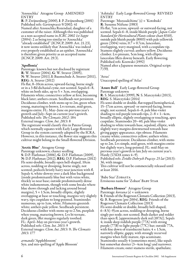'Anouschka' Atragene Group AMENDED ENTRY

R: P. Zwijnenburg (2000), I: P. Zwijnenburg (2001) Published refs: *Gartenpraxis* 9/2002: 41 Named after Anouschka Rozendaal, daughter of a customer of the raiser. Although this was published as a non-accepted name in *ICRC <sup>2002</sup> 1st Suppt* (2004): 2 as being too similar to 'Anouchka' "already established" (ICNCP, 2009: Art. 21.23), it now seems unlikely that 'Anouchka' was indeed ever properly established as an epithet. 'Anouschka' is therefore given priority as an accepted name (ICNCP, 2009: Art. 29.3).

#### 'Apollonia'

Parentage: known but not disclosed by registrant R: W. Straver (2004), G: W. Straver (2005), N: W. Straver (2011), I: Baumschule A. Straver (2011), REG: A. Straver (2012)

Fls flat, 8–10cm across, upward-facing, borne singly or in a 3-fld dichasial cyme, not scented. Sepals 6–8, white on both sides, up to  $5 \times 3$ cm, overlapping. Filaments white; connectives yellow at first, becoming black later; anthers cream. Seedheads not persistent. Deciduous climber, with stems up to 2m, green when young, maturing to brown. Lvs ternate, mid-green, margins entire. FL: May–June on previous year's growth and July–Sept on current year's growth. Published refs: *The Clematis 2012*: 184 External images: *Clem*. *Int*. *2013*: 8 The registrant would classify this in Patens Group, which normally equates with Early Large-flowered Group in the system currently adopted by the ICRA. However, in this instance, the flower size suggests this cultivar might belong in the Small-flowered Division.

#### 'Arctic Blue' Atragene Group

Parentage unknown; chance seedling S: D.P. Flathman (2006), G: D.P. Flathman (2009), N: D.P. Flathman (2012), REG: D.P. Flathman (2012) Fls semi-double, broadly open bell-shaped, 10cm across, nodding or drooping, borne singly, not scented; pedicels bristly hairy near junction with fl. Sepals 4, white-downy over a dark blue background (inside predominantly blue but with veins white, thickly so near base; outside predominantly dense white indumentum, though with some breaks where blue shows through and lacking around broad margins),  $5 \times 1.5$ cm, broadly elliptic, slightly overlapping at base or touching, margins very slightly wavy, tips cuspidate to long-pointed. Staminodes numerous, up to 1cm, white. Filaments greenish white; anthers pale yellow. Seedheads persistent. Deciduous climber with stems up to 2.5m, purplish when young, maturing brown. Lvs bi-ternate, dark green, lflet margins regularly toothed. FL: April–May on previous year's growth. Published refs: *Clem*. *Int*. *2013*: 9 External images: *Clem*. *Int*. *2013*: 9; *The Clematis 2013*: 177

*armandii* 'Appleblossom' Syn. and mis-spelling of 'Apple Blossom' 'Ashitaka' Early Large-flowered Group REVISED ENTRY

Parentage: 'Murasakihime' (s)  $\times$  'Kotobuki' R: Susumu Niifune (1983) Fls flat, 7cm across, upward- or outward-facing, not scented. Sepals 6–8, inside bluish purple (*Japan Color Standard for Horticultural Plants* colour chart 8310), outside pale bluish purple (8003) with pale yellowish green (3304) veins,  $0.\overline{7} \times 0.7$ cm, lanceolate, overlapping, wavy-margined, with a cuspidate tip. Stamens slightly curved; anthers yellow. Deciduous climber. Lvs pinnate, 5cm long, with ellipticlanceolate lflets downy beneath. Early flowering. Published refs: Koowaki (1992) Named after a Japanese mountain. Original script: アシタカ.

#### 'Atras'

Unaccepted spelling of 'Atlas'

#### 'Azure Ball' Early Large-flowered Group Parentage unknown

R: S. Marczyński (1999), N: S. Marczyński (2013), REG: S. Marczyński (2014) Fls semi-double or double, flat-topped hemispherical, 15–17cm across, upward- or outward-facing, borne singly, not scented. Sepals 6–8, pale blue-violet shading to red-purple towards tips,  $2-8 \times 1-4$ cm, broadly elliptic, slightly overlapping or touching, apex cuspidate. Staminodes 20–40, pale blue-violet shading to white towards base, sepaloid, elliptic, with slightly wavy margins downturned towards base giving gappy appearance, tips obtuse. Filaments creamy white; connectives yellow; anthers white. Seedheads persistent. Deciduous climber, with stems up to 2m. Lvs simple, mid-green, with margins entire but slightly wavy, long-pointed. FL: mid-May on previous year's growth to late July on current year's. Hardy (USDA zones 4–9). Published refs: *Źródło Dobrych Pnączy*: *25 lat* (2013):

36, with images This cultivar will not be commercially released until at least 2016.

'Baby Star' Zobasta Erroneous name for 'Zobast' BABY STAR

'Barbara Houser' Atragene Group Parentage: *koreana* (s) × unknown S: Friends of the Rogerson Clematis Collection (2013), G: B. Rogerson (pre-2004), REG: Friends of the Rogerson Clematis Collection (2013) Fls semi-double or double, broadly bell-shaped, 6–8.5(–9)cm across, nodding or drooping, borne singly per node; not scented. Buds darker and redder than open fl, [approximately dark red (187A)]. Sepals 4; inside deep reddish purple (77A) with strong purple (77B) to light purple (77C) bar; outside 77A, with fine down of translucent hairs;  $4 \times 1.5$ cm, narrowly elliptic, gappy, with strongly recurved margins when fully mature, tips acuminate. Staminodes usually 4 (sometimes more), like sepals but somewhat shorter (3–4cm long) and narrower. Filaments cream; outer stamens sterile, spathulate;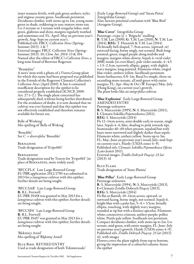inner stamens fertile, with pale green anthers; styles and stigmas creamy green. Seedheads persistent. Deciduous climber, with stems up to 1m; young stems green in shade, reddening in sun; mature stems tan. Lvs 2-ternate or 1-ternate with irregular lobes, midgreen, glabrous and shiny, margins regularly toothed and sometimes red. FL: April–May on previous year's growth, Aug–Sept on current year's. Published refs: FRCC *Collection News* (Spring– Summer 2013): 1 & 7 External images: FRCC *Collection News* (Spring– Summer 2013): 10; *Clem*. *Int*. *2014*: 13 & 104 Named after the editor of FRCC's *Collection News*, a long-time friend of Brewster Rogerson

"Beaujolais"

A news' item with a photo of a Viorna Group plant for which this name had been proposed was published in the Friends of the Rogerson Clematis Collection's *Collection News* (April 2010): 8, but it contained insufficient description for the epithet to be considered properly established (ICNCP, 2009: Art. 27.1–2.). The single plant concerned has subsequently died, without being further distributed. For the avoidance of doubt, it is now deemed that no cultivar was ever formed and that this epithet was not effectively established and therefore remains available for future use.

Belle of Working' Mis-spelling of 'Belle of Woking'

'Benedikt' See *C*. × *diversifolia* 'Benedikt'

Bernadine Trade designation of 'Evipo061'

Bernardine Trade designation used by Travers for 'Evipo061' (in place of BERNADINE, more widely used)

'BFCCFLA' Late Large-flowered Group EU PBR application 2012/2785 was submitted in 2013 for a *lanuginosa* cultivar with this epithet; further details are being sought.

'BFCCSAR' Late Large-flowered Group R: B.L. Fretwell EU PBR 35458 was granted in May 2013 for a *lanuginosa* cultivar with this epithet; further details are being sought.

'BFCCSPA' Late Large-flowered Group R: B.L. Fretwell EU PBR 35457 was granted in May 2013 for a *lanuginosa* cultivar with this epithet; further details are being sought.

'Blekitney Aniol' Mis-spelling of 'Błękitny Anioł'

Blue Bird REVISED ENTRY Used as trade designation of both 'Edomurasaki' (Early Large-flowered Group) and 'Sizaia Ptitsa' (Integrifolia Group). Also, beware potential confusion with 'Blue Bird' (Atragene Group).

'Blue Cover' Integrifolia Group Parentage: *crispa* (s) × 'Rōguchi' seedling **R**: T.M. Lan  $(2009)$ , **G**: T.M. Lan  $(2010)$ , **N**: T.M. Lan (2014), REG: T. Hannink & T.M. Lan (2014) Fls broadly bell-shaped, 7–9cm across, (upward- or) outward-facing, borne singly, not scented. Buds longpointed; green, tinged purple along midribs and margins; margins white-downy. Sepals 4, vivid violet (88B) inside (or even bluer), pale violet outside, 4–4.5  $\times$  1.5–2.5cm, narrowly elliptic, gappy, with slightly wavy margins, long-pointed. Filaments white, tinged blue-violet; anthers yellow. Seedheads persistent. Stems herbaceous, 0.8–1m. Basal lvs simple, those on ascending stems ternate, all mid-green with entire margins. FL: Apr–May & Oct (W Europe)/May–July (Hong Kong), on current year's growth. The plant looks like an *integrifolia* cultivar.

'Blue Explosion' Early Large-flowered Group AMENDED ENTRY Parentage unknown R: S. Marczyński (1995), N: S. Marczyński (2011), I: Clematis Szkółka Pojemnikowa (2011), REG: S. Marczyński (2014) Fls 12–14cm across, semi-double early in season, single later. Sepals 4–6, blue, shading to pink towards tips. Staminodes 40–60 when present, sepaloid but with bases more narrowed and slightly darker than sepals. Filaments white; anthers yellow. Stems up to 3m. FL: May–June on previous year's wood, July–mid-Sept on current year's. Hardy (USDA zones 4–9). Published refs: *Clematis Szkółka Pojemnikowa Oferta* (Lato-Jesień 2011) External images: *Źródło Dobrych Pnączy*: *25 lat*  $(2013): 41$ 

Blue Flame Trade designation of 'Sinee Plamia'

'Blue Pillar' Early Large-flowered Group Parentage unknown R: S. Marczyński (1994), N: S. Marczyński (2013), I:≈Clematis Źródło Dobrych Pnączy (2013), REG: S. Marczyński (2014) Fls flat or flattish, 10–14cm across, upward- or outward-facing, borne singly, not scented. Sepals 6, bright blue with a paler bar,  $5-6 \times 3.5$ cm, broadly elliptic, touching, with slightly wavy margins, rounded at tip but with a distinct apiculus. Filaments white; connectives crimson; anthers purple; pollen white. Pistils pale yellow. Seedheads not persistent. Compact deciduous climber, with stems up to 2m. Lvs ternate, mid-green, with entire margins. FL: June–July on previous year's growth. Hardy ( $\text{USDA}$  zones 4–9). Published refs: *Źródło Dobrych Pnączy*: *25 lat* (2013): 42, with images

Flowers cover the plant tightly from top to bottom, giving the impression of a colourful column: hence the epithet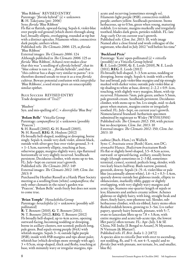'Blue Ribbon' REVISED ENTRY Parentage: "*florida* hybrid" (s) × unknown R: H. Takeyama (pre- 2006) Syns: *florida* 'Blue Ribbon' Fls flat or flattish, upward-facing. Sepals 6, violet-blue over purple-red ground (which shows through along bar), broadly elliptic, overlapping, rounded at tip but with a distinct apiculus. Filaments white; connectives dark purple; anthers white.

Published refs: *The Clematis 2006*: 125, as *florida* 'Blue Ribbon'

External images: *The Clematis 2006*: 124 Although published in *The Clematis 2006*: 125 as *florida* 'Blue Ribbon', Aihara's text makes clear that this was "a seedling of a *florida* hybrid", that its "blue colour is rare in … *florida* hybrids", and that "this cultivar has a shape very similar to *patens*": it is therefore deemed unsafe to treat it as a true *florida* cultivar. Beware potential confusion with *integrifolia* 'Blue Ribbons', a seed strain given an unacceptably similar epithet.

Blue Success REVISED ENTRY Trade designation of 'Tra27'

'Blueboy'

Syn. and mis-spelling of *C*. × *diversifolia* 'Blue Boy'

#### 'Bolam Belle' Viticella Group

Parentage: *campaniflora* (s) x unknown (possibly 'Praecox')

S: H. Russell (2002), G: H. Russell (2003), N: H. Russell, REG: R. Hodson (2012) Fls broadly bell-shaped, nodding or drooping, borne singly. Sepals 4, inside very dark violet, almost black, outside with silver-grey hue over violet ground, 3–4  $\times$  1–1.5cm, narrowly elliptic, touching at base, otherwise gappy, margins slightly wavy, tips flattened horizontally or very slightly recurved. Seedheads persistent. Deciduous climber, with stems up to 4m. FL: July–Sept on current year's growth. Published refs: *The Clematis 2012*: 149

External images: *The Clematis <sup>2012</sup>*: 149; *Clem*. *Int*. *2013*: 9

Purchased by Heather Russell at a Hardy Plant Society meeting as a seedling from (white) *campaniflora*; the only other clematis in the raiser's garden was 'Praecox'. 'Bolam Belle' seeds freely but does not seem to come true.

'Brian Temple' Heracleifolia Group Parentage: *heracleifolia* (s) x unknown (possibly selfpollinated)

R: T. Bennett (2010), G: T. Bennett (2011), N: T. Bennett (2012), REG: T. Bennett (2012) Fls broadly bell-shaped, up to 4cm across, opening outward-facing, becoming nodding or drooping, borne in axillary clusters, not scented; pedicels long, pale green. Bud sepals strong purple (84A) with whitish margin. Sepals 3–4; outside light purple (85B); inside with 85B margins and tips about paler, whitish bar (which develops more strongly with age);  $3 \times 0.5$ cm, strap-shaped, thick and fleshy, touching at base, with minutely wavy or irregular margins, tips

acute and recurving (sometimes strongly so). Filaments light purple (85B); connectives reddish purple; anthers yellow. Seedheads persistent. Stems herbaceous, up to 0.5m, green when young, maturing reddish. Lvs ternate, margins markedly and irregularly toothed, blades dark green, petioles reddish. FL: late Aug–early Oct on current year's growth. Published refs: *Clem*. *Int*. *2013*: 10, with image Named after a close friend and work colleague of the registrant, who died in July 2012 "well before his time"

#### 'Buckland Pixie'

Parentage: 'Kaiu' open-pollinated (s) × *viticella* (possibly) or a Viticella Group hybrid R: E. Leeds (2008), G: E. Leeds (2010), N: E. Leeds (2011), REG: E. Leeds (2012) Fls broadly bell-shaped, 3–3.5cm across, nodding or drooping, borne singly. Sepals 4; inside with a white bar and broad, pale violet-blue margins and tip strongly marked with darker veins; outside pale violet-blue at tip shading to white at base, downy;  $2-2.2 \times 0.9$ -1cm, touching, with slightly wavy margins, blunt, with tip recurved. Filaments 7mm, pale green; anthers 5.5mm, pale greenish cream. Seedheads persistent. Deciduous climber, with stems up to 3m. Lvs simple, mid- to dark green when mature, margins entire or irregularly toothed. FL: July–Sept, on current year's growth. Nomenclatural Standard: herbarium specimen submitted by registrant to Wisley (WSY0133501) Published refs: *The Clematis 2012*: 150, with picture but no description; *Clem*. *Int*. *2013*: 10 External images: *The Clematis 2012*: 150; *Clem*. *Int*. *2013*: 10

*cadmia* (Buch.-Ham.) ex Wallich

Syns: *C*. *bracteata sensu* (Roxb.) Kurz, non DC; *stronachii* Hance; *Thalictrum bracteatum* Roxb Fls flat or slightly bowl-shaped, 3.5–8.5cm across, outward- or upward-facing, axillary, usually borne singly (though sometimes in 2–3 fld, sometimes terminal, cymes), scented; pedicels long, slender, with two leafy bracts halfway. Buds narrow, pointed, greenish, downy. Sepals (4–)5–6, violet-blue or pale blue (occasionally almost white),  $1.6-4.2 \times 0.3-1.4$ cm, sparsely downy outside but glabrous inside, elliptic to oblanceolate, markedly ribby, gappy or slightly overlapping, with very slightly wavy margins and acute tips. Stamens one-quarter length of sepals or less; filaments and anthers creamy yellow. Achenes glabrous or slightly hairy, with long, straight beak and short, finely hairy, non-plumose tail. Slender, subherbaceous climber, with six-ribbed, hairy stems often flushed reddish brown, growing to 3–5m. Lvs rather papery, sparsely hairy beneath, pinnate, with 5–7, ovate to lanceolate lflets up to  $7.8 \times 3.8$ cm, with entire margins and acute/sub-acute tips, the lowest lflet pair(s) often ternate. FL: Apr-July.  $S \& SE$ China, NE India (E Bengal to Assam), N Myanmar, N Vietnam (& Bhutan?). Published refs: *Fl*. *Brit*. *India* 1: 2 (1872) A species akin to *viticella* (but with erect to ascending, not nodding, fls, and 5–6, not 4–5, sepals) and to *florida* (but with pinnate, not ternate, lvs, and smaller, blue fls).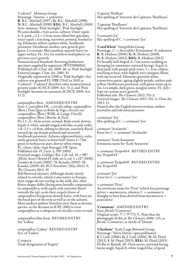'Cadson2' Montana Group Parentage: 'Sunrise' × unknown R: R.C. Mitchell (1997), G: R.C. Mitchell (1998), N: R.C. Mitchell (1998), REG: R.C. Mitchell (2000) Syns: *montana* 'Pink Starlight'; 'Pink Starlight' Fls semi-double, *c*.5cm across, solitary. Outer sepals 4–5, pink, *c*.2.5 × 1.5cm, ovate, blunt but apiculate; inner sepals *c*.1cm long, narrower, pointed, hooded at tip. Filaments yellow; anthers white. Seedheads persistent. Deciduous climber; new growth greygreen. Lvs ternate; lflets toothed, sparsely hairy on upper surface. FL: Oct (in southern hemisphere) on previous year's growth.

Nomenclatural Standard: flowering herbarium specimen supplied by registrant (WSY0096816) Published refs: *Clem*. *Int*. *2001*: 48, as 'Pink Starlight' External images: *Clem*. *Int*. *2001*: 41 Originally registered in 2000 as 'Pink Starlight', this cultivar was granted EU PBR 27642 in 2010 as 'Cadson2'. 'Cadson2' therefore takes nomenclatural priority under ICNCP, 2009: Art. 31.2, and 'Pink Starlight' becomes its synonym (ICNCP, 2009: Art. 11.2).

*campaniflora* Brot. AMENDED ENTRY Syns: *C*. *parviflora* DC.; *viticella* subsp. *campaniflora* (Brot.) Font Quer ex Bolòs & Vigo; *viticella* var. *campaniflora* (Brot.) Willk. & Lange; *Viticella campaniflora* (Brot.) Bercht. & Presl Fls 1.5–3(–4)cm across, scented. Buds ovoid, downy. Sepals 4, white, outside tinged with lilac or pale violet,  $1.\overline{8}$ –2.5 × *c*.0.8cm, oblong to obovate, narrowly flared toward tip, tip sharply pointed and recurved. Seedheads persistent. Achenes adpressed-hairy; styles rarely grooved, hairy in lower half. Stems 2–7.5m, green in herbaceous part, downy when young. FL: (June–)July–Sept Portugal, SW Spain. Published refs: *Fl*. *Lusit*. 2: 359 (1805) External images: *Loddiges' Bot*. *Cab*. vol. 10, t. 987 (1824); *Sweet's British Fl*. *Gdn*. ser 2, vol. 3, t.217 (1838); Toomey & Leeds (2001): 70; Kaneko (2005): 56; Kaneko (2009): 81; *BCS Newsletter* (May 2012): 9; *The Clematis 2013*: 35

Bell-flowered clematis. Although clearly closely related to *viticella*, which is also native to Europe, their ranges do not overlap in the wild; also, their flower shapes differ (being more broadly campanulate in *campaniflora*, with sepals only narrowly flared towards the tip), as do their carpels (those of *campaniflora* being more densely hairy, with hairs on the basal part of the style as well as on the achene). Most modern authors therefore treat them as distinct species, so the decision in *ICRC 2002* to treat *campaniflora* as a subspecies of *viticella* is now revised.

*campaniflora* blue form REVISED ENTRY See 'Lisboa'

*campaniflora* 'Lisboa' REVISED ENTRY Syn. of 'Lisboa'

**CAPRICE** Trade designation of 'Kapriz'

'Captain Thulleau' Mis-spelling of 'Souvenir du Capitaine Thuilleaux'

'Captaine Thuilleaux' Mis-spelling of 'Souvenir du Capitaine Thuilleaux'

'Carmantii Joe' Mis-spelling of *C*. × *cartmanii* 'Joe'

'Carol Klein' Integrifolia Group Parentage: *C*. × *diversifolia* 'Eriostemon' × unknown R: R. Hodson (2006), G: R. Hodson (2008), N: R. Hodson (2012), REG: R. Hodson (2012) Fls broadly bell-shaped, 6–7cm across, nodding or drooping (or sometimes outward-facing). Sepals 4, deep pink with purple-pink veins,  $3 \times 2$ cm, elliptic, touching at base, with slightly wavy margins, blunt, with tip recurved. Filaments greenish white; connectives green, ageing slightly purple; anthers pale yellow. Herbaceous perennial, with green stems up to 2m. Lvs simple, dark green, margins entire. FL: July– Sept on current year's growth. Published refs: *The Clematis 2012*: 151–2 External images: *The Clematis 2012*: 151–2; *Clem*. *Int*. *2013*: 11

Named after the English nurserywoman, author, journalist and television presenter

*cartmanaii* 'Joe' Mis-spelling of *C*. × *cartmanii* 'Joe'

*cartmanii* 'Avalanche' Error for *C*. × *cartmanii* 'Avalanche'

*cartmanii* 'Early Sensation' Erroneous name for 'Early Sensation'

× *cartmanii* 'Evipo044' REVISED ENTRY See 'Evipo044'

× *cartmanii* 'Evipo045' REVISED ENTRY See 'Evipo045'

*cartmanii* 'Joe' Error for *C*. × *cartmanii* 'Joe'

× *cartmanii* 'Pixie'

An erroneous name for 'Pixie' (which has parentage *petriei* × *marmoraria*, whereas *C*. × *cartmanii* is thought to have been derived from *marmoraria* × *paniculata*)

'Centaurus' AMENDED ENTRY Syns: *florida* 'Centaurus' Original script: ケンタウルス. Note that the photograph of this at *The Clematis 2006*: 125, as *florida* 'Centaurus', is clearly of 'Denim'.

'Charlotte' Early Large-flowered Group Parentage: 'Sylvia Denny' open-pollinated S: J. Link (2006), G: J. Link (2006), N: M. Floyd (2013), I: M. Floyd (2013), REG: M. Floyd (2013) Fls flat or flattish, 10–15cm across, outward-facing, borne singly. Sepals 8, white tinged lilac, of good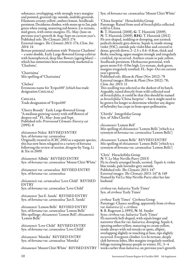substance, overlapping, with strongly wavy margins and pointed, greenish tip; outside, midribs greenish. Filaments creamy yellow; anthers lemon. Seedheads persistent. Deciduous climber, with stems up to 2m, pale green when young, maturing red-brown. Lvs ternate, mid-green, with entire margins. FL: May–June on previous year's growth & Aug–Sept on current year's. Published refs: *The Clematis 2013*: 174

External images: *The Clematis <sup>2013</sup>*: 174; *Clem*. *Int*. *2014*: 14

Beware potential confusion with 'Princess Charlotte' – a semi-double, Early Large-flowered Group cultivar with hemispherical, deep lilac flowers (ageing bluer) – which has sometimes been erroneously marketed as 'Charlotte'.

'Charrisima' Mis-spelling of 'Charissima'

'Chelsea' Erroneous name for 'Evipo100' (which has trade designation CHELSEA)

Chelsea Trade designation of 'Evipo100'

'Cherry Brandy' Early Large-flowered Group "A medium growing variety with stiff flowers of deepest red." FL: May–June and Sept. Published refs: *Priorswood Clematis Nurserycat* (1995): 8

*chiisanensis* Nakai REVISED ENTRY Syn. of *koreana* var. *carunculosa* Originally treated in *ICRC 2002* as a separate species, this has now been relegated to a variety of *koreana* following the review of section *Atragene* by Yang, Li & Xie in 2009.

*chiisanensis* 'Albida' REVISED ENTRY Syn. of *koreana* var. *carunculosa* 'Mount Chiri White'

*chiisanensis* var. *carunculosa* REVISED ENTRY Syn. of *koreana* var. *carunculosa*

*chiisanensis* var. *carunculosa* 'Love Child' REVISED ENTRY Syn. of *koreana* var. *carunculosa* 'Love Child'

*chiisanensis* 'Jan E. Sanda' REVISED ENTRY Syn. of *koreana* var. *carunculosa* 'Jan E. Sanda'

*chiisanensis* 'Lemon Bells' REVISED ENTRY Syn. of *koreana* var. *carunculosa* 'Lemon Bells' Mis-spellings: *chissanensis* 'Lemon Bell'; *chissanensis* 'Lemon Belle'

*chiisanensis* 'Love Child' REVISED ENTRY Syn. of *koreana* var. *carunculosa* 'Love Child'

*chiisanensis* 'Monika' REVISED ENTRY Syn. of *koreana* var. *carunculosa* 'Monika'

*chiisanensis* 'Mount Chiri White' REVISED ENTRY

Syn. of *koreana* var. *carunculosa* 'Mount Chiri White'

'China Surprise' Heracleifolia Group Parentage: Raised from seed of *heracleifolia* collected wild in China

R: T. Hannink (2008), G: T. Hannink (2009), N: T. Hannink (2009), REG: T. Hannink (2012) Fls urn-shaped, nodding or drooping, not scented; pedicels densely grey-downy. Sepals 4; inside strong violet (93C), outside pale violet-blue and covered in dense, greyish down;  $2-2.5 \times 0.6-0.8$ cm, thick and fleshy, touching, upper margins strongly and irregularly crinkled, tip recurved. Anthers cream or pale yellow. Seedheads persistent. Herbaceous perennial, with green stems 0.6–0.9m high. Lvs ternate, dark green, margins irregularly toothed. FL: Sept–Oct on current year's growth.

Published refs: *Bloem* & *Plant* (Nov 2012): 78 External images: *Bloem* & *Plant* (Nov 2012): 78; *Clem*. *Int*. *2013*: 11

This seedling was selected as the darkest of its batch. Arguably, raised directly from wild-collected seed<br>of *heracleifolia*, it could be that this should be named as *heracleifolia* 'China Surprise' – but it might need to be grown for longer to determine whether any degree of hybridity has crept in from open-pollination.

'Chirifu' Integrifolia Group Syn. of 'Alba Chirifu'

*chissanensis* 'Lemon Bell' Mis-spelling of *chiisanensis* 'Lemon Bells' [which is a synonym of *koreana* var. *carunculosa* 'Lemon Bells']

*chissanensis* 'Lemon Belle' REVISED ENTRY Mis-spelling of *chiisanensis* 'Lemon Bells' [which is a synonym of *koreana* var. *carunculosa* 'Lemon Bells']

'Chris' Heracleifolia Group N: V. Le May Neville-Parry (2013) Fls in closely arranged heads, scented. Tepals 4, violetblue inside, pale lavender-grey outside. Published refs: *The Clematis 2013*: 147 External images: *The Clematis 2013*: 147 & 149 Named by Val Le May Neville-Parry after her late husband

*cirrhosa* var. *balearica* 'Early Times' Syn. of *cirrhosa* 'Early Times'

*cirrhosa* 'Early Times' Cirrhosa Group Parentage: Chance seedling, apparently from *cirrhosa* var. *balearica* (s) × *cirrhosa* S: B. Rogerson (*c*.1995), N: M. Snyder Syns: *cirrhosa* var. *balearica* 'Early Times' Fls narrowly bell-shaped, with sepals longer and narrower than for var. *balearica*, drooping. Sepals 4, opening amber-yellow, maturing to cream-yellow, inside always with red streaks or spots, elliptic, overlapping slightly or touching at base, tips slightly recurved. Evergreen climber. Lvs bi-ternate, deeply cleft between lobes, lflet margins irregularly toothed, foliage turning bronze-purple in winter. FL: 3–4 weeks earlier than *balearica*, on previous year's growth.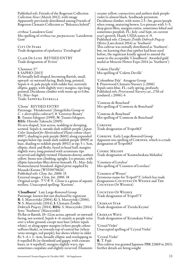Published refs: Friends of the Rogerson Collection *Collection News* (March 2012), with image Apparently previously distributed among Friends of Rogerson Clematis Collection as "Balearica hybrid".

*cirrhosa* 'Lansdown Gem' Mis-spelling of *cirrhosa* var. *purpurascens* 'Lansdowne Gem'

CITY OF STARS Trade designation of *ispahanica* 'Zvezdograd'

Clair De Lune REVISED ENTRY Trade designation of 'Evirin'

'Cleminov 27'

I: SAPHO (2013)

Fls broadly bell-shaped, becoming flattish, small, upward- or outward-facing. Buds long, pointed. Sepals 4–6, pale purple with redder bar, narrowly elliptic, gappy, with slightly wavy margins, tips longpointed. Deciduous climber with stems up to 0.8m. FL: May–Sept.

Trade: Saphyra Estrella

'Clione' REVISED ENTRY Parentage: 'Hendersonii' [Integrifolia Group or  $C \times \textit{diversifolia}$  cultivar?]  $\times$  'Gravetye Beauty' R: Tsuneo Ishiguro (1999), N: Tsuneo Ishiguro,

REG: Hiroshi Takeuchi (2005)

Fls urn-shaped, 3cm across, nodding or drooping, scented. Sepals 4; outside dark reddish purple (*Japan Color Standard for Horticultural Plants* colour chart 8907), shading to pale purple (8601) along expanded margin below tip; inside dark reddish purple (8909) at base, shading to reddish purple (8911) at tip;  $5 \times 3$ cm, elliptic, thick and fleshy, fused in basal half, margins slightly wavy, long-pointed with acuminate tips recurved and slightly twisted. Filaments downy; anthers yellow. Stems non-climbing, upright. Lvs pinnate, with elliptic-lanceolate lflets downy beneath. FL: May–July. Nomenclatural Standard: digital print supplied by Masaaki Kurata (WSY0070626) Published refs: *Clem*. *Int*. *2006*: 15 External images: *Clem*. *Int*. *2006*: 18 Original script: クリオネ. *Clione* is a genus of aquatic mollusc. Unaccepted spelling: 'Kurione'.

'Cloudburst' Late Large-flowered Group Parentage: known but not disclosed by registrant R: S. Marczyński (2004), G: S. Marczyński (2006), N: S. Marczyński (2014), I: Clematis Źródło Dobrych Pnączy (2014), REG: S. Marczyński (2014) Syns: 'Starburst' (Marczyński) Fls flat or flattish, 10–12cm across, upward- or outwardfacing, not scented. Sepals 4–6; mainly as purple veins over a white ground, except near base (where sepals white), or along upper margins (where purple colour suffuses blade), or towards top of central bar (where veins stronger, red-purple); bar shows whiter in older fls;  $5-6 \times 2-4$ cm, broadly elliptic and overlapping in 6-sepalled fls (or rhomboid and gappy, with cuneate bases, in 4-sepalled), margins slightly wavy, tips sometimes cuspidate and slightly recurved. Filaments creamy yellow; connectives and anthers dark purpleviolet to almost black. Seedheads persistent. Deciduous climber, with stems 2.5–3m, green/purple when young, maturing brown. Lvs pinnate with 3–5, deep green lflets, margins entire, sometimes lobed and sometimes purplish. FL: July–end Sept, on current year's growth. Hardy USDA zones 4–9. Published refs: *Clematis Źródło Dobrych Pnączy Oferta* (Lato-Jesień 2014) as 'Starburst' This cultivar was initially distributed as 'Starburst', but, on learning that that epithet had been used before, the registrant kindly agreed to amend the name to the acceptable 'Cloudburst'. Awarded gold medal at Moscow Flower Expo 2014 (as 'Starburst').

'Colette Daville' Mis-spelling of 'Colette Deville'

'Columbine Pale' Atragene Group I: Priorswood Clematis Nursery (*c*.2006) Sepals satin-blue. FL: early spring, profusely. Published refs: *Priorswood Nurserycat*., *27th ed*. (undated, *c*.2006): 6

'Contesse de Bouchard' Mis-spelling of 'Comtesse de Bouchaud'

'Contesse de Bouchaud' Mis-spelling of 'Comtesse de Bouchaud'

Corinne Trade designation of 'Evipo063'

Corrine Early Large-flowered Group Apparent mis-spelling of Corinne, which is a trade designation of 'Evipo063'

Cosmic Melody Trade designation of 'Kosmicheskaia Melodiia'

'Countess of Loveless' Mis-spelling of 'Countess of Lovelace'

'Countess of Wessex' Erroneous name for 'Evipo073' (which has trade designations COUNTESS OF WESSEX and THE Countess Of Wessex)

Countess Of Wessex Trade designation of 'Evipo073'

Crimean Star Trade designation of 'Zvezda Kryma'

Crimean Wave Trade designation of 'Krymskaia Volna'

'Cristal Violet' Unaccepted spelling of 'Crystal Violet'

'Crystal Violet' R: T. Fujii This cultivar was granted Japanese PBR 22869 in 2013; further details are being sought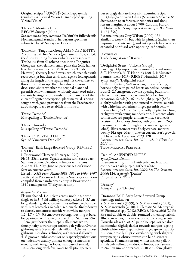Original script: クリスタルヴィオレ (which apparently translates as 'Crystal Vision'). Unaccepted spelling: 'Cristal Violet'.

'Da Yun' Montana Group REG: W. Snoeijer (2014) See *montana* subsp. *montana* 'Da Yun' for fuller details Nomenclatural Standard: herbarium specimen submitted by W. Snoeijer to Leiden

'Daihelios' Tangutica Group AMENDED ENTRY According to Chris Sanders (*pers*. *comm*. 19/7/2013), the distinguishing features which clearly separate 'Daihelios' from all other clones in the Tangutica Group are: the relatively small plant size (only half or less than cvs such as 'Bill McKenzie' or 'Golden Harvest'); the very large flowers, which open flat with recurved tips but then tend, with age, to fold upwards along the length of the sepals; and it is the earliest to flower in this Group. There has also been some discussion about whether the original plant had greenish yellow filaments, with only later, seed-raised variants having the brownish purple filaments of the current Register description: plant material is being sought, with good provenance from the Proefstation at Boskoop, to try to establish if this is so.

'Daniel Derondo' Mis-spelling of 'Daniel Deronda'

'Daniel Durondo' Mis-spelling of 'Daniel Deronda'

'Danielle' REVISED ENTRY Syn. of 'Vancouver Danielle'

'Darlene' Early Large-flowered Group REVISED ENTRY

I: Priorswood Clematis Nursery (*c*.1990) Fls 15–23cm across. Sepals carmine with cerise bars. Stamens brown. Deciduous climber with stems 2–2.5m. FL: May–June on previous season's wood, Sept on current year's.

Listed in *RHS Plant Finder 1993–1994* to *1996–1997* as offered by Priorswood Clematis Nursery; description compiled from handwritten entry in Priorswood's 1990 catalogue (in Wisley collection).

#### *dasyandra* Maxim.

Fls urn-shaped, 1.2–1.5cm across, nodding, borne singly or in 3–9-fld axillary cymes; pedicels 2–3.5cm long, slender, glabrous, sometimes suffused red-purple, with 1cm bracteoles. Sepals 4, red-purple, finely downy to densely tomentose, outside with white margins,  $1.2-1.7 \times 0.5-0.8$ cm, ovate-oblong, touching at base, long-pointed with acute, recurved tips. Stamens 0.9– 1.3cm, just shorter than sepals; filaments white, shortly hairy towards top; anthers pale yellow. Ovaries glabrous; style 0.8cm, densely villous. Achenes almost glabrous. Deciduous climber, with stems shallowly 4–6-grooved, subglabrous or only sparsely puberulous on nodes. Lvs usually pinnate (though sometimes ternate, with irregular lobes, near base of stems), 10–20cm long, with five, ovate to elliptic, sparsely

but strongly dentate lflets with acuminate tips. FL: (July–)Sept. West China (S Gansu, S Shaanxi & Sichuan), in open forests, shrubberies and along stream margins, at about 1,700–2,400m. Hardy. Published refs: *Trudy Imp*. *S*.-*Peterburgsk*. *Bot*. *Sada* 11: 7 (1890)

External images: Grey-Wilson (2000): 136 Similar to *lasiandra* but with lvs pinnate (rather than bi-pinnate to bi-ternate), and with petiole base neither expanded nor fused with opposing leaf-petiole.

**DAYBREAK** Trade designation of 'Rassvet'

'Delightful Scent' Viticella Group? Parentage: Open-pollinated *cadmia* (s) × unknown S: T. Hannink, N: T. Hannink (2011), I: Münster Baumschulen (2013), REG: T. Hannink (2013) Syns: *viticella* 'Delightful Scent' Fls flat or flattish, 6–8cm across, upward-facing, borne singly, with paired bracts on pedicel, scented. Buds 2–2.5cm, green, downy; opening buds form characteristic, small, open 'mouth' before final expansion. Sepals (5–)6; inside light purple (85B), slightly paler bar with pronounced midveins; outside with white bar sometimes tinged greenish yellow towards base;  $3-3.5 \times 1.5$ cm, broadly elliptic, touching or slightly overlapping, rounded at tip. Filaments white; connectives red-purple; anthers white. Seedheads persistent. Deciduous climber, with green stems 2–3m. Lvs usually ternate (though sometimes irregularly lobed), lflets entire or very finely crenate, margins downy. FL: Apr–May(–June) on current year's growth. Published refs: *Clem*. *Int*. *2013*: 128 External images: *Clem*. *Int*. *2013*: 128–9; *Clem*. *Int*. *2014*: 14

Trade: Magical Perfume

'Denim' AMENDED ENTRY Syns: *florida* 'Denim' Filaments white, flushed with pale purple at top; connectives dark purple; anthers white. External images: *Clem*. *Int*. *2005*: 32; *The Clematis 2006*: 126, as *florida* 'Denim' Original script: デニム.

'Desteny' Mis-spelling of 'Destiny'

#### 'Diamond Ball' Early Large-flowered Group Parentage unknown

S: S. Marczyński (1999), G: S. Marczyński (2001), N: S. Marczyński (2010), I: Clematis Sz. Marczyński, W. Piotrowski sp.j. (2012), REG: S. Marczyński (2013) Fls semi-double or double, rounded or hemispherical, 10–12cm across, upward- or outward-facing, scented. Flowerheads with 30–50 pale blue sepals or sepaloid staminodes, slightly darker towards margins, ageing bluish white, outer sepals often tinged green near tip,  $5 \times 3$ cm, broadly elliptic, overlapping, with slightly wavy margins, obtuse towards tip but distinctly apiculate. Filaments creamy white; anthers yellow. Pistils pale yellow. Deciduous climber, with stems up to 2m. Lys simple or ternate,  $7-10 \times 4-6$ cm, glossy,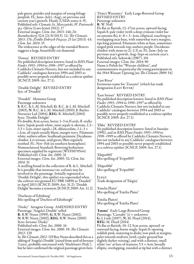pale green, petioles and margins of young foliage purplish. FL: June–July(–Aug), on previous and current year's growth. Hardy (USDA zones 4–9). Published refs: *Clematis Sz*. *Marczyński*, *W*. *Piotrowski sp*.*j*. *Oferta* (Lato-Jesień 2012): 17 External images: *Clem*. *Int*. *2013*: 146; *De Boomkwekerij* 32A (21/8/2013): 12; *The Clematis 2013*: 176; *Źródło Dobrych Pnączy*: *25 lat* (2013): 43; *Clem*. *Int*. *2014*: 15 The iridescence at the edges of the rounded flowers suggests a large, beautifully cut diamond

'Donna' REVISED ENTRY No published description known: listed in *RHS Plant Finder 1993–1994* to *1996–1997* as offered by Caddicks Clematis Nursery, but not included in any Caddicks' catalogues between 1994 and 2003 so possibly never properly established as a cultivar epithet (ICNCP, 2009: Art. 27.1).

'Double Delight' REVISED ENTRY Syn. of 'Doudeli'

'Doudeli' Montana Group Parentage unknown S: R.C. & L.M. Mitchell, G: R.C. & L.M. Mitchell (2003), N: R.C. & L.M. Mitchell (2003), I: Bayliss Nurseries Ltd (2004), REG: R. Mitchell (2004) Syns: 'Double Delight'

Fls double, 8cm across, borne 1–3 in lf-axils, fl.-stalks hairy. Sepals pearly white, outer sepals 4, obovate, 2.2– 3.3 × 2cm, inner sepals *c*.28, oblanceolate, 1.1–3 × *c*.1cm, all sepals usually blunt, margin wavy. Filaments white; anthers yellow. Seedheads persistent. Deciduous climber. Lvs ternate, mid green; lflets regularly toothed. FL: Nov–Feb (in southern hemisphere). Nomenclatural Standard: flowering herbarium specimen supplied by registrant (WSY0070544) Published refs: *Clem*. *Int*. *2005*: 31

External images: *Clem*. *Int*. *2005*: 32; *Clem*. *Int*. *2014*: 31

A seedling found in the collection of R. & L. Mitchell. It is possible that *montana* var. *wilsonii* may be involved in the parentage. Initially registered as 'Double Delight', this epithet was superseded when the cultivar was granted EU PBR 34890 as 'Doudeli' in April 2013 (ICNCP, 2009: Art. 31.2); 'Double Delight' becomes a synonym (ICNCP, 2009: Art. 11.2).

'Duchesse of Edinburg' Mis-spelling of 'Duchess of Edinburgh'

'Dusky' Atragene Group AMENDED ENTRY Parentage: 'Angela's Double' selfed R: R.W. Nunn (1999), G: R.W. Nunn (2002), N: R.W. Nunn (2002), REG: R.W. Nunn (2005) Syns: *koreana* 'Dusky' Published refs: *Clem*. *Int*. *2006*: 16 External images: *Clem*. *Int*. *2006*: 19; *The Clematis 2012*: 120 In *TheClematis 2012*: 119 Roy Nunn described this as a sibling of 'Angela's Double' (raised from seed of *koreana* 'Lutea', probably outcrossed with 'Markham's Pink'),

'Dzieci Warszawy' Early Large-flowered Group REVISED ENTRY Parentage unknown R: W. Noll

Fls flat or flattish, 12–17cm across, upward-facing. Sepals 8, pale violet (with a deep crimson-violet bar on autumn fls),  $6-8 \times 3-4$ cm, elliptical, touching or overlapping near base, with somewhat wavy margins, tips long-pointed. Filaments white at base, sometimes tinged pink towards top; anthers purple. Deciduous climber with stems to  $2(-2.5)$  m. FL: June–July on previous year's growth, Aug–Sept on current year's. Published refs: Sekowski (1987): 101 External images: *Clem*. *Int*. *2014*: 90 Name is Polish for "Warsaw children", and commemorates in particular the young participants in the 1944 Warsaw Uprising [see *The Clematis 2009*: 54]

'East River'

Erroneous name for 'Zoeastri' (which has trade designation EAST RIVER)

'East Sunset' REVISED ENTRY

No published description known: listed in *RHS Plant Finder 1993–1994* to *1996–1997* as offered by Caddicks Clematis Nursery, but not included in any Caddicks' catalogues between 1994 and 2003 so possibly never properly established as a cultivar epithet (ICNCP, 2009: Art. 27.1).

#### 'Ebba' REVISED ENTRY

No published description known: listed in Snoeijer<br>(1991), and in *RHS Plant Finder 1993–1994* to (1991), and in *RHS Plant Finder 1993–1994* to *1998–1999* as offered by Caddicks Clematis Nursery, but not included in any Caddicks' catalogues between 1994 and 2003 so possibly never properly established as a cultivar epithet (ICNCP, 2009: Art. 27.1).

'Ebipo005' Mis-spelling of 'Evipo005'

'Ebipo006' Mis-spelling of 'Evipo006'

**ELEGY** Trade designation of 'Elegiia'

'Emelia Plater' Mis-spelling of 'Emilia Plater'

'Emilia Platers' Mis-spelling of 'Emilia Plater'

but he later confirmed the original parentage given here. ∣ elliptic, overlapping, rounded at tip but with a distinct 'Emma' Early Large-flowered Group Parentage: 'Carnaby' (s)  $\times$  unknown G: J. Link (2007), N: M. Floyd (2014), REG: M. Floyd (2014) Fls flat or flattish, 10–12.5cm across, upward- or outward-facing, borne singly. Sepals 8; opening reddish pink, maturing to dusky rose-pink at margins, paler towards midvein (with a paler ground but slightly darker veining), and with a distinct, small white 'eye' at base of stamens;  $5.5 \times 4$ cm, broadly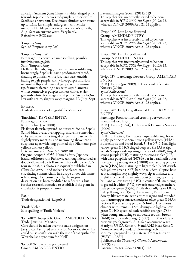apiculus. Stamens 3cm; filaments white, tinged pink towards top; connectives red-purple; anthers white. Seedheads persistent. Deciduous climber, with stems up to 1.5m. Lvs simple, mid-green, with entire margins. FL: May–June on previous year's growth, Aug–Sept on current year's. Very hardy. Raised from BCS seed.

'Empress Amy' Syn. of 'Empress Amy Lai'

'Empress Amy Lai' Parentage: unknown; chance seedling, possibly involving *integrifolia*

Syns: 'Empress Amy'

Fls flat to flattish, large, upward-to outward-facing, borne singly. Sepals 4; inside predominantly red, shading to pinkish white just near base; outside fading to pale purple, with violet-purple midribs; narrowly elliptical, twisted, gappy, with acuminate tip. Stamens flattening back with age; filaments white; connectives purple; anthers white. Styles greenish white, forming central plume. Stems 2–3m. Lvs with entire, slightly wavy margins. FL: July–Sept

**ENIGMA** 

Trade designation of *angustifolia* 'Zagadka'

'Enoshima' REVISED ENTRY Parentage unknown R: K. Ochiai (pre 2008) Fls flat or flattish, upward- or outward-facing. Sepals 8, mid-blue, ovate, overlapping, midveins somewhat ribby and sometimes tinged purple near base, with slightly wavy margins, and narrowing above into a cuspidate apex with long-pointed tips. Filaments pale yellow; anthers yellow. External images: *Clem*. *Int*. *2009*: 80 Original script: 江の島. Named after a Japanese island, offshore from Fujisawa. Although described as double-flowered by A Kaneko in his talk to the IClS tour in 2008, his photo subsequently published in *Clem*. *Int*. *2009* – and indeed the plants later circulating commercially in Europe under this name – have single fls. Consequently, the *Register* description has been modified to reflect this, but further research is needed to establish if the plant in circulation is properly named.

Esme

Trade designation of 'Evipo048'

'Etoile Violet' Mis-spelling of 'Étoile Violette'

'Evipo012' Integrifolia Group AMENDED ENTRY Trade: JESSICA; MEDLEY Care should be taken over the trade designation JESSICA, substituted recently for MEDLEY, since this could cause confusion with the use of that epithet by Westphal as a synonym for 'Kjell'.

'Evipo026' Early Large-flowered Group AMENDED ENTRY

External images: Gooch (2011): 159 This epithet was incorrectly stated to be nonacceptable in *ICRC 2002 4th Suppt* (2012): 22, whereas ICNCP, 2009: Art. 21.25 applies.

'Evipo027' Late Large-flowered Group AMENDED ENTRY This epithet was incorrectly stated to be nonacceptable in *ICRC 2002 4th Suppt* (2012): 22, whereas ICNCP, 2009: Art. 21.25 applies.

'Evipo028' Late Large-flowered Group AMENDED ENTRY This epithet was incorrectly stated to be nonacceptable in *ICRC 2002 4th Suppt* (2012): 23, whereas ICNCP, 2009: Art. 21.25 applies.

'Evipo035' Late Large-flowered Group AMENDED ENTRY R: R.J. Evison (pre 2009), I: Thorncroft Clematis Nursery (2010) Syns: 'Reflections' This epithet was incorrectly stated to be nonacceptable in *ICRC 2002 4th Suppt* (2012): 23, whereas ICNCP, 2009: Art. 21.25 applies.

'Evipo040' Early Large-flowered Group REVISED ENTRY

Parentage: From controlled crossing between two un-named seedlings

R: R.J. Evison (1994), I: Thorncroft Clematis Nursery (2009)

Syns: 'Chevalier'

Fls flat or flattish, 15cm across, upward-facing, borne singly; peduncles 2.5cm, strong yellow-green (144A). Buds elliptic and broad-based,  $3-5 \times 0.7-1.2$ cm, light yellow-green (145C) tinged deep red (185A) at tip. Sepals 6; upper side opening strong violet (86B) tinged strong purple (77B), maturing to strong violet (90B) with dark purplish red (N79B) bar in basal half; outer side opening strong violet (N88B) with strong yellowgreen (145A) bar, maturing to light violet (N88C) with pale yellow-green (157B) bar;  $7.5 \times 3.5$ cm, elliptic, base acute, margins very slightly wavy, tip acuminate and slightly recurved. Filaments about 50, 1cm, opening brilliant yellow-green (154C) in centre of fl., maturing to greenish white (157D) towards outer edge; anthers pale yellow-green (155A). Pistils about 40; styles 1.8cm, pale yellow-green (157C). Lvs ternate,  $17 \times 13$ cm, downy, lflets cordate, with entire margins and rounded tip, mature upper surface moderate olive-green (146A); petioles 8.5cm, strong yellow (N144B). Deciduous climber with stems 1–1.5m, downy and light yellowgreen (145C) speckled dark reddish orange (178B) when young, maturing to moderate reddish brown (166B) to brownish orange (166C). FL: May–July on previous year's growth, Aug–Sep on current year's. Hardy to USDA Zones 4–9 and AHS Heat Zone 7. Nomenclatural Standard: flowering herbarium specimen prepared using material from registrant (WSY0112367)

Published refs: *Thorncroft Clematis Nurserycat*. (2009): 28 External images: Gooch (2011): 152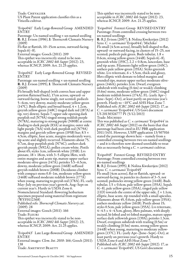Trade: Chevalier US Plant Patent application classifies this as a Viticella cultivar.

'Evipo041' Early Large-flowered Group AMENDED ENTRY

Parentage: Un-named seedling  $\times$  un-named seedling R: R.J. Evison (1996), I: Thorncroft Clematis Nursery (2009)

Fls flat or flattish, 10–15cm across, outward-facing. Sepals  $6(-8)$ .

External images: Gooch (2011): 209 This epithet was incorrectly stated to be nonacceptable in *ICRC 2002 4th Suppt* (2012): 23, whereas ICNCP, 2009: Art. 21.25 applies.

'Evipo042' Early Large-flowered Group REVISED ENTRY

Parentage: un-named seedling  $\times$  un-named seedling R: R.J. Evison (1995), I: Thorncroft Clematis Nursery (2009)

Fls broadly bell-shaped (with convex base and upper portion flattened back), 17cm across, upward- or outward-facing, borne singly, not scented; pedicels 5–6cm, very downy, mainly moderate yellow-green (147C). Buds elliptic and broad-based,  $4 \times 1.2$ cm, greyish yellow-green (148C) tinged dark red (187A) at tip, very downy. Sepals 7; upper side opening dark purplish red (N79A) tinged strong reddish purple (N78A), maturing to strong purple (N80B) at centre shading to dark purple  $(83\text{\AA})$  at margins; outer side light purple (76A) with dark purplish red (N79A) margins and greyish yellow-green (195B) bar;  $8.5 \times$ 4.5cm, elliptic, base acute, margins moderately wavy, tip acute and slightly recurved. Filaments about 75, 0.7cm, deep purplish pink (N74C); anthers dark greyish purple (N92A); pollen cream-white. Pistils about 65; styles 1cm, yellowish white (155B). Lvs pinnate,  $18 \times 18$ cm, with 3-5 elliptic lflets, with entire margins and acute tip, mature upper surface moderate olive-green (147A); petioles 5.5–6.5cm, downy, moderate yellow-green (146B) suffused greyish reddish brown (200B). Deciduous climber with compact stems 0.8–1m, moderate yellow-green (146B) suffused moderate reddish brown (177A) when young, maturing to greyish red (178A). FL: early May–July on previous year's growth, Aug–Sept on current year's. Hardy in USDA Zone 6. Nomenclatural Standard: flowering herbarium specimen prepared using material from registrant (WSY0112368)

Published refs: *Thorncroft Clematis Nurserycat*.  $(2009): 28$ 

External images: Gooch (2011): 166 Trade: Fleuri

This epithet was incorrectly stated to be nonacceptable in *ICRC 2002 4th Suppt* (2012): 23, whereas ICNCP, 2009: Art. 21.25 applies.

'Evipo043' Late Large-flowered Group AMENDED ENTRY External images: *Clem*. *Int*. *2010*: 166; Gooch (2011): 138 Trade: AMETHYST BEAUTY

This epithet was incorrectly stated to be nonacceptable in *ICRC 2002 4th Suppt* (2012): 23, whereas ICNCP, 2009: Art. 21.25 applies.

'Evipo044' Forsteri Group REVISED ENTRY Parentage: From controlled crossing between two un-named seedlings

R: R.J. Evison (2007), I: Nolina Kwekerijen (2012)<br>Syns: *C. × cartmanii* 'Evipo044'; 'Michiko' Fls small (4.5cm across), broadly bell-shaped to flat, upward- or outward-facing, in clusters of 15–25, not scented; pedicels pale green. Buds tubular,  $1.8 \times$ 0.6cm, strong yellow-green (144B). Sepals 6(–8), greenish white (155C),  $2.2 \times 0.8$ cm, lanceolate, base and tip acute. Filaments light yellow-green (145C); anthers pale yellow-green (155A). Styles greenish white. Lys triternate,  $6 \times 5.5$ cm, thick and glossy, lflets elliptic with dentate to lobed margins and rounded tips, mature upper surface moderate olivegreen (146A); petioles 2cm. Dwarf, evergreen subshrub with trailing (0.4m) or weakly climbing (0.6m) stems, moderate yellow-green (146C) tinged moderate reddish brown (174A). FL: (early Apr–) June–Sept(–Oct), at least partly on previous year's growth. Hardy to −10°C and AHS Heat Zone 7. Published refs: *ICRC 2002 4th Suppt* (2012): 17, as *C*. × *cartmanii* 'Evipo044'; US Govt document US 20130326777 P1 (5/12/2013) Trade: Michiko

This was published as *C*. × *cartmanii* 'Evipo044' in *ICRC 2002 4th Suppt* (2012) on the basis that that parentage had been cited in EU PBR application 2011/1431. However, USPP application 13/507016 stated the parentage shown here – namely from a controlled crossing between two un-named seedlings – and it is therefore now deemed unreliable to treat this as necessarily being a *C*. × *cartmanii* cultivar.

'Evipo045' Forsteri Group REVISED ENTRY Parentage: From controlled crossing between two un-named seedlings

R: R.J. Evison (1995), I: Nolina Kwekerijen (2012)<br>Syns: *C. × cartmanii* 'Evipo045' Fls small (4cm across), flat or flattish, upward- or outward-facing, in panicles in clusters of 3–5, not scented; peduncles strong yellow-green (144B). Buds tubular, 1.5 × 0.6cm, pale yellow-green (155A). Sepals 6(–8), pale yellow-green (155A), tinged pale yellow (11D) towards the centre of the upper side,  $2 \times 1.1$ cm, elliptic, base acute, tip rounded with a small apiculus. Filaments about 45, 0.6cm, pale yellow-green (155A); anthers moderate yellow (161B). Pistils about 15; styles 0.5cm, pale yellow-green (155A). Lvs triternate,  $4-4.5 \times 4-4.5$ cm, glossy, lflets palmate, with deeply incised, bi-lobed and tri-lobed margins, mature upper surface dark yellowish green (139A); petioles 1.3cm. Dwarf, evergreen subshrub with trailing (0.5m) or weakly climbing (0.5m) stems, strong yellow-green (144B) when young, maturing to moderate yellowgreen (137C). FL: (early Apr–)June–Sept(–Oct), at least partly on previous year's growth. Hardy to USDA Zone 6 and AHS Heat Zone 7. Published refs: *ICRC 2002 4th Suppt* (2012): 17, as *C*. × *cartmanii* 'Evipo045'; US Govt document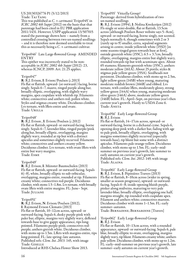#### US 20130326776 P1 (5/12/2013) Trade: Tai Yang

This was published as *C*. × *cartmanii* 'Evipo045' in *ICRC 2002 4th Suppt* (2012) on the basis that that parentage had been cited in EU PBR application 2011/1431. However, USPP application 13/507015 stated the parentage shown here – namely from a controlled crossing between two un-named seedlings – and it is therefore now deemed unreliable to treat this as necessarily being a *C*. × *cartmanii* cultivar.

'Evipo046' Late Large-flowered Group AMENDED ENTRY

This epithet was incorrectly stated to be nonacceptable in *ICRC 2002 4th Suppt* (2012): 23, whereas ICNCP, 2009: Art. 21.25 applies.

#### 'Evipo047'

R: R.J. Evison, I: Evison/Poulsen (*c*.2013) Fls flat or flattish, upward- (or outward-) facing, borne singly. Sepals 6–7, mauve, tinged purple along bar, broadly elliptic, overlapping, with slightly wavy margins, apex cuspidate with whitish tip. Filaments white; connectives and anthers red; pollen white. Styles and stigmas creamy white. Deciduous climber. Lvs ternate, with lflets entire and ovate. Trade: URILLA

#### 'Evipo048'

R: R.J. Evison , I: Evison/Poulsen (*c*.2012) Fls flat or flattish, upward- or outward-facing, borne singly. Sepals 6–7, lavender-blue, tinged purple/pink along bar, broadly elliptic, overlapping, margins slightly wavy, rounded at tip but with a distinct apiculus and sometimes slightly recurved. Filaments white; connectives and anthers creamy yellow. Deciduous climber. Lvs ternate, with ovate lflets with entire but wavy margins. Trade: Esme

#### 'Evipo049'

R: R.J. Evison, I: Münster Baumschulen (2013) Fls flat or flattish, upward- or outward-facing. Sepals 6(–8), white, broadly elliptic to sub-orbicular, overlapping, margins entire, rounded at tip. Filaments creamy white; connectives red-purple. Deciduous climber, with stems 1.5–1.8m. Lvs ternate, with broadly ovate lflets with entire margins. FL: June– Sept. Trade: Juliane

### 'Evipo051'

R: R.J. Evison, N: Evison/Poulsen (2012), I: Raymond Evison Clematis (2013) Fls flat or flattish, 10–12cm across, upward- or outward-facing. Sepals 6, dusky purple-pink with paler bar, elliptic, margins very slightly wavy, deflexed towards base to give gappy appearance, tips longpointed. Filaments purple-pink; connectives redpurple; anthers greyish white. Deciduous climber, with stems up to 1.5m. Lflets with margins entire, tips long-pointed. FL: late spring–late autumn. Published refs: *Clem*. *Int*. *2013*: 145, with image Trade: Giselle

Introduced at RHS Chelsea Flower Show 2013.

'Evipo055' Viticella Group?

Parentage: derived from hybridization of two un-named seedlings

R: R.J. Evison (1994), I: Nolina Kwekerijen (2012) Fls single or semi-double, flat or flattish, 13.5cm across [although Poulsen Roser website says 5–8cm], upward- or outward-facing, borne singly, not scented. Sepals normally 6, though sometimes with 2 or 3 (rarely up to 9) smaller, extra, sepaloid segments arising in centre; inside yellowish white (155D) [in some seasons tinged green towards base at first], outside greenish white (155C);  $6.5 \times 3.7$ cm, broadly elliptic, overlapping, margins entire but slightly wavy, rounded towards tip but with acuminate apex. About 65 stamens; filaments greenish white (155C); anthers moderate yellow (161A). About 25 pistils; styles & stigmas pale yellow-green (155A). Seedheads not persistent. Deciduous climber, with stems up to 2.5m, light yellow-green (145B) when young, maturing moderate reddish brown (166B) and ribbed. Lvs ternate, with cordate lflets, moderately glossy, strong yellow-green (144A) when young, maturing moderate olive-green (146A) above, moderate yellow-green (146B) below. FL: April–Sept, on previous year's then current year's growth. Hardy to USDA Zone 6. Trade: ANETA

#### 'Evipo056' Early Large-flowered Group R: R.J. Evison

Fls flat or flattish, 14–17cm across, upward- or outward-facing, borne in a dichasial cyme. Sepals 6, opening deep pink with a darker bar, fading with age to pale pink, broadly elliptic, overlapping, with margins sometimes slightly recurved (especially towards base), tip blunt but some with a distinct apiculus. Filaments pale orange-yellow. Deciduous climber, with stems up to 1.5m. FL: early–midsummer on previous year's growth, late summer to early autumn on current year's growth. Published refs: *Clem*. *Int*. *2012*: 149, with image Trade: Alaina

'Evipo061' Early Large-flowered Group<br>R: R.J. Evison, I: Pépinières Travers (2013) Fls flat or flattish, 8–10cm across (wider in spring, smaller as season progresses), upward- or outwardfacing. Sepals 6–8; inside opening bluish purple, pinker along midveins, maturing to very pale lavender-blue; broadly elliptic, overlapping one half, margins straight, tip rounded with cuspidate apex. Filament and anthers white; connectives maroon. Deciduous climber with stems 1–1.5m. FL: early summer–autumn.

Trade: Bernadine; Bernardine [Travers]

'Evipo062' Early Large-flowered Group R: R.J. Evison

Fls flat or flattish, 10–13cm across, with a rounded appearance, upward- or outward-facing. Sepals 6, pale blue, broadly elliptic to ovate, overlapping, margins slightly wavy, tip blunt. Filaments creamy white; anthers pale yellow. Deciduous climber, with stems up to 1.2m. FL: early–mid-summer on previous year's growth, late summer–early autumn on current year's growth.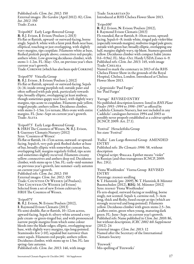Published refs: *Clem*. *Int*. *2012*: 150 External images: *The Garden* (April 2012): 82; *Clem*. *Int*. *2012*: 150 Trade: Zara

'Evipo063' Early Large-flowered Group R: R.J. Evison, I: Evison/Poulsen (*c*.2013) Fls flat or flattish, upward- or outward-facing, borne singly. Sepals 8, white with a faint pink flush near base, elliptical, touching or just overlapping, with slightly wavy margins, tips cuspidate. Filaments white at base, flushed pinkish purple above; connectives red-purple; anthers white. Low-growing deciduous climber, with stems 1–1.2m. FL: May– Oct, on previous year's then current year's growth.

Trade: Corinne (which has also been spelt Corrine)

'Evipo070' Viticella Group

R: R.J. Evison , I: Evison/Poulsen (*c*.2012) Fls flat or flattish, upward- or outward-facing. Sepals (4–)6; inside strong purplish red; outside paler and often suffused with pale pink, particularly towards tips; broadly elliptic, overlapping (at least midway, though sometimes gappy near base), with slightly wavy margins, tips acute to cuspidate. Filaments pale yellow, tinged purple; anthers yellow. Deciduous climber, with stems 1–1.5m. Lvs ternate, lflets ovate with entire margins. FL: June–Sept on current year's growth. Trade: ALITA

'Evipo073' Early Large-flowered Group S: HRH The Countess of Wessex, N: R.J. Evison, I: Guernsey Clematis Nursery (2012) Syns: 'Countess of Wessex' Fls flat or flattish, 14–17cm across, outward- or upwardfacing. Sepals 6, very pale pink flushed darker at base of bar, broadly elliptic with somewhat cuneate base, overlapping half, margins regularly frilled, tips acute and sometimes slightly recurved. Filaments creamy yellow; connectives and anthers deep red. Deciduous climber, with stems up to 1.5m. FL: early–mid-summer on previous year's growth, late summer–early autumn on current year's growth. Published refs: *Clem*. *Int*. *2012*: 150

External images: *Clem*. *Int*. *2012*: 150 Trade: Countess Of Wessex (of Poulsen); The Countess Of Wessex (of Evison) Selected from a set of new Evison cultivars by HRH The Countess of Wessex.

#### 'Evipo075'

R: R.J. Evison, N: Evison/Poulsen (2012), I: Raymond Evison Clematis (2013) Fls semi-double, flat or flattish, 10–12cm across, upward-facing. Sepals 6; silvery white around a very pale cream- or green-tinged bar, and with pronounced narrow purple margins from which some colour bleeds into the blade-edges; elliptic, overlapping near base, with slightly wavy margins, tips long-pointed. Staminodes few (<10), sepaloid but narrower than outer sepals. Filaments red-purple; anthers yellow. Deciduous climber, with stems up to 1.5m. FL: late spring–late autumn.

Published refs: *Clem*. *Int*. *2013*: 146, with image

Trade: Samaritan Jo Introduced at RHS Chelsea Flower Show 2013.

#### 'Evipo100'

R: R.J. Evison, N: Evison/Poulsen (2012), I: Raymond Evison Clematis (2013) Fls rounded, flat or flattish, 8–10cm across, upward-

facing. Sepals 6–8; inside white, tinged pale violet-blue (especially towards margins), midveins tinged pale green; outside with green bar; broadly elliptic, overlapping one half, margins slightly wavy, tip blunt. Stamens greenish yellow. Deciduous climber with compact habit (stems 0.6–0.9m). FL: May–Oct. Hardy USDA Zones 4–9. Published refs: *Clem*. *Int*. *2013*: 145, with image Trade: Chelsea

Named to mark the centenary in 2013 of the RHS Chelsea Flower Show in the grounds of the Royal Hospital, Chelsea, London. Introduced at Chelsea Flower Show 2013.

× *fargesioides* 'Paul Farges' See 'Paul Farges'

#### 'Farrago' REVISED ENTRY

No published description known: listed in *RHS Plant Finder 1993–1994* to *1996–1997* as offered by Caddicks Clematis Nursery, but not included in any Caddicks' catalogues between 1994 and 2003 so possibly never properly established as a cultivar epithet (ICNCP, 2009: Art. 27.1).

'Festival' Heracleifolia Group See *stans* 'Festival'

'Fialka' Late Large-flowered Group AMENDED ENTRY

Published refs: *The Clematis 1996*: 58, without description

Original script: Фиалка. Epithet means "violet" in Russian (and thus transgresses ICNCP, 2009: Rec. 21G).

'Fiona Woolfenden' Viorna Group REVISED ENTRY

Parentage: *texensis* seedling

S: T. Hannink (pre- 2009), N: T. Hannink, I: Münster Baumschulen (2012), REG: M. Münster (2012) Syns: *texensis* 'Fiona Woolfenden' Fls urn-shaped, outward-facing or nodding, borne singly, not scented. Sepals 4, carmine-red, 3–4cm long, thick and fleshy, fused except at tips (which are strongly recurved and long-pointed). Filaments yellow. Deciduous climber with green stems 2.5–3m. Leaflets entire, green when young, maturing dark green. FL: June–Sept, on current year's growth. Published refs: Name published in *Clem*. *Int*. *2010*: 86, but without description; *ICRC 2002 4th Supplement* (2012): 24

External images: *Clem*. *Int*. *2013*: 12 Named after the Secretary of the International Clematis Society

'Firework' Mis-spelling of 'Fireworks'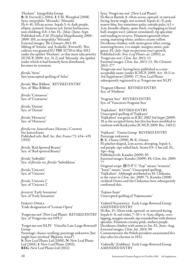'Floclemi' Integrifolia Group R: B. Fretwell (*c*.2004), I: F.M. Westphal (2008) Syns: *integrifolia* 'Miranda'; 'Miranda' Fls 6–8(–10)cm across. Sepals 5–6, dark purple, elliptic, pointed. Stamens red. Stems herbaceous, non-climbing, 0.8–1.5m. FL: (May–)June–Sept. Published refs: *F*.*M*. *Westphal Hauptkatalog <sup>2008</sup>*– *<sup>2009</sup>*: 105, as *integrifolia* 'Miranda' External images: *The Clematis 2011*: 85 Sibling of 'Amelia' and 'Arabella' (Fretwell). This cultivar was granted EU PBR 32718 in May 2012 under the epithet 'Floclemi', so that must take priority (ICNCP, 2009: Art. 31.2) and 'Miranda', the epithet under which it had formerly been distributed, becomes its synonym.

*florida* 'Atras' Syn/unaccepted spelling of 'Atlas'

*florida* 'Blue Ribbon' REVISED ENTRY Syn. of 'Blue Ribbon'

*florida* 'Centaurus' Syn. of 'Centaurus'

*florida* 'Denim' Syn. of 'Denim'

*florida* 'Hornessy' Syn. of 'Hornessy'

*florida* var. *hancockiana* (Maxim.) Courtois See *hancockiana* Published refs: *Bull*. *Soc*. *Bot*. *France* 72: 434–435 (1925)

*florida* 'Red-Spotted Beauty' Syn. of 'Red-spotted Beauty'

*florida* 'Seiboldii' Syn. of *florida* var. *florida* 'Sieboldiana'

*florida* 'Unicorn' Syn. of 'Unicorn'

*florida* 'Unicorn 2' Syn. of 'Unicorn 2'

*foresterii* 'Early Sensation' Syn. of 'Early Sensation'

Forest Opera Trade designation of 'Lesnaia Opera'

'Forget-me-not' (New Leaf Plants) REVISED ENTRY Syn. of 'Forget-me-not NPL1'

'Forget-me-not NLP1' Viticella/Late Large-flowered? Group Parentage: chance seedling; parentage unknown (but might have involved 'Błękitny Anioł') S: New Leaf Plants Ltd (2000), N: New Leaf Plants Ltd (2001), I: New Leaf Plants (2003), REG: New Leaf Plants Ltd (2012)

Syns: 'Forget-me-not' (New Leaf Plants) Fls flat or flattish, 8–10cm across, upward- or outwardfacing, borne singly, not scented. Sepals 4(–5), pale mauve-blue, bar sometimes paler, outside paler,  $4.5 \times$ 2cm, broadly elliptic, quite thick, overlapping in basal half, margin wavy (almost crenulated), tip apiculate and tending to recurve. Filaments greenish when young, maturing white; anthers creamy yellow. Deciduous climber, with stems green when young, maturing brown. Lvs simple, margins entire, pale green. FL: July–Sept on previous year's growth. Published refs: *New Leaf Plants cat*. (2003), as 'Forget-me-not'; *Clem*. *Int*. *2013*: 13 External images: *Clem*. *Int*. *2013*: 13; *The Clematis 2013*: 177

'Forget-me-not' having been published as a nonacceptable name (under ICNCP, 2009: Art. 30.1) in *3rd Supplement* (2009): 17, New Leaf Plants subsequently registered it as 'Forget-me-not NLP1'.

'Fragrant Oberon' REVISED ENTRY Syn. of 'Hutbron'

'Fragrant Star' REVISED ENTRY Syn. of 'Vancouver Fragrant Star'

'Fujikahori' REVISED ENTRY Unaccepted spelling of 'Fujikaori' 'Fujikahori' was given in *ICRC 2002 3rd Suppt* (2009): 18 as the accepted form, but this has been modified to conform with Kenkyusha (ICNCP, 2009: Rec. 34D.1).

'Fujikaori' Viorna Group REVISED ENTRY Parentage unknown R: K. Ozawa (1998), N: K. Ozawa Fls pitcher-shaped, 2cm across, drooping. Sepals 4, red-purple, tips rolled back. Stems 0.9–1.5m tall. FL: Apr–Aug. Published refs: Kaneko (2009): 85 External images: Kaneko (2009): 85; *Clem*. *Int*. *2009*: 77 Original script: 藤カオリ. "Fuji" means "wisteria", "kaori" means "scent". Unaccepted spelling: 'Fujikahori'. Although attributed to M. Chikuma as the raiser in *Clem*. *Int*. *2009*: 71, Kaneko (2008) credited Ozawa and the Chikumas have subsequently confirmed this.

'Fujimu Sumi' Unaccepted spelling of 'Fujimusume'

'Gabriel Narutowicz' Early Large-flowered Group AMENDED ENTRY Fls flat, 15–20cm wide, upward- or outward-facing. Sepals 6–8, red-violet,  $7-10 \times 4$ –5cm, elliptic, over-<br>lapping, margins smooth, tips rounded but with distinct apiculus. Filaments creamy pink; anthers purple. Deciduous climber with stems to 2m. FL: June–Aug. External images: *Clem*. *Int*. *2014*: 90 Commemorates the Polish president assassinated five days after his election in 1922.

'Gabrielle' (Gubbins) Early Large-flowered Group AMENDED ENTRY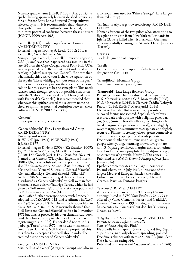Non-acceptable name (ICNCP, 2009: Art. 30.1), the epithet having apparently been established previously for a different Early Large-flowered Group cultivar, selected by Hill. It is recommended that whenever this epithet is used the author's name be cited, to minimize potential confusion between these cultivars (ICNCP, 2009: Art. 30.5).

'Gabrielle' (Hill) Early Large-flowered Group AMENDED ENTRY

External images: Toomey & Leeds (2001): 201, as 'Gabriëlle'; *Clem*. *Int*. *2011*: 64

Mis-spellings: 'Gabriel'; 'Gabriëlle'. Brewster Rogerson, USA (*in litt*.) says that it appeared as a seedling in the late 1960s in the Cape Cod garden of Polly Hill, USA, was propagated by Steffen about 1983 and listed in his catalogue (?date) mis-spelt as 'Gabriel'. He notes that what marks this cultivar out is the wide separation of the sepals: "like a whirligig without some of the curl". European nurseries vary in how they describe the flower colour, but this seems to be the same plant. This needs further study though, to sort out possible confusion with the 'Gabrielle<sup>y</sup> described by Gubbins (and even with Franczak's 'Gabriela'). It is recommended that whenever this epithet is used the selector's name be cited, to minimize potential confusion between these cultivars (ICNCP, 2009: Art. 30.5).

'Gekkou'

Unaccepted spelling of 'Gekkō'

'Generał Sikorski' Early Large-flowered Group AMENDED ENTRY Parentage unknown R: W. Noll (pre- 1971), N: W. Noll (*c*.1971), I: J. Fisk (1977) External images: Kivistik (2008): 82; Kaneko (2009):

45; *The Clematis 2009*: 37; Matz & Cedergren (2010): 127; Gooch (2011): 173; *Clem*. *Int*. *2014*: 91 Named after Generał Władysław Eugeniusz Sikorski (1881–1943), the Polish soldier and politician [see also *The Clematis 2009*: 54 and *Clem*. *Int*. *2014*: 91]. Mis-spellings: 'General Sikorski'; 'Général Sikorski'; 'General Sikorsky'; 'General Sirkoski'; 'Sikorski'. In the 1990s S. Franczak alleged that the plants distributed as 'Generał Sikorski' by Noll were in fact Franczak's own cultivar 'Jadwiga Teresa', which he had given to Noll around 1970. This version was published by R. Evison in *The Garden* (March 1997): 195 and later – after further correspondence with Franczak – adopted for *ICRC 2002*: 112 [and re-affirmed in *ICRC 2002 4th Suppt* (2012): 26]. In an article about Noll in *Clem*. *Int*. *2014*: 82–93, S. Marczyński showed that Noll first sent 'Generał Sikorski' to Fisk in November 1971 but that, as proved by his own clematis stud-book (and therefore contrary to what he claimed when registering this in 1987), Franczak did not raise his 'Jadwiga Teresa' until 1972 – so he was mistaken in later life to claim that Noll had misappropriated this. It is therefore accepted that Noll should indeed be credited as the breeder of 'Generał Sikorski'.

'George' REVISED ENTRY Mis-spelling of 'Georg' (Atragene Group), and also an 29

erroneous name used for 'Prince George' (Late Largeflowered Group)

#### 'Girėnas' Early Large-flowered Group AMENDED ENTRY

Named after one of the two pilots who, attempting to fly a plane non-stop from New York to Lithuania in July 1933, were killed when it crashed in Germany after successfully crossing the Atlantic Ocean [see also 'Darius'].

Giselle Trade designation of 'Evipo051'

'Giselle' Erroneous name for 'Evipo051' (which has trade designation GISELLE)

'Grandiflora' Montana Group Syn. of *montana* var. *grandiflora*

'Grunwald' Late Large-flowered Group Parentage: known but not disclosed by registrant R: S. Marczyński (2004), G: S. Marczyński (2006), N: S. Marczyński (2014), I: Clematis Źródło Dobrych Pnączy (2014), REG: S. Marczyński (2014) Fls flat or flattish, 10–12cm across, upward- or outward-facing, not scented. Sepals 6, of a velvety texture, dark violet-purple with a slightly paler bar, 5–5.5  $\times$  3.5–4cm, broadly elliptic, touching (with basal margins of sepals down-turned), with slightly wavy margins, tips acuminate to cuspidate and slightly recurved. Filaments creamy yellow-green; connectives and anthers violet-purple. Seedheads persistent. Deciduous climber, with stems up to 3m, green/ purple when young, maturing brown. Lvs pinnate with 3–5, pale green lflets, margins entire, sometimes lobed and sometimes purplish. FL: mid-June–Sept, on current year's growth. Hardy USDA zones 4–9. Published refs: *Źródło Dobrych Pnączy Oferta* (Lato-Jesień 2014)

Epithet commemorates the village in northeast Poland where, on 15 July 1410, during one of the largest Medieval European battles, the Polish-Lithuanian military forces decisively defeated the German-Prussian Teutonic knights.

#### 'Guernsey' REVISED ENTRY

Almost certainly an error for 'Guernsey Cream': although listed in *RHS Plant Finder 1992–1993* as offered by Valley Clematis Nursery and Caddick's Clematis Nursery, the 1992 catalogue for the former has no entry for 'Guernsey' but does list 'Guernsey Cream' as "new".

'Hågelby Pink' Viticella Group REVISED ENTRY Parentage: *campaniflora* × *viticella* Syns: *viticella* 'Hågelby Pink' Fls broadly bell-shaped, *c*.5cm across, nodding. Sepals 4, pale pink, narrowly obovate, spreading, pointed. Deciduous climber with stems 2.5–3m. FL: June–Sept. RHS hardiness rating H6. Published refs: *Thorncroft Clematis Nurserycat*. *2005*: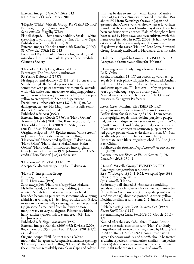External images: *Clem*. *Int*. *2012*: 113 RHS Award of Garden Merit 2010

'Hågelby White' Viticella Group REVISED ENTRY Parentage: *campaniflora* × *viticella* Syns: *viticella* 'Hågelby White' Fls bell-shaped, 4–5cm across, nodding. Sepals 4, white, spreading towards tip. Stems 1.8–3m. FL: June–Sept. Published refs: Howells (1998): 89 External images: Kaneko (2005): 56; Kaneko (2009): 81; *Clem*. *Int*. *2012*: 112–113 Found in Hågelby Park in Stockholm, Sweden, and introduced in 1998 to mark 10 years of the Swedish Clematis Society.

'Hakuōkan' Early Large-flowered Group Parentage: 'The President' x unknown R: Yoshio Kubota (1) (1957) Fls single or semi-double, (12–)15–18(–20)cm across. Sepals of single fls 7–8, deep violet to blue-purple, sometimes with paler bar veined with purple, outside with wide white bar, lanceolate, overlapping, pointed, margin somewhat wavy. Filaments white; anthers pale yellow to creamy white. Seedheads persistent. Deciduous climber with stems 1.8–3.5(–4) m. Lvs dark green, ternate. FL: May–June (fls usually semidouble), Aug–Sept (fls single). Published refs: Arai (1957) External images: Gooch (1996), as 'Haku Ookan'; Toomey & Leeds (2001): 214; Kaneko (2005): 23, as 'Hakuohkan'; Kaneko (2009): 21 & 46; Gooch (2011): 177, as 'Hakuookan' Original script: 白王冠. Epithet means "white crown" in Japanese. Acceptable alternative spelling: 'Hakuookan'. Unaccepted spellings: 'Hakuohkan'; 'Haku Okan'; 'Haku-okan'; 'Hakuôkan'; 'Haku Ookan'; 'Haku-ookan'. Introduced into England from Japan by Jim Fisk in 1971. Johnson (2001): 736 credits "Esio Kubota" [*sic*.] as the raiser.

'Hakuookan' REVISED ENTRY Acceptable alternative spelling for 'Hakuōkan'

'Hakurē' Integrifolia Group Parentage unknown R: H. Hayakawa (1991) Syns: *integrifolia* 'Hakurai'; *integrifolia* 'Hakurei' Fls bell-shaped, 3–4cm across, nodding, jasminescented. Sepals 4, at first white tinged with pale lavender, becoming pure white, sometimes developing a bluish bar with age, 4–5cm long, outside with 3 ribs, ovate-lanceolate, usually twisting, recurved at pointed tip (in some fls recurved from half way or more), margin wavy to varying degrees. Filaments whitish, hairy; anthers yellow, hairy. Stems erect, 0.6–1m. FL: June–Sept. Published refs: *Engei shinchisiki* (1992)

External images: Kaneko (2005): 68; Kivistik (2008): 84; Kaneko (2009): 91, as 'Hakurē'; Gooch (2011): 177, as 'Hakuree' Original script: 白嶺. Epithet means "white

mountains" in Japanese. Acceptable alternative spelling: 'Hakuree'; unaccepted spelling: 'Hakurei'. The fls of the cultivar are remarkably variable in shape and colour:

this may be due to environmental factors. Maurice Horn of Joy Creek Nursery imported it into the USA about 1991 from Kazushige Ozawa in Japan and assumed that Ozawa was the raiser, whereas it was later found that the raiser was Hiroshi Hayakawa. There has been confusion with another 'Hakurē' thought to have been raised by Hayakawa, and two cultivars with this name were included in *ICRC* (2002). It has now been established that there is only one 'Hakurē' and Hayakawa is the raiser. 'Hakurē' Late Large-flowered Group, formerly attributed to Hayakawa, does not exist.

'Hakuree' Integrifolia Group REVISED ENTRY Acceptable alternative spelling for 'Hakurē'

'Hanamiguzawa' Early Large-flowered Group R: K. Ochiai

Fls flat or flattish, 15–17.5cm across, upward-facing. Sepals 6–8, soft pink with paler bar, rounded. Anthers pale cream. Deciduous climber, with compact habit and stems up to 2m. FL: late April–May on previous year's growth, Aug–Sept on current year's. Named after a river which flows near the Ochiais' nursery in Kanagawa Prefecture

*hancockiana* Maxim. REVISED ENTRY Syns: *florida* var. *hancockiana* (Maxim.) Courtois Differs from *florida* in having fls 2.5–4.5cm across. Buds upright. Sepals 4, inside blue-purple to purplered, outside mid-green with scarious margins,  $1.5-2 \times$ 0.5–0.8cm, thick and fleshy, pointed, downy outside. Filaments and connectives crimson-purple; anthers red-purple; pollen white. Styles dark crimson, 3.5–5cm. Seedheads persistent; achenes densely hairy. Lvs ternate, with lflets irregularly lobed. FL: Apr–June. East China.

Published refs: *Bull*. *Soc*. *Imp*. *Naturalistes Moscou liv*. I. 1 (1879)

External images: *Bloem* & *Plant* (Nov 2012): 78; *Clem*. *Int*. *2013*: 130–1

'Hanna' Viticella Group REVISED ENTRY Parentage: *campaniflora* × *viticella* R: S. Widberg (*c*.1994), I: F.M. Westphal (pre 1999), REG: S. Widberg (2010) Syns: *viticella* 'Hanna' Fls broadly bell-shaped, 3–6cm across, nodding. Sepals 4, pale violet-blue with a somewhat mauver bar (Howells in *Clem*. *Int*. *2003*: 80 says deep violet with a red-violet bar), rhombic, pointed. Anthers yellow. Deciduous climber with stems 2–2.5m. FL: (June–) July–Sept. Published refs: *J*. *van Zoest Clematis Cat*. (1999); *Robin Savill Cat*. (1999) External images: *Clem*. *Int*. *2011*: 14; Gooch (2011): 178 Named after the raiser's daughter, Hanna-Louise. Beware potential confusion with 'Hania', an Early Large-flowered Group cultivar registered by Marczyński in 2000. The RHS ACONAT committee having

agreed that *campaniflora* and *viticella* should be treated as distinct species, this (and other, similar interspecific hybrids) should now be treated as cultivars in their own right rather than as cultivars of *viticella*.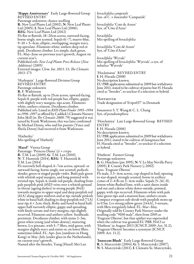'Happy Anniversary' Early Large-flowered Group REVISED ENTRY

Parentage unknown; chance seedling R: New Leaf Plants Ltd (2002), N: New Leaf Plants Ltd (2005), I: New Leaf Plants Ltd (2006), REG: New Leaf Plants Ltd (2012)

Fls flat or flattish, 18–20cm across, outward-facing, borne singly, not scented. Sepals 6(–7), mauve-blue,  $9-10 \times 5$ –6cm, elliptic, overlapping, margin wavy, tip apiculate. Filaments white; anthers deep red or pink. Deciduous climber. Lvs simple, dark green. FL: May–June on previous year's growth, August on current year's.

Published refs: *New Leaf Plants Press Release* (*New Additions*) (2005)

External images: *Clem*. *Int*. *2013*: 13; *The Clematis 2013*: 173

'Harlequin' Large-flowered Division Group REVISED ENTRY Parentage unknown

R: F. Watkinson

Fls flat or flattish, up to 25cm across, upward-facing. Sepals 8, purple with red-purple bar, elliptic, gappy, with slightly wavy margins, tips acute. Filaments white; anthers crimson. Deciduous climber.<br>Published refs: Listed in *RHS Plant Finder 1993–1994* to 1996–1997 as offered by Caddick's Clematis Nursery John Skill (in *The Clematis 2008*: 79) suggested it was raised by Frank Watkinson; this was later confirmed by Michael Denny, who said his parents (Vince and Sheila Denny) had received it from Watkinson.

'Hatherley' Mis-spelling of 'Hatherly'

'Hazel' Viorna Group Parentage: 'Princess Diana' (s) × *crispa* R: T.M. Lan (2009), G: T.M. Lan (2010), N: T. Hannink (2014), REG: T. Hannink & T.M. Lan (2014)

Fls narrowly bell-shaped, 6–7cm across, upward- or outward-facing, borne singly, not scented; pedicels slender, green or tinged purple-violet. Buds pale green with whitish sepal margins, and long-pointed with twisted tips. Sepals 4; inside red-purple, shading from pale purplish pink (65D) veins over a whitish ground in throat (ageing darker) to strong purple (84A) towards margins in upper sepal and deep purplish red (61A) along upper midvein and at tip; outside pinkish white in basal half, shading to deep purplish red (71A) near tip;  $6 \times 2$ cm; thick, fleshy and fused in basal half; upper half narrowly elliptic, gappy and spreading, with finely serrate and wavy margins, tips slightly recurved. Filaments and anthers yellow. Seedheads persistent. Deciduous climber, with stems 2–3m, green when young (and white-downy), maturing brown. Lvs pinnate, with 5–7 lflets, mid-green, with margins slightly wavy and entire or, on lower lflets, sometimes lobed. FL: Apr–Jun (outdoors in Hong Kong) or May–July (under glass in the Netherlands), on current year's growth.

Named after the breeder, Tsang (Hazel) Mei Lan

*heracleifolia campenile* Syn. of *C*. × *bonstedtii* 'Campanile'

*heracleifolia* 'Cote de Azure' Syn. of 'Côte d'Azur'

*heraclifolia* Mis-spelling of *heracleifolia*

*heraclifolia* 'Cote dé Azure' Syn. of 'Côte d'Azur'

*heraclifolia* 'Wyvale' Mis-spelling of *heracleifolia* 'Wyevale', a syn. of *tubulosa* 'Wyevale'

'Hoclematsu' REVISED ENTRY I: H. Harada (2008) No description known. EU PBR application submitted in 2009 but withdrawn June 2011; stated to be cultivar of *patens* but H. Harada cited as "breeder", so unclear if a selection or hybrid.

Hoffmeyer Trade designation of 'Evipo037' in Denmark

*honanensis* S. Y. Wang & C. L. Chang Syn. of *pseudootophora*

'Horclemiya' Late Large-flowered Group REVISED ENTRY I: H. Harada (2006)

No description known.

EU PBR application submitted in 2009 but withdrawn June 2011; stated to be cultivar of *lanuginosa* but H. Harada cited as "breeder", so unclear if a selection or hybrid.

'Hutbron' Forsteri Group Parentage unknown R: G. Hutchins (pre 1995), N: V. Le May Neville-Parry (2005), I: County Park Nursery (*c*.2002) Syns: 'Fragrant Oberon' Fls male, 3.3–4cm across, cup-shaped in bud, opening to star-shaped, strongly scented, borne in axillary cymes of 2–6 fls on  $3-4$ cm stalks. Sepals  $(5-)6(-8)$ , lemon-white flushed lime, with a satin sheen inside and out and a dense white down outside, pointed, gappy, with tips recurved. Filaments white with pale lime-green tips and a maroon base; anthers cream. Compact evergreen sub-shrub with purplish stems up to 0.5m. Lvs strong yellow-green (144A), 3-ternate, with lflets irregularly lobed. FL: Mar–May. Originally sold by County Park Nursery under the seedling code "9100 male", then from 2005 as 'Fragrant Oberon', but that epithet was superseded when the cultivar was granted EU PBR 35413 as 'Hutbron' in August 2013 (ICNCP, 2009: Art. 31.2); 'Fragrant Oberon' becomes a synonym (ICNCP, 2009: Art. 11.2).

'Innocent Blush' Early Large-flowered Group R: S. Marczyński (2004), G: S. Marczyński (2007), N: S. Marczyński (2011), I: Clematis Sz. Marczyński,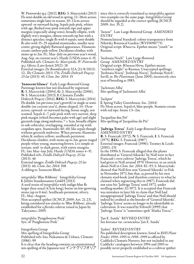W. Piotrowski sp.j. (2012), REG: S. Marczyński (2013) Fls semi-double on old wood in spring, 12–18cm across; sometimes single later in season, 10–12cm across; upward- or outward-facing. Sepals pale pink, whiter with age, flushed rose-pink towards tips and upper margins (especially along veins), broadly elliptic, with slightly wavy margins, obtuse towards tip but with a distinct apiculus; single fls with 6 sepals; semi-double fls also with 15–25 sepaloid staminodes, smaller near centre, giving slightly flattened appearance. Filaments cream; anthers pale yellow. Deciduous climber, with stems up to 2m. FL: May–July on previous year's wood, Aug–Sep. on current year's. Hardy (USDA zones 4–9). Published refs: *Clematis Sz*. *Marczyński*, *W*. *Piotrowski sp*.*j*. *Oferta* (Lato-Jesień 2012): 18 External images: *De Boomkwekerij* 32A (21/8/2013): 12; *The Clematis <sup>2013</sup>*: 176; *Źródło Dobrych Pnączy*: *<sup>25</sup> lat* (2013): 45; *Clem*. *Int*. *2014*: 15

'Innocent Glance' Early Large-flowered Group Parentage known but not disclosed by registrant R: S. Marczyński (2004), G: S. Marczyński (2006), N: S. Marczyński (2013), I: Clematis Źródło Dobrych Pnączy (2014), REG: S. Marczyński (2014) Fls double (on previous year's growth) or single or semidouble (on current year's), dome-shaped, 14-15cm across, upward- or outward-facing, borne singly, not scented. Sepals 6–7, pale pink with very narrow, deep pink margin (which becomes paler with age) and slight greenish tinge along midveins;  $7 \times$  5cm, broadly elliptic to sub-orbicular, overlapping, rounded at tip with cuspidate apex. Staminodes 40–60, like sepals though without greenish midveins. When present, filaments white & anthers yellow; seedheads persistent. Deciduous climber, with stems up to 2m, green tinged purple when young, maturing brown. Lvs simple or ternate, mid- to dark green, with entire margins. FL: late May–late July. Hardy (USDA zones 4–9). Published refs: *Źródło Dobrych Pnączy*: *25 lat* (2013): 46

External images: *Źródło Dobrych Pnączy*: *25 lat* (2013): 46; *Clem*. *Int*. *2014*: 108 A sibling to 'Innocent Blush'.

*integrifolia* 'Blue Ribbons' Integrifolia Group I: Jelitto Staudensamen GmbH (2012)<br>A seed strain of *integrifolia* with indigo-blue fls larger than usual (4.5cm long), borne on low-growing stems (up to 0.4m). Seedheads persistent, silvery. FL: May–August. Non-accepted epithet (ICNCP, 2009: Art. 21.23),

being considered too similar to 'Blue Ribbon', already established for a *florida* cultivar raised in Japan by Takeyama *c*.2005.

*integrifolia* 'Pangebourne Pink' Syn. of 'Pangbourne Pink'

Integriforia Group Mis-spelling of Integrifolia Group Published refs: Ino, Nakamura & Uehara, *Clematis* (1986): 99 It is clear that the heading contains an unintentional mis-spelling of the Japanese text インテグリフオリア since this is correctly translated as *integrifolia* against two examples on the same page. Integrifolia Group should be regarded as the correct spelling (ICNCP, 2009: Art. 35.2).

'Iunost′' Late Large-flowered Group AMENDED ENTRY

Nomenclatural Standard: colour transparency from Nikitsky Botanical Garden (WSY0096775) Original script: Юность. Epithet means "youth" in Russian.

'Iuzhnaia Noch′' Late Large-flowered Group AMENDED ENTRY Original script: Южная Ночь. Epithet means "southern night" in Russian. Unaccepted spellings: 'Juzhnaia Noczj'; 'Juzhnaja Noczj'; 'Juzhnaja Notch'. Savill, in *The Plantsman* (June 2005), incorrectly cites year of breeding as 1983.

'Jackmani Alba' Mis-spelling of 'Jackmanii Alba'

'Jackpot'

I: Spring Valley Greenhouse, Inc. (2014) Fls 10cm across. Sepals 6, blue-purple. Stamens cream with red tips. Stems 1.5–2m.

'Jacqueline due Prê' Mis-spelling of 'Jacqueline du Pré'

'Jadwiga Teresa' Early Large-flowered Group AMENDED ENTRY R: S. Franczak (1972), N: S. Franczak, I: S. Franczak (1975), REG: S. Franczak (1987) External images: Franczak (1996); Toomey & Leeds (2001): 231 In the 1990s S. Franczak alleged that the plants distributed as 'Generał Sikorski' by Noll were in fact Franczak's own cultivar 'Jadwiga Teresa', which he had given to Noll around 1970. However, in an article about Noll in *Clem*. *Int*. *2014*: 82–93, S. Marczyński showed that Noll first sent 'Generał Sikorski' to Fisk in November 1971, but that, as proved by his own clematis stud-book (and therefore contrary to what he claimed when registering this in 1987), Franczak did not raise his 'Jadwiga Teresa' until 1972, under seedling number 32/1972. It is accepted that Franczak was mistaken in later life to claim that Noll had misappropriated 'Jadwiga Teresa' and that Noll should indeed be credited as the breeder of 'Generał Sikorski'. 'Jadwiga Teresa' seems no longer to be identifiable in cultivation. It was stated by Feltwell (1999) that 'Jadwiga Teresa' is "sometimes spelt 'Matka Teresa'".

'Jan E. Sanda' REVISED ENTRY See *koreana* var. *carunculosa* 'Jan E. Sanda'

'Jashio' REVISED ENTRY

No published description known: listed in *RHS Plant Finder 1994–1995* to *1998–1999* as offered by Caddicks Clematis Nursery, but not included in any Caddicks' catalogues between 1994 and 2003 so possibly never properly established as a cultivar epithet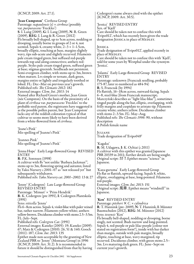#### (ICNCP, 2009: Art. 27.1).

'Jean Cumpston' Cirrhosa Group Parentage: *napaulensis* (s) × *cirrhosa* (possibly var. *purpurascens* 'Freckles') S: I. Lang (2009), G: I. Lang (2009), N: R. Green (2009), REG: I. Lang & R. Green (2012) Fls broadly bell-shaped, up to 5cm across, nodding or drooping, usually borne in groups of 2 or 4, not scented. Sepals 4, creamy white,  $2-3 \times 1-1.5$ cm, broadly elliptic, touching at base, margins slightly wavy, tips sub-acute and slightly recurved. Filaments pale cream tinged green, but suffused red-purple towards top and along connectives; anthers redpurple. Styles pale cream tinged green, suffused green at base; stigmas greenish. Seedheads not persistent. Semi-evergreen climber, with stems up to 3m, brown when mature. Lvs simple or ternate, dark green, margins entire or lightly and irregularly toothed or lobed. FL: Dec–Mar on previous year's growth. Published refs: *The Clematis 2012*: 182 External images: *Clem*. *Int*. *2013*: 14 Named after Richard Green's mother, Jean Green (née Cumpston). On the basis of the proximity of a plant of *cirrhosa* var. *purpurascens* 'Freckles' to the probable seed parent, the registrants have suggested it as the possible pollen parent, but 'Jean Cumpston' lacks any of the reddish coloration typical of that cultivar so seems more likely to have been derived from a white-flowered form of *cirrhosa*.

'Jeane's Pink' Mis-spelling of 'Jeanne's Pink'

'Jeannes Pink' Mis-spelling of 'Jeanne's Pink'

'Jenna Hope' Early Large-flowered Group REVISED ENTRY

R: P.K. Sorensen (1998)

A cultivar with fls "not unlike 'Barbara Jackman'", stems up to 3m, flowering spring and autumn; listed by Yaku Nursery *c*.2001–07 as "not released yet" but subsequently withdrawn.

Published refs: *Yaku Nurserycat*. *2001*–*2002*: 13 & 27

'Jenny' (Cedergren) Late Large-flowered Group REVISED ENTRY Parentage: 'Minuet' x 'Prins Hendrik' <sup>R</sup>: K. Cedergren (pre 1991), <sup>I</sup>: Cedergren Plantskola (1991) Syns: *viticella* 'Jenny' Fls 6–8cm across. Sepals 4, violet-blue with paler veined bar, rather narrow. Filaments yellow-white; anthers yellow-brown. Deciduous climber with stems 2.5–3.5m. FL: July–Sept. Published refs: *Cedergren Cat*. (1991) External images: Kaneko (2005): 19; Kaneko (2009): 67; Matz & Cedergren (2010): 26, 51 & 140; Gooch (2011): 187; *Clem*. *Int*. *2013*: 135 Epithet made non-acceptable by the granting of New Zealand PBR to 'Jenny' (Montana Group) in 1996 (ICNCP, 2009: Art. 31.2). It is recommended in future it should be distinguished from that by having

Cedergren's name always cited with the epithet (ICNCP, 2009: Art. 30.5).

'Jessica' REVISED ENTRY Syn. of 'Kjell'

Care should be taken not to confuse this with 'Evipo012', which has recently been given the trade designation JESSICA in place of MEDLEY.

#### Jessica

Trade designation of 'Evipo012', applied recently in

 $\rm \tilde{C}$ are should be taken not to confuse this with 'Kjell', sold for some years by Westphal under the synonym 'Jessica'.

'Jolanta' Early Large-flowered Group REVISED ENTRY

Parentage: unknown (Franczak seedling, probably 175-87, later re-numbered as 484-94) R: S. Franczak (by 1994)

Fls flattish, 16–18cm across, outward-facing. Sepals 6–8, steel-blue [from Franczak manuscript; Marczyński describes as "light lilac-blue"], sometimes tinged purple along the bar, elliptic, overlapping, with frilly margins and cuspidate to aristate tip. Filaments creamy white; anthers yellow. Deciduous climber with stems 2–3.5m. FL: May–Aug. Published refs: *The Clematis 1996*: 90, without

description A Polish female name

**JULIANE** Trade designation of 'Evipo049'

#### 'Kagaku'

R: M. Udagawa, I: K. Ochiai (*c*.2011) A cultivar with this epithet was granted Japanese PBR 20339 in 2011; further details are being sought. Original script: カガク. Epithet means "science" in Japanese.

'Kaza-guruma' Early Large-flowered Group Fls flat or flattish, upward-facing. Sepals 8, white, elliptic, overlapping at base, long-pointed. Filaments red-purple.

External images: *Clem*. *Int*. *2013*: 151 Original script: 風車. Epithet means "windmill" in Japanese.

### 'Ken' REVISED ENTRY

Parentage: *pitcheri*× *C*. × *cylindrica* R: T. Hannink (pre- 2009), N: T. Hannink, I: Münster Baumschulen (2012), REG: M. Münster (2012) Syns: *texensis* 'Ken' Fls broadly bell-shaped, nodding or drooping, borne singly, not scented. Buds narrow and long-pointed. Sepals 4, red-purple or pale lilac-purple [colour not stated on registration form\*], inside with bar darker than margin, outside with pale margin, broadly elliptic, touching at base, wavy-margined, tip recurved. Deciduous climber, with green stems 2.5– 3m. Lvs maturing dark green. FL: June–Sept on current year's growth.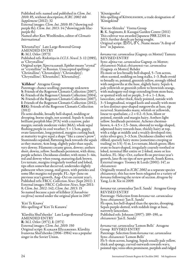Published refs: named and published in *Clem*. *Int*. *2010*: 85, without description; *ICRC 2002 4th Supplement* (2012): 32 purple fls); *Clem. Int. 2013*: 14 (\*showing pale lilac-<br>purple fls) Named after Ken Woolfenden, editor of *Clematis International*

'Khrustal′nyi' Late Large-flowered Group AMENDED ENTRY R: M.I. Orlov (1973) Published refs: Riekstiņa in *I*.*Cl*.*S*. *Newsl*. 3: 12 (1985), as 'Chrystalline' Original script: Хрустальный. Epithet means "crystal" or "crystalline" in Russian. Unaccepted spellings: 'Christalline'; 'Chrustaljniy'; 'Chrustaljnyj'; 'Chrystalline'; 'Khrustalni'; 'Khrustalnyj'.

#### 'Killdeer' Atragene Group

Parentage: chance seedling; parentage unknown S: Friends of the Rogerson Clematis Collection (2007), G: Friends of the Rogerson Clematis Collection (2004), N: Friends of the Rogerson Clematis Collection (2007), I: Friends of the Rogerson Clematis Collection (2012), REG: Friends of the Rogerson Clematis Collection (2012)

Fls semi-double, broadly bell-shaped, nodding or drooping, borne singly, not scented. Sepals 4; inside brilliant purplish blue (97A) with a narrow, paler margin; outside moderate violet (86A); whole sepal flushing purple in cool weather;  $5 \times 1.5$ cm, gappy, ovate-lanceolate, long-pointed, margins curling back at maturity to give sepal a shape "like a canoe's prow". Staminodes sepaloid, flattening back towards the sepals as they mature, 4cm long, slightly paler than sepals, very downy. Filaments creamy green, downy; anthers short, downy, yellow. Seedheads persistent, with shiny, purple achenes. Deciduous climber, with stems 3–4m, red and downy when young, maturing dark brown. Lvs ternate, margins irregularly toothed and lobed, tips often somewhat decurved, undersides slightly pubescent when young, mid-green, with petioles and some lflet margins red-purple. FL: Apr–June on previous year's growth, Aug–Oct on current year's. Published refs: FRCC *Collection News* (Sept 2011): 1 External images: FRCC *Collection News*, Sept 2011: 8; *Clem*. *Int*. *2012*: 142; *Clem*. *Int*. *2013*: 15 So named because a pair of killdeer (*Charadrius vociferus*) nested under the original plant in 2007

'Kiri Te Knawa' Mis-spelling of 'Kiri Te Kanawa'

'Klavdiia Shul′zhenko' Late Large-flowered Group AMENDED ENTRY R: M.I. Orlov (1971), I: (1971) External images: *Clem*. *Int*. *2010*: 150 Original script: Клавдия Шульженко. Klavdiia Ivanovna Shul′zhenko (1906–1984) was a popular singer in the Soviet Union.

'Köenigssohn' Mis-spelling of Königssohn, a trade designation of 'Königskind'

'Koi-no-Shizuku' Viorna Group R: K. Sugimoto, I: Kasugai Garden Centre (2011) This cultivar was awarded Japanese PBR 22301 in 2013; further details are being sought. Original script: 恋のしずく. Name means "A drop of love" in Japanese.

*koreana* var. *carunculosa* (Gagnep. ex Mottet) Tamura REVISED ENTRY

Syns: *alpina* var. *carunculosa* Gagnep. ex Mottet; *chiisanensis* Nakai; *chiisanensis* var. *carunculosa* (Gagnep. ex Mottet) Rehder

Fls more or less broadly bell-shaped, 5–7cm across, often scented, nodding on long stalks, 1–3. Buds ovoid to broadly so, pointed, greenish yellow, strongly ribbed with outgrowths at the base, slightly hairy. Sepals 4, pale yellowish or greenish yellow to brownish orange, with mahogany-red tinge extending from stem-base, or spotted with red or purple,  $3-6 \times 1-1.8$ cm, lanceolate, rather thick, finely pointed, outside with 3–5 longitudinal, winged keels and usually with more or less distinct spur-shaped outgrowths at base, tip recurved. Staminodes many, whitish or yellowish, linear to spathulate,  $c.2 \times 0.2$ –0.3cm, blunt or pointed, outside and margin hairy. Anthers light yellow. Seedheads persistent. Achenes chestnutbrown,  $4-4.5 \times 2.5-3$ mm, obovoid to wedge-shaped, adpressed-hairy towards base, thickly hairy at top, with a ridge at middle and a weakly developed rim; styles silver-grey, 3–3.5cm. Deciduous climber with ribbed, sparsely hairy stems (sometimes creeping or trailing) to  $3.5(-5)$  m. Lys ternate, bluish green; lflets ovate to heart-shaped, irregularly coarsely toothed or lobed, terminal lflet entire or 2-lobed, more or less hairless. FL: May–Oct, earliest fls on previous year's growth, later fls on tips of new growth. South Korea. External images: Toomey & Leeds (2001): 147, as *chiisanensis*

Originally treated in *ICRC 2002* as a separate species *chiisanensis*, this has now been relegated to a variety of *koreana* following the review of section *Atragene* by Yang, Li & Xie in 2009.

*koreana* var. *carunculosa* 'Jan E. Sanda' Atragene Group REVISED ENTRY

Parentage: ?Selection from *koreana* var. *carunculosa* Syns: *chiisanensis* 'Jan E. Sanda' Fls open, less bell-shaped than the species, drooping. Sepals purple-dotted, with reddish tinge at base, narrowly lanceolate. Published refs: Johnson (1997): 189–190, as

*chiisanensis* 'Jan E. Sanda'

*koreana* var. *carunculosa* 'Lemon Bells' Atragene Group REVISED ENTRY Parentage: Selection from *koreana* var. *carunculosa* Syns: *chiisanensis* 'Lemon Bells' Fls 5–6cm across, hanging. Sepals usually pale yellow, thick and spongy, curved outwards towards wavy, pointed tips; veins often prominent, purplish and ridged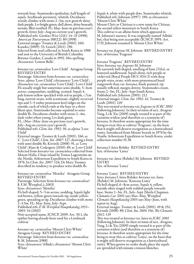towards base. Staminodes spathulate, half length of sepals. Seedheads persistent, whitish. Deciduous woody climber with stems 2–3m, new growth shiny dark purple. Lvs bright green, dull above, shiny beneath, ternate; lflets toothed. FL: May–June on previous year's growth, fewer July–Aug on current year's growth. Published refs: *Gardens West* 12(6): 14–15 (1998); *American Nurseryman* 188(12): 80 (1998) External images: Toomey & Leeds (2001): 260; Kaneko (2009): 33; Gooch (2011): 196 Selected from seed collected in South Korea in 1988 and sent to the University of British Columbia Botanic Garden, Canada in 1992. Mis-spelling: *chissanensis* 'Lemon Belle'.

#### *koreana* var. *carunculosa* 'Love Child' Atragene Group REVISED ENTRY

Parentage: Selection from *koreana* var. *carunculosa* Syns: *alpina* 'Love Child'; *chiisanensis* 'Love Child'; *chiisanensis* var. *carunculosa* 'Love Child'; 'Love Child' Fls usually single but sometimes semi-double, 5–6cm across, campanulate, nodding, scented. Sepals 4, pale lemon-yellow speckled with red or purple, *c*.7cm long, narrow-ovate, with acuminate, slightly recurved tips and 3–5 rather prominent keel-ridges on the outside, each of which ends at the base in a short blunt spur. Staminodes become sepaloid in semidouble fls. Deciduous climber with stems 2–4m, dark violet when young. Lvs dark green. FL: (Mar–)May–June on previous year's growth,

July–Aug on current year's growth.

Published refs: *Clem*. *Int*. *1992*: 30, as *alpina* 'Love Child'

External images: Toomey & Leeds (2001): 266, as<br>C. 'Love Child'; *Clem. Int. 2007*: 127, showing a form *<sup>C</sup>*. 'Love Child'; *Clem*. *Int*. *2007*: 127, showing a form with semi-double fls; Kivistik (2008): 91, as 'Love Child'; Matz & Cedergren (2010): 89, as 'Love Child' Selected from *koreana* var. *carunculosa* collected from Mount Halla, Cheju island by Tomas Lagerström on the Nordic Arboretum Expedition to South Korea in 1976. In *Clem*. *Int*. *2007*: 126, Dr Mary Toomey described its tendency to produce semi-double fls.

*koreana* var. *carunculosa* 'Monika' Atragene Group REVISED ENTRY

Parentage: Selection from *koreana* var. *carunculosa*? I: F.M. Westphal (*c*.2003)

Syns: *chiisanensis* 'Monika'

Fls bell-shaped, 5–7cm across, nodding. Sepals light red-brown, yellow-green towards tip, inside yellowgreen, spreading at tip. Deciduous climber with stems 2–3.5m. FL: May–June, July–Sept.

Published refs: *F*.*M*. *Westphal Hauptkatalog 1953*– *2003*: 54 (2002)

Non-accepted name, ICNCP, 2009: Art. 30.1, the epithet having already been used for a Lindmark cultivar

*koreana* var. *carunculosa* 'Mount Chiri White' Atragene Group REVISED ENTRY

Parentage: Selection from *koreana* var. *carunculosa* S: M. Johnson (1988)

Syns: *chiisanensis* 'Albida'; *chiisanensis* 'Mount Chiri White'

Sepals 4, white with purple dots. Staminodes whitish. Published refs: Johnson (1997): 190, as *chiisanensis* 'Mount Chiri White'

Mount Chiri or Chirisan is a new name for Chiisan, the second tallest mountain in South Korea. This cultivar is an albino form which appeared in M. Johnson's nursery. It was originally named 'Albida' but, that being non-acceptable (ICNCP, 1995: Art. 17.9), Johnson renamed it 'Mount Chiri White'.

*koreana* var. *fragrans* M. Johnson REVISED ENTRY Syn. of *koreana* 'Fragrans'

*koreana* 'Fragrans' REVISED ENTRY Syns: *koreana* var. *fragrans* M. Johnson Fls narrowly bell-shaped, smelling of lime (*Tilia*), or honeyed sandlewood. Sepals shiny, rich purple or violet-red (Royal Purple HCC 834/3) with deep purple veins, ovate, with more pronounced basal outgrowth than var. *koreana*, finely pointed, tip usually reflexed, margin downy. Staminodes cream. Stems 2–3m. FL: July–Sept South Korea. Published refs: Johnson (2001): 212 External images: *Clem*. *Int*. *1992*: 41; Toomey & Leeds (2001): 249

This was treated as *koreana* var. *fragrans* in *ICRC 2002* Yang, Li & Xie (2009) simply treated it as part of the variation within (and therefore as a synonym of) *koreana*. It therefore seems appropriate for the time being to treat this as cultivar 'Fragrans', on the basis that it might still deserve recognition as a horticultural entity. Introduced from Mount Seorak in 1976 by the Nordic Arboretum Expedition to South Korea, under collection number H.38.

*koreana* f. *lutea* Rehder REVISED ENTRY Syn. of *koreana* 'Lutea'

*koreana* var. *lutea* (Rehder) M. Johnson REVISED ENTRY Syn. of *koreana* 'Lutea'

*koreana* 'Lutea' REVISED ENTRY Syns: *koreana* f. *lutea* Rehder; *koreana* var. *lutea* (Rehder) M. Johnson; 'Koreana Lutea' Fls bell-shaped, 6–8cm across. Sepals 4, yellow, outside often tinged with reddish purple towards base. Stems 2–3m. FL: July–Sept (Sheila Chapman Clematis *Cat*. 2002 says Mar–May, Westphal *Clematis Hauptkatalog* 2003 says May–June, with repeat in Aug).

External images: Toomey & Leeds (2001): 49 & 251; Kivistik (2008): 89; *Clem*. *Int*. *2010*: 156; *The Clematis 2012*: 119

This was treated as *koreana* var. *lutea* in *ICRC 2002* (following Johnson). In their revision of sect. *Atragene*, Yang, Li & Xie (2009) simply treated it as part of the variation within (and therefore as a synonym of) *koreana*. It therefore seems appropriate for the time being to treat this as cultivar 'Lutea', on the basis that it might still deserve recognition as a horticultural entity. When grown in cooler shady place the sepals are sprinkled with minute crimson blotches.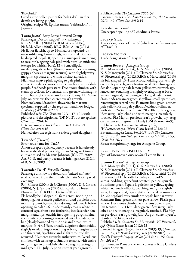'Kotobuki'

Cited as the pollen parent for 'Ashitaka'. Further details are being sought. Original script: 寿. Epithet means "celebration" in Japanese.

'Laura Jayne' Early Large-flowered Group Parentage: 'Doctor Ruppel' (s) × unknown R: B.M. Allen (2004), G: B.M. Allen (2006), N: B.M. Allen (2006), REG: B.M. Allen (2013) Fls flat or flattish, up to 26cm across, upward- or outward-facing, borne singly, not scented. Buds can be deep red. Sepals 8, opening mauve-pink, maturing to rose-pink, ageing pale pink with purplish midveins (except for whitish base),  $12 \times 3$ cm, elliptic, overlapping above base (though sometimes becoming gappy at base as margins recurve), with slightly wavy margins, tip acute and with a distinct apiculus. Filaments mauve-pink, ageing to pale pink; connectives dark crimson-purple; anthers pale reddish purple. Seedheads persistent. Deciduous climber, with stems up to 2.4m. Lvs ternate, mid-green, with margins entire but slightly wavy, undersides downy. FL: May– July, on previous then current year's growth. Nomenclatural Standard: flowering herbarium specimen supplied by the registrant and now lodged at Wisley (WSY0120279)

Published refs: *The Clematis 2011*: 117–121, with pictures and description as "DR No.2", but no epithet; *Clem*. *Int*. *2014*: 16 External images: *The Clematis 2011*: 120–121;

*Clem*. *Int*. *2014*: 16 Named after the registrant's eldest grand-daughter

'Lavender' (Travers)

Erroneous name for 'Tra27'

A non-accepted epithet, partly because it has already been established previously, for an Atragene Group cultivar raised by Magnus Johnson (ICNCP, 2009: Art. 30.1), and partly because it infringes Rec. 21G.1 of ICNCP, 2009.

'Lavender Twirl' Viticella Group Parentage unknown; raised from "mixed *viticella*" seed obtained from the British Clematis Society seed exchange

R: J. Gittoes (2004), S: J. Gittoes (2006), G: J. Gittoes (2006), N: J. Gittoes (2006), I: Roseland House Nursery (2011), REG: J. Gittoes (2012) Fls broadly bell-shaped, 4–6cm across, nodding or drooping, not scented; pedicels suffused purple in bud, maturing to mid-green. Buds downy, dark purple before opening. Sepals 4–6; inside mainly creamy white in centre of sepal from base, feathering into lavender-blue margins and tips; outside first opening purplish blue, then swiftly becoming two-toned with lavender-blue bar (clearly bounded by midribs) and broad, white margins;  $3-4 \times 2.5$ cm, broadly elliptic to rhomboidal, slightly overlapping or touching at base, margins wavy and finely cut, tip obtuse and slightly to strongly recurved. Filaments greenish; anthers white. Deciduous climber, with stems up to 3m. Lvs ternate, with entire margins, green or reddish when young, maturing to mid-green. FL: July–Sept on current year's growth.

Published refs: *The Clematis 2006*: 58 External images: *The Clematis 2006*: 59; *The Clematis 2012*: 149; *Clem*. *Int*. *2013*: 15

'Lebedianaia Pesnia' Unaccepted spelling of 'Lebedinaia Pesnia'

Legend Giga Trade designation of 'Tra35' (which is itself a synonym of 'Trav01')

Legend Violine Trade designation of 'Trajem'

'Lemon Beauty' Atragene Group R: S. Marczyński (2004), G: S. Marczyński (2006), N: S. Marczyński (2011), I: Clematis Sz. Marczyński, W. Piotrowski sp.j. (2012), REG: S. Marczyński (2013) Fls bell-shaped, 10–11cm across, nodding, borne singly on purple pedicels, grapefruit-scented. Buds lime-green. Sepals 4, opening pale lemon-yellow, whiter with age, lanceolate, touching or slightly overlapping at base, wavy-margined, narrowing to a long, slender point. Staminodes cream or greenish yellow, small, spathulate, remaining in central boss. Filaments lime-green; anthers pale yellow. Pistils pale yellow. Deciduous climber, with stems 2–3m. Lvs ternate,  $20 \times 18$ cm, dark green, lflets irregularly lobed and with margins irregularly toothed. FL: May on previous year's growth, July–Aug on current year's growth. Hardy (USDA zones 4–9). Published refs: *Clematis Sz*. *Marczyński*, *W*. *Piotrowski sp*.*j*. *Oferta* (Lato-Jesień 2012): 22 External images: *Clem*. *Int*. *2013*: 147; *The Clematis 2013*: 175; *Źródło Dobrych Pnączy*: *25 lat* (2013): 53; *Clem*. *Int*. *2014*: 16 Fls are exceptionally large for Atragene Group.

'Lemon Bells' REVISED ENTRY Syn. of *koreana* var. *carunculosa* 'Lemon Bells'

'Lemon Dream' Atragene Group

R: S. Marczyński (2004), G: S. Marczyński (2006), N: S. Marczyński (2011), I: Clematis Sz. Marczyński, W. Piotrowski sp.j. (2012), REG: S. Marczyński (2013) Fls semi-double, broadly bell-shaped, 10–12cm across, nodding, grapefruit-scented; pedicels purple. Buds lime-green. Sepals 4, pale lemon-yellow, ageing whiter, narrowly elliptic, touching, margins slightly wavy, long-pointed, tips slightly recurved. Staminodes 12–20, sepaloid, very similar to sepals but narrower. Filaments lime-green; anthers pale yellow. Pistils pale yellow. Deciduous climber, with stems up to 2.5m. Lvs ternate,  $21 \times 14$ cm, dark green, lflets irregularly lobed and with margins irregularly toothed. FL: May on previous year's growth, July–Aug on current year's. Hardy (USDA zones 4–9).

Published refs: *Clematis Sz*. *Marczyński*, *W*. *Piotrowski sp*.*j*. *Oferta* (Lato-Jesień 2012): 22

External images: *TheGarden* (May 2013): 19; *Clem*. *Int*. *2013*: 147; *De Boomkwekerij* 32A (21/8/2013): 12; *Źródło Dobrych Pnączy*: *25 lat* (2013): 54–55; *Clem*. *Int*. *2014*: 17

Runner-up in Plant of the Year contest at RHS Chelsea Flower Show 2013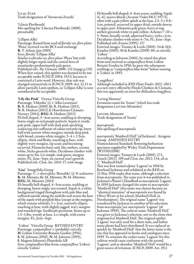Lilac Star Trade designation of 'Sirenevaia Zvezda'

'Lilacia Floribunda' Mis-spelling for 'Lilacina Floribunda' (1890), presumably

'Lilliput Alba' Parentage: Raised from seed of *florida* var. *flore*-*pleno* 'Plena' received via the BCS seed exchange R: Y. Aihara (pre-2005) Syns: *florida* 'Lilliput Alba' Similar to *florida* var. *flore*-*pleno* 'Plena' but with slightly longer tepals and the central boss of staminodes predominantly pale green. Published refs: *The Clematis 2006*: 132 (image p.133) When first coined, this epithet was deemed to be not acceptable under ICNCP, 2004: 19.13, because it contained a Latin word. However, that rule was changed retroactively in ICNCP, 2009: Art. 21.11 to allow partially Latin epithets, so 'Lilliput Alba' is now considered to be acceptable.

'Lily the Pink' Viorna/Viticella Group<br>Parentage: 'Odoriba' (s) × 'Alba Luxurians' R: R. Hodson (2009), G: R. Hodson (2011), N: R. Hodson (2013), I: Hawthornes Clematis Nursery (2014), REG: R. Hodson (2013) Fls bell-shaped, 3–4cm across, nodding or drooping, borne singly on red-purple pedicels. Sepals 4; inside pale pink, upper half with dark pink speckling coalescing into suffusion of colour towards tip, lower half with narrow white margins; outside deep pink with broad, creamy-white margin;  $3-4 \times 2.5$ cm, elliptic, thick and fleshy, touching at base, with slightly wavy margins, tip acute and becoming recurved. Filaments hairy and, like anthers, creamy white. Styles greenish white. Deciduous climber with stems up to 3m. Lvs simple, mid-green, margins entire. FL: June–Sept, on current year's growth. Published refs: *Clem*. *Int*. *2014*: 17, with image

'Lisa' Integrifolia Group

Parentage:  $\check{C} \times \textit{diversifolia}$  'Benedikt' (s)  $\times$  unknown R: M. Münster, G: M. Münster, N: M. Münster, REG: M. Münster (2014) Fls broadly bell-shaped, 4–5cm across, nodding or drooping, borne singly, not scented. Sepals 4, a white background tinged throughout with pale blue and suffused outside along the midribs and across the base of the sepals with purplish blue (except at the margins, which remain whitish);  $5 \times 2$ cm, narrowly elliptic, touching at base, with slightly jagged, wavy margins and rounded tips. Seedheads persistent. Stems up to 1.5–1.8m, woody at base. Lvs simple, with entire margins. FL: June–Sept.

 'Lisboa' Viticella Group REVISED ENTRY Parentage: *campaniflora* × (probably) *viticella* H: Lisbon University Botanic Garden (1956), S: M. Johnson (1956), N: M. Johnson (1993), I: Magnus Johnson's Plantskola AB Syns: *campaniflora* blue form; *campaniflora* 'Lisboa'; *viticella* 'Lisboa'

Fls broadly bell-shaped, 4–6cm across, nodding. Sepals 4(–6), mauve-bluish (Aconite Violet HCC 937/3), often with a pale yellow splash at the base,  $2.5-3 \times 0.8-$ 1cm, pointed, recurved in upper third, outside downy in upper part. Filaments pale green, hairy at top; anthers greenish white to pale yellow. Achenes  $7-10 \times$ 5–9mm, broadly ovoid, adpressed-hairy; styles *c*.1cm. Deciduous climber with stems 4–7m. FL: June–Sept. Published refs: Evison (1995): 117 External images: Toomey & Leeds (2001): 34 & 263; Kaneko (2005): 56 & Kaneko (2009): 80, as *viticella* 'Lisboa' According to Johnson (2001), he raised this plant from seed received as *campaniflora* from Lisbon Botanic Garden in 1956; he grew the subsequent seedlings as "*campaniflora* blue form" before naming

#### 'Longiflora'

it 'Lisboa' in 1993.

Although included in *RHS Plant Finder 2012–2013* as a new entry offered by Floyds Climbers & Clematis, this was apparently an error for *Billardiera longiflora*.

#### 'Loving Memory' Erroneous name for 'Izumi' (which has trade designation Loving Memory)

Loving Memory Trade designation of 'Izumi'

*macrapetala* Mis-spelling of *macropetala*

*macropetala* 'Maidwell Hall' (of Jackman) Atragene Group AMENDED ENTRY Nomenclatural Standard: flowering herbarium specimen supplied by Wisley Trials Department (WSY0033588) External images: Toomey & Leeds (2001): 271,

Gooch (2011): 199 and *Clem*. *Int*. *2012*: 134, all as *C*. 'Maidwell Hall'

This was first named *alpina* 'Lagoon' in 1956 by Rowland Jackman and exhibited at the RHS on 22 May 1956 under that name, although a selection from *macropetala*. The same year it was published in Jackman's *Planter's Handbook* as *macropetala* 'Lagoon'. In 1959 Jackman changed the name to *macropetala* 'Maidwell Hall' (this name was chosen because an "identical mutation" of *macropetala* was found by Oliver Wyatt at his school, Maidwell Hall, in Northampton). The original name 'Lagoon' was transferred by Jackman to another of his selections from *macropetala* [see *macropetala* 'Lagoon' (of Jackman 1959)]. The cultivar name 'Maidwell Hall' was given to Jackman's selection, not to the clone that originated at Maidwell Hall. The original epithet 'Lagoon' was only used for a short time, and before many plants had been distributed. It was replaced so quickly by 'Maidwell Hall' that the latter name is the one that has appeared in books and catalogues since 1959. To reinstate the earlier name 'Lagoon' for this cultivar would cause confusion with the second 'Lagoon', and to abandon 'Maidwell Hall' would be a great source of irritation. ICNCP, 2009: Art. 29.2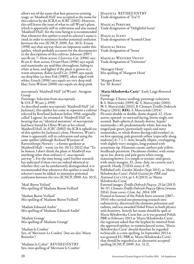allows use of the name that best preserves existing usage, so 'Maidwell Hall' was accepted as the name for this cultivar by the ICRA in *ICRC* (2002). However, this still leaves the issue of what to call Wyatt's plant, which is apparently still in cultivation and also named 'Maidwell Hall': for the time being it is recommended that whenever this epithet is used its selector's name is cited, in order to minimize further potential confusion between the two (ICNCP, 2009: Art. 30.5). Evison (1998) says that anyway there are impostors under this epithet, which probably accounts for the discrepancies in the descriptions of this cultivar: Johnson (1997) says fls are 7–10cm across; *Clearview Cat*. (1996) says fls are 6–8cm across; Oviatt-Ham (1996) says sepals and staminodes are mid-blue throughout, fading to white at base, and lighter if the plant is grown in a<br>warm situation; Robin Savill Cat. (1999) says sepals are deep blue [as does Fisk (1989)], often edged with white; Gooch (1996) says sepals are very deep midblue; Grey-Wilson (2000) says sepals are deep pink.

*macropetala* 'Maidwell Hall' (of Wyatt) Atragene Group

Parentage: Selection from *macropetala* S: O.E.P. Wyatt (*c*.1959)

As described under *macropetala* 'Maidwell Hall' (of Jackman), this epithet has come to represent a cultivar selected by Rowland Jackman before 1956: originally called 'Lagoon', he renamed it 'Maidwell Hall' on hearing that an "identical mutation" of *macropetala* had been found by Oliver Wyatt at his school, Maidwell Hall. In *ICRC* (2002) the ICRA upheld use of this epithet for Jackman's clone. However, Wyatt's clone is apparently still in cultivation and using the same epithet (although Richard Wiseman of Ravensthorpe Nursery – a former gardener at Maidwell Hall – wrote [*in litt*. 20/11/2012] that "To be honest, I don't think the plant at Maidwell was anything other than ordinary *C*. *macropetala* anyway"). For the time being, until further research has indicated if these two are indeed identical or whether they can be satisfactorily distinguished, it is recommended that whenever this epithet is used the selector's name be added, to minimize potential confusion between the two (ICNCP, 2009: Art. 30.5).

'Mad. Baron Veilard' Mis-spelling of 'Madame Baron-Veillard'

'Madam Baron Veillard' Mis-spelling of 'Madame Baron-Veillard'

'Madam Edouard Andre' Mis-spelling of 'Madame Édouard André'

'Madam Grange' Mis-spelling of 'Madame Grangé'

'Madam le Coultre' Syn. of 'Mevrouw Le Coultre' (but see also 'Marie Boisselot')

'Madame le Coltré' REVISED ENTRY Syn./mis-spelling of 'Mevrouw le Coultre' Magenta REVISED ENTRY Trade designation of 'Tra73'

Magical Perfume Trade designation of 'Delightful Scent'

Magical Scent Trade designation of 'Scented Clem'

Magical Seena Trade designation of 'Seena'

Magical Western Velvet Trade designation of 'Vitiwester'

'Maragret Hunt' Mis-spelling of 'Margaret Hunt'

'Margot Kosta' See 'M. Koster'

#### 'Maria Skłodowska Curie' Early Large-flowered Group

Parentage: Chance seedling; parentage unknown S: S. Marczyński (1999), G: S. Marczyński (2001), N: S. Marczyński (2011), I: Clematis Źródło Dobrych Pnączy (2014), REG: S. Marczyński (2014) Fls semi-double or double, dome-shaped, 12–15cm across, upward- or outward-facing, borne singly, not scented. Buds spherical, densely downy. Sepals/ staminodes *c*.40; predominantly white, but may be tinged pale green (particularly sepals and outer staminodes, or whole flower during cold weather) or, on first opening, pale greenish yellow (especially along midvein);  $6-7 \times 1-4$ cm, broadly elliptic, overlapping, with slightly wavy margins, long-pointed with acuminate tip. Filaments cream; anthers pale yellow. Seedheads persistent. Deciduous climber, with stems up to 2m, downy and pale green when young, maturing brown. Lvs simple or ternate, mid-green, with entire margins. FL: June–July, on current year's growth. Hardy (USDA zones 4–9). Published refs: *Garden Market* (Sept 2011), as 'Maria Skłodowska-Curie'; *Polish Gazette for PBR and National List* v.114, pt 1: 8 (2013), as 'Maria Skłodowska Curie' External images: *Źródło Dobrych Pnączy*: *25 lat* (2013): 56–57; *ClematisŹródło Dobrych PnączyOferta* (wiosna 2014): front cover; *Clem*. *Int*. *2014*: 109 Named in honour of the Polish-born scientist (1867– 1934) who carried out pioneering research into radioactivity, discovered the elements polonium and radium, and was awarded Nobel Prizes in both physics and chemistry. Strictly her name should be spelt as Maria Skłodowska-Curie but, as it was granted Polish PBR in February 2013 as 'Maria Skłodowska Curie', the registrant asked that the hyphen be omitted from the approved epithet; in nomenclatural terms, 'Maria Skłodowska-Curie' should therefore be regarded technically as a mis-spelling. In September 2013 it was granted EU PBR as 'Maria Sklodowska Curie'; that should be regarded as an alternative accepted spelling (ICNCP, 2009: Art. 31.2).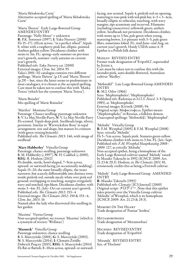'Maria Sklodowska Curie' Alternative accepted spelling of 'Maria Skłodowska Curie'

'Maria Therese' Early Large-flowered Group AMENDED ENTRY

Parentage: 'Nelly Moser' × unknown R: P.K. Sorensen (1997), I: Yaku Nursery (2000) Fls 15–17(–20)cm across, "in a perfect wheel". Sepals 8, white with a raspberry-pink bar, elliptic, pointed. Anthers golden yellow. Deciduous climber with stems to 3m. FL: spring–early summer on previous year's growth, summer–early autumn on current year's growth.

Published refs: *Yaku Nurserycat*. (2000) External images: *Clem*. *Int*. *2014*: 95 Yaku's 2001–02 catalogue contains two different spellings, 'Maria Thérese' (p.13) and 'Maria Therese' (p.29) – but, since the latter seems to predominate in most catalogues, it is chosen as the accepted spelling. Care must be taken not to confuse this with 'Matka Teresa' (which has the synonym 'Maria Teresa').

'Marie Boiselet' Mis-spelling of 'Marie Boisselot'

'Marilyn' Montana Group

Parentage: Chance seedling; parentage unknown S: V. Le May Neville-Parry, N: V. Le May Neville-Parry Fls scented. Tepals deep pink. Seedheads large, silvery, persistent. Similar to 'Warwickshire Rose' in tepal arrangement, size and shape, but mature lvs crimson (with green veining beneath).

Published refs: *The Clematis 2013*: 146, with image of seedhead

'Mary Habberley' Viticella Group

Parentage: chance seedling; parentage unknown S: M. Habberley (*c*.1997), N: H. Caddick (*c*.2000), REG: R. Hodson (2012)

Fls double, sterile, bowl-shaped, 7–9cm across, upward- or outward-facing (or occasionally nodding). Sepals 15–20, the outer broadly elliptic, the inner narrower, but scarcely differentiable into distinct rows; inside pinkish red, outside mealy white over pink-red ground; overlapping or touching, margins irregularly wavy and notched, tips blunt. Deciduous climber, with stems 3–4m. FL: July–Oct on current year's growth. Published refs: *The Clematis 2012*: 153–4

External images: *The Clematis 2012*: 150 & 153–4; *Clem*. *Int*. *2013*: 16

Named after the lady who discovered this seedling in her garden

'Maxima' Viorna Group Non-accepted epithet; see *texensis* 'Maxima' (which is a synonym of *texensis* 'Wellmax')

'Mazurek' Viticella Group Parentage unknown; chance seedling S: S. Marczyński (2001), G: S. Marczyński (2003), N: S. Marczyński (2014), I: Clematis Źródło Dobrych Pnączy (2015), REG: S. Marczyński (2014) Fls flat or flattish, 8–10cm across, upward- or outward-

facing, not scented. Sepals 4, pinkish red on opening, maturing to rose-pink with red-pink bar,  $4-5 \times 3-4$ cm, broadly elliptic to orbicular, touching, with wavy margins, tips acuminate and recurved. Filaments (including connectives) yellowish green; anthers yellow. Seedheads not persistent. Deciduous climber, with stems up to 3.5m, pale green when young, maturing brown. Lvs pinnate with 3–5, pale green lflets, sometimes lobed. FL: mid-June–end Aug, on current year's growth. Hardy USDA zones 4–9. Epithet is a Polish folk dance

#### Medley REVISED ENTRY

Former trade designation of 'Evipo012', superseded by Jessica

Care must be taken not to confuse this with the lavender-pink, semi-double-flowered, Australian cultivar 'Medley'.

'Mefistofel′' Late Large-flowered Group AMENDED ENTRY

R: M.I. Orlov (1966) Syns: 'Mephistopheles'; 'Mephistopholes' Published refs: Riekstiņa in *I*.*Cl*.*S*. *Newsl*. 3: 8 (Spring 1985), as 'Mephistopholes' External images: Kivistik (2008): 94 Original script: Мефистофель. Epithet means "Mephistopheles" in Russian, a folklore demon. Unaccepted spellings: 'Mefistofelj'; 'Mephistophel'.

'Melodie' Viticella Group

R: F.M. Westphal (2005), I: F.M. Westphal (2008) Syns: *viticella* 'Melodie'

Fls 5–7cm across. Sepals pink. Stamens green-yellow. Deciduous climber with stems to 3.5m. FL: Jun–Sept. Published refs: *F*.*M*. *Westphal Hauptkatalog 2008*– *2009*: 127, as *viticella* 'Melodie' Non-accepted epithet, being a homophone of the Early Large-flowered cultivar named 'Melody' raised by Masako Takeuchi in 1992 (ICNCP, 2009: Art. 21.23 & 29.3). Hodson, in *The Clematis 2011*: 81, erroneously credits this as being a Fretwell cultivar.

'Melody' Early Large-flowered Group AMENDED ENTRY

R: Masako Takeuchi (1992) Published refs: *Clematis* [JCS Journal] (2000) Original script: メロディー. Note that this epithet takes priority over the Viticella Group cultivar 'Melodie' of Westphal, which is its homophone (ICNCP, 2009: Art. 21.23 & 29.3).

Memory Of The Heart Trade designation of 'Pamiat′ Serdtsa'

**METAMORPHOSIS** Trade designation of 'Metamorfoza'

Michiko REVISED ENTRY Trade designation of 'Evipo044'

'Miranda' REVISED ENTRY Syn. of 'Floclemi'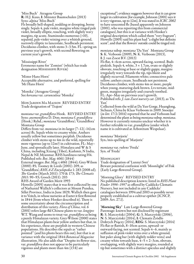'Miss Buch' Atragene Group R: H.J. Kuus, I: Münster Baumschulen (2013) Syns: *alpina* 'Miss Buch' Fls broadly bell-shaped, nodding or drooping, borne singly. Sepals 4, pale violet, margins white tinged pale violet, broadly elliptic, touching, with slightly wavy margins, tip acute. Staminodes numerous (>10), sepaloid, pale-violet veining over a whitish ground, narrowly elliptic to lanceolate, Seedheads persistent. Deciduous climber, with stems 3–3.5m. FL: spring on previous year's growth, with second flowering on current year's growth.

'Mississippi River' Erroneous name for 'Zomisri' (which has trade designation Mississippi River)

'Mister Hans Horn' Acceptable alternative, and preferred, spelling for 'Mr Hans Horn'

'Monika' (Atragene Group) See *koreana* var. *carunculosa* 'Monika'

Mon Jardin Ma Maison REVISED ENTRY Trade designation of 'Trajem'

*montana* var. *grandiflora* Hook. REVISED ENTRY Syns: *anemoniflora* D. Don; *montana* f. *grandiflora* (Hook.) Rehd.; *montana* 'Grandiflora'; 'Grandiflora' Montana Group

Differs from var. *montana* in its larger (7–12(–14)cm across) fls. Sepals white to creamy white. Anthers usually yellow but sometimes purplish. Deciduous climber with stems up to 4m in the wild, reportedly more vigorous (up to 12m?) in cultivation. FL: May– June, and sporadically later. Himalaya and W & S China, including Xizang (Tibet), Kashmir, N India, Nepal & NE Myanmar. RHS hardiness rating H4. Published refs: *Bot*. *Mag*. 4061 (1844) External images: *Bot*. *Mag*. t.4061 (1844); Grey-Wilson (2000): 85; Toomey & Leeds (2001): 209, as 'Grandiflora'; *RHS A*-*Z Encyclopedia* 1: 283 (2008 ed); *The Garden* (March 2011): 170 & 173; *The Clematis 2011*: 90–93; Gooch (2011): 203 RHS Award of Garden Merit 1993 Howells (2005) states that it was first collected by one of Nathaniel Wallich's collectors at Mount Pundua, Sillet Province, India in June 1829; Wallich then gave it to Veitch, in whose nurseries at Exeter it first flowered in 1844 (from where Hooker described it). There is some uncertainty about the circumscription and distribution of this variety. *Flora of China*, vol. 6 (2001) refers large-fld Chinese plants to var. *longipes* W.T. Wang and seems to treat var. *grandiflora* as being a purely Himalayan variety. Grey-Wilson (2000) states that Himalayan plants bear yellow anthers but that, in his experience, these are purplish in western Chinese populations. He describes the sepals as "rather pointed" (and his photo bears this out), but that is at variance with the original 1844 *Botanical Magazine* illustration. He also adds that "Despite its flower size, var. *grandiflora* does not appear to be particularly vigorous and plants more than  $4m(13 ft)$  are

exceptional"; evidence suggests however that it can grow larger in cultivation [for example, Johnson (2001) says it is very vigorous, up to 12m]. It was stated in *ICRC2002* to have unscented fls (based apparently on Johnson (2001), who was reporting this from commercial catalogues), but this is at variance with Hooker's original description which called them "very fragrant"; Howells (2005) said his plant had "a slight but definite scent", and that the flowers' outside could be tinged red.

*montana* subsp. *montana* 'Da Yun' Montana Group S: K. Verboom (2009), N: K. Verboom (2013), I: J. van Zoest B.V. (2013)

Fls flat, 4–6cm across, upward-facing, scented. Buds pinkish. Sepals 4, white,  $3 \times 1.7$ cm, ovate or slightly obovate, touching at base or slightly gappy, margins irregularly wavy towards the tip, tips blunt and slightly recurved. Filaments white; connectives pale yellow; anthers cream. Seedheads not persistent. Deciduous climber, with stems 4m or more, purple when young, maturing dark brown. Lvs ternate, midgreen, margins irregularly and coarsely toothed. FL: Apr–May on previous year's growth. Published refs: *J*. *van Zoest nurserycat*. (2013), as 'Da Yun'

Collected from the wild at Da Yun Gorge, Huanglong, Sichuan, China by Klaas Verboom in 2009. Snoeijer (*in litt*. 17/2/2014) reported that he and Verboom had determined the plant as being *montana* subsp. *montana*. However it currently remains unclear whether it is further referable to var. *grandiflora* (under which name it is cultivated at Arboretum Wespelaar).

*montana* 'Morjorie' Syn./mis-spelling of 'Marjorie'

*montana* var. *rubens* 'Freda' Syn. of 'Freda'

Moonlight Trade designation of 'Lunnyi Svet' Beware potential confusion with 'Moonlight' of Fisk (Early Large-flowered Group).

'Morning Glory' REVISED ENTRY No published description known: listed in *RHS Plant Finder 1996–1997* as offered by Caddicks Clematis Nursery, but not included in any Caddicks' catalogues between 1994 and 2003 so possibly never properly established as a cultivar epithet (ICNCP, 2009: Art. 27.1).

'Morning Sky' Late Large-flowered Group Parentage: known but not disclosed by registrant R: S. Marczyński (2004), G: S. Marczyński (2006), N: S. Marczyński (2014), I: Clematis Źródło Dobrych Pnączy (2014), REG: S. Marczyński (2014) Fls flat or flattish, 8–10cm across, upward- or outward-facing, not scented. Sepals 4–6, mainly as suffusion of pink-violet veins over a white ground, but paler along bar (with slightly redder veins) and creamy white towards base,  $4-5 \times 2-3$ cm, obovate, overlapping, with slightly wavy margins, rounded at tip but sometimes with a distinct apiculus and slightly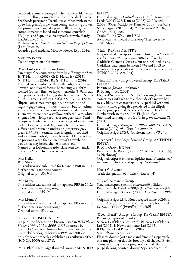recurved. Stamens arranged in hemisphere; filaments greenish yellow; connectives and anthers dark purple. Seedheads persistent. Deciduous climber, with stems up to 3m, green/purple when young, maturing brown. Lvs pinnate with 3–5, deep green lflets, margins entire, sometimes lobed and sometimes purplish. FL: July–end Sept, on current year's growth. Hardy

USDA zones 4–9.

Published refs: *Clematis Źródło Dobrych PnączyOferta* (Lato-Jesień 2014) Awarded gold medal at Moscow Flower Expo 2014.

**MOUNTAINEER** Trade designation of 'Alpinist'

'Mrs Hardwick' Montana Group

Parentage: *chrysocoma* white form (s) x 'Broughton Star' H: T. Hannink (2008), G: D. Hardwick (2013), N: T. Hannink (2014), REG: T. Hannink (2014) Fls single or semi-double, flat or flattish, 6–8cm across, upward- or outward-facing, borne singly, slightly scented (of fresh linen or hay); internodes 8–9cm, can give plant a crowded look; pedicels up to 15cm. Sepals  $(4-)8-9$ , greenish white (155C), 2.5–3  $\times$  1.2–1.5cm, elliptic, sometimes overlapping, or touching and slightly gappy, margins mostly smooth but sometimes slightly wavy, apiculate, outside downy. Filaments 1.1cm, white; connectives yellow; anthers 0.3cm, white. Stigmas 0.6cm long. Seedheads not persistent. Semievergreen climber, with white- or purple-downy stems 3–4m. Lvs like typical *chrysocoma* but sometimes suffused red-brown on underside [otherwise greygreen (137-139)]; ternate, lflets irregularly toothed and sometimes lobed, downy beneath. FL: Dec–Mar, on previous year's then current year's growth, on wood that may be less than 6 months' old. Named after Deborah Hardwick, a keen clematarian in the USA, who first flowered it

'Mrs Keiko' R: S. Shibuya This cultivar was submitted for Japanese PBR in 2011; further details are being sought Original script: ミセス ケイコ.

'Mrs Miyae' This cultivar was submitted for Japanese PBR in 2012; further details are being sought Original script: ミセス ミヤエ.

'Mrs Momoe' This cultivar was submitted for Japanese PBR in 2012; further details are being sought Original script: ミセス モモエ.

'Mukle' REVISED ENTRY No published description known: listed in *RHS Plant Finder 1994–1995* to *2000–2001* as offered by Caddicks Clematis Nursery, but not included in any Caddicks' catalogues between 1994 and 2003 so possibly never properly established as a cultivar epithet (ICNCP, 2009: Art. 27.1).

'Multi Blue' Early Large-flowered Group AMENDED

ENTRY

External images: *Dendroflora* 27 (1990); Toomey & Leeds (2001): 293; Kaneko (2005): 29; Kivistik (2008): 95, as 'Multiblue'; Kaneko (2009): 44; Matz & Cedergren (2010): 131; *The Clematis 2011*: 36; Gooch (2011): 206 Trade: TIDAL WAVE (in USA) Awarded silver medal at Boskoop "Herfstweelde 1990" Show.

'Muly' REVISED ENTRY

No published description known: listed in *RHS Plant Finder 1994–1995* to *2000–2001* as offered by Caddicks Clematis Nursery, but not included in any Caddicks' catalogues between 1994 and 2003 so possibly never properly established as a cultivar epithet (ICNCP, 2009: Art. 27.1).

'Musashi' Early Large-flowered Group REVISED ENTRY

Parentage: *florida* × unknown R: K. Sugimoto (2001) Fls (8–)12–18cm across. Sepals 6, varying from mauve (sometimes with white to either side of a mauve bar) to sky-blue, but characteristically speckled with small, whitish circles giving fls a powdered look; elliptic, overlapping, pointed. Anthers dark red. Deciduous climber with stems 2.5–3m. FL: June–Oct. Published refs: Sugimoto (ed.), *All of the Clematis* 71

(2001) External images: *Kasugai cat*. *2007*–*2008*: 23, no.109; Kaneko (2009): 98; *Clem*. *Int*. *2009*: 75 Original script: むさし (or alternatively ムサシ).

'Nezhnost′' Late Large-flowered Group AMENDED ENTRY

R: M.I. Orlov , I: (1964)

Published refs: Riekstiņa in *I*.*Cl*.*S*. *Newsl*. 3: 08 (1985), as 'Nezhnostj'

Original script: Нежность. Epithet means "tenderness" in Russian. Unaccepted spelling: 'Nezhnostj'.

Nikita's Azure Trade designation of 'Nikitskii Lazurnyi'

'Nikkō' Armandii Group Syn./unaccepted spelling of *armandii* 'Nikkou' Published refs: Kaneko (2009): 31; *Clem*. *Int*. *2009*: 71 External images: Kaneko (2009): 31; *Clem*. *Int*. *2009*: 77

Original script: 日光. Non-accepted name, ICNCP, 2009: Art. 30.1, since epithet has already been used for *patens* 'Nikkō' (日光のかざぐるま).

'Ocean Pearl' Atragene Group REVISED ENTRY Parentage: Sport of 'Frankie' S: New Leaf Plants Ltd (1998), N: New Leaf Plants Ltd (2002), I: New Leaf Plants Ltd (2005), REG: New Leaf Plants Ltd (2012) Syns: *alpina* 'Ocean Pearl' Fls semi-double (with male and female fls separately on same plant) or double, broadly bell-shaped, 3–4cm across, nodding or drooping, not scented. Buds purplish, long-pointed, downy. Sepals caducous, 4,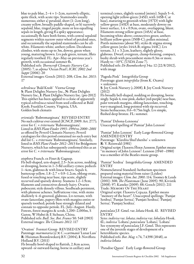blue to pale blue,  $2-4 \times 1-2$ cm, narrowly elliptic, quite thick, with acute tips. Staminodes usually numerous; either a) petaloid, short (1–2cm long), creamy yellow, broadly paddle-shaped, or b) narrowly sepaloid, blue, tinged purple, more or less equalling sepals in length, giving fl a spiky appearance; occasionally fls have both forms, with central sepaloid segments within narrow outer whorl of petaloid ones, and occasionally the sepaloid staminodes can be allwhite. Filaments white; anthers yellow. Deciduous climber, with stems up to 3m, downy, green when young, maturing brown. Lvs pale green, ternate, lflets regularly toothed. FL: Apr–May on previous year's growth, with occasional summer fls.<br>Published refs: *Thorncroft Clematis Nursery Cat*.

Published refs: *Thorncroft Clematis Nursery Cat*. (2005): 7, as *alpina* 'Ocean Pearl'; *ICRC <sup>2002</sup> 2nd Suppt* (2006): 20

External images: Gooch (2011): 208; *Clem*. *Int*. *2013*: 17

*ochroleuca* 'Bald Knob' Viorna Group S: Plant Delights Nursery Inc., N: Plant Delights Nursery Inc., I: Plant Delights Nursery Inc. (pre-2012) This epithet has been applied to a clone of apparently typical *ochroleuca* raised from seed collected at Bald Knob, Franklin County, Virginia, USA. Golden bush clematis

*orientalis* 'Rubromarginata' REVISED ENTRY No such cultivar ever existed (ICNCP, 2009: Art. 27.7); error for *C*. × *triternata* 'Rubromarginata'. Listed in *RHS Plant Finder 1993–1994* to *2000–2001* as offered by Peveril Clematis Nursery; Peveril catalogues for this period contained no such entry but did list *C*. × *triternata* 'Rubromarginata'. Similarly, listed in *RHS Plant Finder 2012–2013* for Bridgemere Nursery, which has subsequently confirmed this as an error for *C*. × *triternata* 'Rubromarginata'.

*otophora* Franch. ex Finet & Gagnep.

Fls bell-shaped, urn-shaped, 2.5–3cm across, nodding or drooping, borne in 1–3-fld axillary cymes; pedicels 1–4cm, glabrous & with linear bracts. Sepals 4, buttercup yellow,  $1.8 - 2.7 \times 0.9 - 1.2$ cm, oblong-ovate, fused or touching near base, tips acute, slightly recurved and sparsely downy. Stamens 1.2–1.9cm; filaments and connectives densely hairy. Ovaries pubescent; style densely villous. Seedheads persistent, with plumose achenes. Suffruticose vine, with stems shallowly 4–6-grooved, glabrous. Lvs ternate, with ovate-lanceolate, papery lflets with margins entire or sparsely toothed; petiole base strongly dilated and connate to opposite petiole. FL: July–August. Hardy. Forests, forest margins & scrub, 1,200–2,000m, S Gansu, W Hubei & E Sichuan, China. Published refs: *Bull*. *Soc*. *Bot*. *France* 50: 548 (1903) External images: *The Clematis 2012*: 117

'Ovation' Forsteri Group REVISED ENTRY Parentage: *marmoraria* (s) ×*C*. ×*cartmanii* 'Lunar Lass' R: Huisman Boomkwekerij B.V. (2004), I: Noviflora Holland B.V. (2011)

Fls broadly bowl-shaped to flattish, 2.8cm across, upward- or outward-facing, borne in axillary and terminal cymes, slightly scented (minty). Sepals 5–6, opening light yellow-green (145D, with 145B-C at base), maturing to greenish white (157D) with light yellow-green (145D) at base, moderately downy on lower surface,  $1.4 \times 0.9$ cm, ovate, overlapping, blunt.<br>Filaments strong yellow-green (145A) at base, becoming white above; connectives green; anthers brilliant yellow-green (150B-C); pollen minimal. Pistils numerous (about 50); styles & stigma strong yellow-green (styles 144A-B; stigma 144C). Lvs ternate,  $3.1 \times 3.2$ cm, leathery, slightly glossy, glabrous. Dwarf, evergreen, clump-forming, compact, bushy shrub with procumbent stems 0.3m or more. Hardy to −10°C (USDA Zone 7). Published refs: *De Boomkwekerij* 34a: 12 (22/8/2012), with image

'Pagoda Pink' Integrifolia Group Parentage: giant *integrifolia* (from K. Ozawa) × unknown S: Joy Creek Nursery (*c*.2008), I: Joy Creek Nursery (2012) Fls broadly bell-shaped, nodding or drooping, borne singly. Sepals 4, rose-pink, darker (red-purple) near base, paler towards margins, oblong-lanceolate, touching, wavy-margined, long-pointed with tip recurved. Stems herbaceous, 0.6–0.75m high. Lvs simple, flushed deep bronze. FL: summer.

'Pamiat′ Dzhona-Lennona' Unaccepted spelling of 'Pamiat′ John Lennon'

'Pamiat′ John Lennon' Early Large-flowered Group AMENDED ENTRY Parentage: 'Klavdiia Shul'zhenho' × unknown R: V. Reinwald (1981) Original script: Память Йохн Леннон. Epithet means "in memory of John Lennon": Lennon (1940 –1980) was a member of the Beatles music group.

'Pamiat′ Serdtsa' Integrifolia Group AMENDED ENTRY

Nomenclatural Standard: herbarium specimen prepared using material from raiser (Leiden) External images: *Clem*. *Int*. *2001*: 114; Toomey & Leeds (2001): 308; *The Plantsman* (June 2005): 90; Kivistik (2008): 97; Kaneko (2009): 88; Gooch (2011): 211 Trade: Memory Of The Heart Original script: Память Сердца. Epithet means "memory of the heart". Unaccepted spellings: 'Pamjat Serdtsa'; 'Pamjat Sertza'; 'Pamjati Serdtza'; 'Pamjatj Sertsa'; 'Pamjatj Serdtza'.

*paniculata* J.F. Gmel. var. *lobata* Hook. fil. REVISED ENTRY

Syns: *indivisa* var. *lobata*; *indivisa* var. *lobulata* Hook. fil.; *indivisa* 'Lobata'; *paniculata* 'Lobata'; 'Lobata' See synonymy of *paniculata* J.F. Gmel. This represents one of the juvenile stages of development of a heteroblastic species. Published refs: *Bot*. *Mag*. v.74, 7.4398 (1848), as *indivisa lobata*

'Paradise Queen' Early Large-flowered Group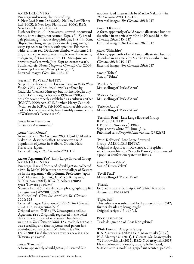#### AMENDED ENTRY

Parentage unknown; chance seedling S: New Leaf Plants Ltd (2002), N: New Leaf Plants Ltd (2003), I: New Leaf Plants Ltd (2004), REG: New Leaf Plants Ltd (2012)

Fls flat or flattish, 10–15cm across, upward- or outwardfacing, borne singly, not scented. Sepals 7(–8), broad pale pink margins about deep pink bar,  $5-8 \times 4-6$ cm, elliptic, touching and gappy or overlapping, margin wavy, tip acute to obtuse, with apiculus. Filaments white; anthers red. Deciduous climber with stems 2.5– 3m, green when young, maturing brown. Lvs ternate, mid-green, lflet margins entire. FL: May–June on previous year's growth, July–Sept on current year's. Published refs: *Sheila Chapman Clematis Cat*. (2003); *Thorncroft Clematis Nursery Cat*. (2003) External images: *Clem*. *Int*. *2013*: 17

#### 'Pat Ann' REVISED ENTRY

No published description known: listed in *RHS Plant Finder 1993–1994* to *1996–1997* as offered by Caddicks Clematis Nursery, but not included in any Caddicks' catalogues between 1994 and 2003 so possibly never properly established as a cultivar epithet (ICNCP, 2009: Art. 27.1). Further, Harry Caddick (*in litt*. to the ICRA, Feb 2000) said that this cultivar had not been cultivated by him. Possibly a mis-spelling of Watkinson's 'Patricia Ann'?

*patens* from Kawara-yu See *patens* 'Agazuma-Yae'

*patens* "from Oouda" In an article in *The Clematis 2013*: 115–117, Mariko Nakanishi described efforts to conserve a wild population of *patens* in Haibara, Oouda, Nara Prefecture, Japan. External images: *The Clematis 2013*: 117

*patens* 'Agazuma-Yae' Early Large-flowered Group AMENDED ENTRY Parentage: Raised from seed of wild *patens*, collected *c*.1994 by Mr M. Nakamura near the village of Kawarayu in the Agazuma valley, Gunma Prefecture, Japan S: M. Nakamura (*c*.1994), G: Mrs S. Kuriyama, N: Y. Aihara (2004), REG: Y. Aihara (2005) Syns: "Kawara-yu *patens*" Nomenclatural Standard: colour photograph supplied by registrant (WSY0070659) Published refs: *Clem*. *Int*. *2006*: 29; *The Clematis 2006*: 123 External images: *Clem*. *Int*. *2006*: 26; *The Clematis 2006*: 122, as 'Agazuma-Ya-e' Original script: 吾妻八重. Unaccepted spelling: 'Agazuma-Ya-e'. Originally registered in the belief that this was a sport of wild *patens*, but Aihara, writing in *The Clematis 2006*: 123, made clear that it was a seedling and that its *patens* seed-parent had semi-double, pale blue fls. Mr Aihara (*in litt*. 17/12/2004) said that other growers knew it as the "Kawara-yu *patens*".

*patens* 'Kanasashi' A form, apparently of wild *patens*, illustrated but not described in an article by Mariko Nakanishi in *The Clematis 2013*: 115–117. External images: *The Clematis 2013*: 117

*patens* 'Okayama' A form, apparently of wild *patens*, illustrated but not described in an article by Mariko Nakanishi in *The Clematis 2013*: 115–117. External images: *The Clematis 2013*: 117

*patens* 'Shinshiro' A form, apparently of wild *patens*, illustrated but not described in an article by Mariko Nakanishi in *The Clematis 2013*: 115–117. External images: *The Clematis 2013*: 117

*patens* 'Toltae' Syn. of 'Toltae'

'Pearl de Azure' Mis-spelling of 'Perle d'Azur'

'Perle de Arzure' Mis-spelling of 'Perle d'Azur'

'Perle de Azure' Mis-spelling of 'Perle d'Azur'

'Perryhill Pearl' Late Large-flowered Group REVISED ENTRY I: Perryhill Nurseries (*c*.1982) Sepals pearly white. FL: June–July. Published refs: *Perryhill Nurseries cat*. (1982): 32

'Pesni Kol′tsova' Late Large-flowered Group AMENDED ENTRY Original script: Песни Кольцова. The epithet, which means literally "Song Kol′tsova", is the name of a popular confectionery item in Russia.

*petrei* 'Green Velvet' Syn. of 'Green Velvet'

'Pevril Pearl' Mis-spelling of 'Peveril Pearl'

'Picardy' Erroneous name for 'Evipo024' (which has trade designation PICARDY)

'Piglet Bell' This cultivar was submitted for Japanese PBR in 2012; further details are being sought Original script: ピグレット ベル.

Pink Climador Trade designation of 'Rosa Königskind'

'Pink Dream' Atragene Group R: S. Marczyński (2004), G: S. Marczyński (2006), N: S. Marczyński (2011), I: Clematis Sz. Marczyński, W. Piotrowski sp.j. (2012), REG: S. Marczyński (2013) Fls semi-double or double, broadly bell-shaped, 8–10cm across, nodding, grapefruit-scented; pedicels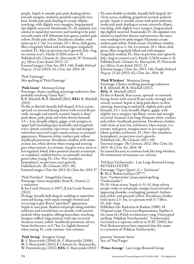purple. Sepals 4; outside pale pink shading whiter towards margins, midveins purplish especially near base; Inside pale pink shading to cream; elliptic, touching, with slightly wavy margins, long-pointed, tips slightly recurved. Staminodes 15–20, sepaloid, very similar to sepals but narrower and tending to be paler towards centre of fl. Filaments lime-green; anthers pale yellow. Pistils pale yellow. Deciduous climber, with stems up to 2–3m. Lvs ternate,  $20 \times 18$ cm, dark green, lflets irregularly lobed and with margins irregularly toothed. FL: May on previous year's growth, July–Aug on current year's. Hardy (USDA zones 4–9). Published refs: *Clematis Sz*. *Marczyński*, *W*. *Piotrowski sp*.*j*. *Oferta* (Lato-Jesień 2012): 22 External images: *Clem*. *Int*. *2013*: 148; *Źródło Dobrych Pnączy*: *25 lat* (2013): 61; *Clem*. *Int*. *2014*: 18

'Pink Falmingo' Mis-spelling of 'Pink Flamingo'

'Pink Giant' Montana Group<br>Parentage: chance seedling; parentage unknown (but probably involving 'Giant Star')

S: R. Mitchell, N: R. Mitchell (2011), REG: R. Mitchell (2012)

Fls flat or flattish, broadly bell-shaped, 8.5cm across, upward- or outward-facing, borne with several fls per node, strongly and sweetly scented. Sepals 4, deep pink above, paler pink and white-downy beneath,  $4.5 \times 3$ cm, broadly elliptic, gappy, with margins in upper half (including tips) markedly and irregularly wavy, almost crenulate, tips retuse, tips and margins somewhat incurved to give sepals concave or scooped appearance. Filaments white; anthers pale yellow. Seedheads persistent. Deciduous climber, with stems at least 2m, white-downy when young and turning grey when mature. Lvs ternate, margins wavy, more or less regularly lobed, lobes pointed (mainly acuminate or cuspidate), reddish brown, occasionally streaked green when young. FL: Oct–Nov (southern hemisphere), on previous year's growth. Published refs: *The Clematis 2012*: 182 External images: *Clem*. *Int*. *2013*: 18; *Clem*. *Int*. *2014*: 37

'Pink Pinwheel' Integrifolia Group Parentage: Giant *integrifolia* (from K. Ozawa) (s) × unknown

S: Joy Creek Nursery (*c*.1997), I: Joy Creek Nursery (2012)

Fls large, broadly bell-shaped, nodding or somewhat outward-facing, with sepals strongly twisted and recurving to give flower "pinwheel" appearance. Sepals 4; rose-pink, flushed red-purple along midribs/ midveins and towards base on outside, with narrow, pinkish white margins; oblong-lanceolate, touching, margins ruffled, long-pointed, with tips recurved. Stamens creamy yellow. Seedheads persistent, silvery. Stems herbaceous, to 0.75m. Lvs lightly bronzed when young. FL: early summer–late summer.

#### 'Pink Swing' Atragene Group

R: S. Marczyński (2004), G: S. Marczyński (2006), N: S. Marczyński (2011), I: Clematis Sz. Marczyński, W. Piotrowski sp.j. (2012), REG: S. Marczyński (2013) 'Prince George' Late Large-flowered Group

Fls semi-double or double, broadly bell-shaped, 10– 12cm across, nodding, grapefruit-scented; pedicels purple. Sepals 4, outside cream with pink midveins, inside pale pink shading to cream, narrowly elliptic, touching, with slightly wavy margins, long-pointed, tips slightly recurved. Staminodes 15–20, sepaloid, very similar to sepals but shorter and narrower, the outer ones tending to be pink-tinged. Filaments cream; anthers pale yellow. Pistils cream. Deciduous climber, with stems up to 2-3m. Lvs ternate,  $20 \times 18$ cm, dark green, lflets irregularly lobed and with margins irregularly toothed. FL: May on previous year's growth, July–Aug on current year's. Hardy (USDA zones 4–9). Published refs: *Clematis Sz*. *Marczyński*, *W*. *Piotrowski sp*.*j*. *Oferta* (Lato-Jesień 2012): 22 External images: *Clem*. *Int*. *2013*: 148; *Źródło Dobrych Pnączy*: *25 lat* (2013): 62; *Clem*. *Int*. *2014*: 18

'Pink Whiskers' Montana Group

Parentage: Chance seedling; parentage unknown S: R. Mitchell, N: R. Mitchell (2011), REG: R. Mitchell (2012)

Fls flat or flattish, 8cm across, upward- or outwardfacing, borne with several fls per node, strongly and sweetly scented. Sepals 4, deep pink above on first opening, maturing to mid-pink, slightly paler pink beneath,  $3.5 \times 2$ cm, broadly elliptic, gappy, with slightly wavy margins, tips blunt, retuse and strongly recurved. Stamens 2cm long; filaments white; anthers pale yellow. Seedheads persistent. Deciduous climber, with stems at least 2m, red-brown when mature. Lvs ternate, mid-green, margins more or less regularly lobed, petioles red-brown. FL: Nov–Dec (southern hemisphere), on previous year's growth. Published refs: *The Clematis 2012*: 182 External images: *The Clematis 2012*: 184; *Clem*. *Int*. *2013*: 18; *Clem*. *Int*. *2014*: 38 So named because its stamens look like long whiskers. Fls reminiscent of *montana* var. *wilsonii*.

'Pol′skaia Varshavianka' Late Large-flowered Group REVISED ENTRY Parentage: 'Gipsy Queen' (s) × 'Jackmanii' R: M.A. Beskaravainaya (1977) Syns: 'Varshavianka' (unaccepted spelling 'Varshavjanka') Fls 10–14cm across. Sepals 4–5(–6), deep velvety purple-violet or red-purple, margin recurved and so appearing rhombic, overlapping, pointed. Anthers pale yellow and greenish yellow. Deciduous climber with stems 2.5–3m. Lvs pinnate with 5–7 lflets. FL: July–Sept

Published refs: Riekstiņa & Radina (1988): 18 Original script: Польская Варшавянка. Epithet is the name of a Polish revolutionary song. Unaccepted spelling: 'Poljskaja Varschavjanka'. 'Varshavianka' was listed as a separate cultivar in *ICRC* (2002), but Prof. Beskaravainaya later reported that this name is a synonym of 'Polskaia Varshavianka'.

*potanini* 'Summer Snow' Syn. of 'Paul Farges'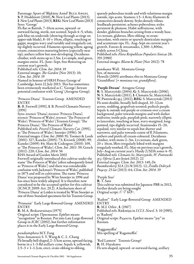Parentage: Sport of 'Błękitny Anioł' Blue Angel S: P. Hoddinott (2010), N: New Leaf Plants (2013), I: New Leaf Plants (2013), REG: New Leaf Plants (2013) Syns: 'George'

Fls flat or flattish, 7–10cm across, upward- or outward-facing, sterile, not scented. Sepals 4–5, white, pale blue on underside (showing through as tinge on upper-side blade),  $8-10 \times 10$ cm, elliptic, touching or gappy, margins wavy and variably and irregularly cut, tip slightly recurved. Filaments opening yellow, ageing cream; connectives maturing brown (especially near tip); anthers yellow but non-developing. Deciduous climber, with stems up to 2.5m. Lvs simple, mid-green, margins entire. FL: June–Sept, free-flowering on current year's growth.

Published refs: *Clem*. *Int*. *2014*: 19

External images: *The Garden* (Nov 2013): 10; *Clem*. *Int*. *2014*: 19

Named in honour of HRH Prince George of Cambridge, born 22 July 2013. This has sometimes been erroneously marketed as *C*. 'George'; beware potential confusion with 'Georg' (Atragene Group).

'Princess Diana' Texensis Group AMENDED ENTRY

R: B. Fretwell (1991), I: B. Peveril Clematis Nursery (1991)

Syns: *texensis* 'Diana'; *texensis* 'Princess Diana'; *texensis* 'Princess of Wales'; *texensis* 'The Princess of Wales'; 'Princess of Wales' (Texensis Group); 'The Princess Diana'; 'The Princess of Wales' Published refs: *Peveril Clematis Nursery Cat*. (1991), as 'The Princess of Wales'; Snoeijer (1996): 36 External images: *Clem*. *Int*. *2000*: 91; Toomey & Leeds (2001): 327; Kaneko (2005): 73; Kivistik (2008): 99; Kaneko (2009): 84; Matz & Cedergren (2010): 109, as 'The Princess of Wales'; *Clem*. *Int*. *2011*: 39; Gooch (2011): 220; *Clem*. *Int*. *2014*: 56 RHS Award of Garden Merit 2002 Fretwell originally introduced this cultivar under the name 'The Princess of Wales' (often subsequently listed as 'Princess of Wales') and there was considerable confusion with Jackman's 'Princess of Wales', published in 1875 and still in cultivation. The name 'Princess Diana' was proposed by Wim Snoeijer in 1996 and has since been widely adopted. It is therefore now

considered to be the accepted epithet for this cultivar (ICNCP, 2009: Art. 29.2). A herbarium sheet of 'Princess Diana' at Leiden is treated by Wim Snoeijer as one of three Standard specimens for his Texensis Group.

'Priznanie' Early Large-flowered Group AMENDED ENTRY

R: M.A. Beskaravainaya (1975) Original script: Признание. Epithet means

"recognition" in Russian. Put into Late Large-flowered Group in *ICRC* (2002), but further information places it in the Early Large-flowered Group.

#### *pseudootophora* M.Y. Fang

Syns: *honanensis* S. Y. Wang & C. L. Chang Fls broadly bell-shaped, 2–3.5cm across, upward-facing, borne in a 1-3-fld axillary cyme. Sepals  $\tilde{4}$ , yellowish,  $2.5-3 \times 1-1.2$ cm, erect, ovate-oblong to oblong,

sparsely puberulous inside and with velutinous margin outside, tips acute. Stamens 1.5–1.8cm; filaments & connectives densely downy. Styles densely villous. Seedheads persistent; achenes puberulous; styles persistent & plumose. Habit suffruticose, with slender, glabrous branches arising from a woody base. Lvs ternate, glabrous, lflets oblong- to ovatelanceolate, with entire or sparsely denticulate margins and acuminate tips. FL: Aug–Sept on current year's growth. Forests & streamsides, 1,300–1,800m, widely across S China. Published refs: *Flora Reipublicae Popularis Sinicae* 28: 355 (1980)

External images: *Bloem* & *Plant* (Nov 2012): 78

*punduana* Wall. Montana Group Syn. of *montana* Howells (2005) attributes this to Montana Group 'Grandiflora' (= *montana* var. *grandiflora*).

#### 'Purple Dream' Atragene Group

R: S. Marczyński (2004), G: S. Marczyński (2006), N: S. Marczyński (2011), I: Clematis Sz. Marczyński, W. Piotrowski sp.j. (2012), REG: S. Marczyński (2013) Fls semi-double, broadly bell-shaped, 10–12cm across, nodding, grapefruit-scented; pedicels purple. Sepals 4; outside red-purple or crimson over a cream background, paler towards margins and with darker midveins; inside pale, purplish pink; narrowly elliptic to lanceolate, touching at base, wavy-margined, longpointed, tips slightly recurved. Staminodes 15–20, sepaloid, very similar to sepals but shorter and narrower, and paler towards centre of fl. Filaments, anthers and pistils all cream-coloured. Deciduous climber, with stems 2–3m. Lvs ternate, dark green,  $20 \times 16$ cm, lflets irregularly lobed with margins irregularly toothed. FL: May on previous year's growth, July–Aug on current year's. Hardy (USDA zones 4–9). Published refs: *Clematis Sz*. *Marczyński*, *W*. *Piotrowski sp*.*j*. *Oferta* (Lato-Jesień 2012): 22 External images: *Clem*. *Int*. *2013*: 149; *De Boomkwekerij* 32A (21/8/2013): 12; *Źródło Dobrych Pnączy*: *25 lat* (2013): 64; *Clem*. *Int*. *2014*: 19

#### 'Purple Star'

R: T. Sato This cultivar was submitted for Japanese PBR in 2012; further details are being sought Original script: パープルスター.

'Radost′' Early Large-flowered Group AMENDED ENTRY

R: M.I. Orlov , I: (1967)

Published refs: Riekstiņa in *I*.*Cl*.*S*. *Newsl*. 3: 10 (1985), as 'Radostj'

Original script: Радость. Epithet means "joy" in Russian.

'Raggamuffin' Mis-spelling of 'Ragamuffin'

'Red Lantern' Texensis Group? R: H. Hayakawa Fls urn-shaped, upward- or outward-facing, axillary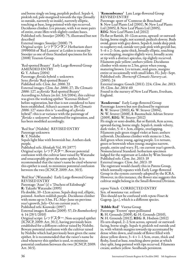and borne singly on long, purplish pedicel. Sepals 4, pinkish red, pale-margined towards the tips (broadly so outside, narrowly so inside), narrowly elliptic, touching at base, long-pointed with tips recurved. Deciduous climber. Lvs pinnate, with 4 or more pairs of entire, ovate lflets with slightly cordate bases. Published refs: Snoeijer (2008): 75, illustrated but not described

External images: Snoeijer (2008): 75 Original script: レッドランタン. Herbarium sheet 19990016 of 'Red Lantern' at Leiden is treated by Snoeijer as one of three Standard specimens for his (2008) Texensis Group.

'Red-spotted Beauty' Early Large-flowered Group AMENDED ENTRY G: Y. Aihara (2004) Parentage: *florida* hybrid × unknown Syns: *florida* 'Red-spotted Beauty' Published refs: *Clem*. *Int*. *2006*: 33 External images: *Clem*. *Int*. *2006*: 27; *The Clematis 2006*: 127, as *florida* 'Red-spotted Beauty' According to Aihara (*in litt*. 3/6/2004), this cultivar was given the working epithet "Kurenai-Shibori" before registration, but that is not considered to have been established. Aihara's account in *The Clematis 2006*: 127 states this is "a seedling of a *florida* hybrid": this is at variance with the parentage of "*florida* × unknown" submitted for registration, and has been modified accordingly.

'Red Star' (Nishibe) REVISED ENTRY Parentage unknown R: Y. Nishibe

Sepals light blue with brownish bar. Anthers dark purple.

Published refs: *Shinkaki* Vol. 95 (1977) Original script: レッドスター. Beware potential confusion with the cultivar later raised by Watanabe and unacceptably given the same epithet. It is recommended that the raiser's name be cited whenever this epithet is used, to minimize potential confusion between the two (ICNCP, 2009: Art. 30.5).

'Red Star' (Watanabe) Early Large-flowered Group REVISED ENTRY

Parentage: 'Asao' (s)  $\times$  'Duchess of Edinburgh' R: Takashi Watanabe (1995)

Fls double, 10–12cm across. Sepals deep red, elliptic, pointed. Anthers reddish purple. Deciduous climber with stems up to 3.5m. FL: May–June on previous year's growth, July–Oct on current year's. Published refs: Koowaki (1997)

External images: Kaneko (2009): 57; *De Boomkwekerij* 4: 14 (29/1/2010)

Original script: レッドスター. Non-accepted epithet (ICNCP, 2009: Art. 30.1), having previously been established for a different cultivar raised by Nishibe. Beware potential confusion with the cultivar raised by Nishibe which had previously been given the same epithet. It is recommended that the raiser's name be cited whenever this epithet is used, to minimize potential confusion between the two (ICNCP, 2009: Art. 30.5).

'Remembrance' Late Large-flowered Group REVISED ENTRY

Parentage: sport of 'Comtesse de Bouchaud' S: New Leaf Plants Ltd (2001), N: New Leaf Plants Ltd (2005), I: New Leaf Plants Ltd (2005), REG: New Leaf Plants Ltd (2012) Fls flat or flattish, 10–12cm across, upward- or outwardfacing, borne singly, not scented; pedicels downy. Buds ovoid, green with grey down. Sepals 6, inside deep pink to raspberry-red, outside very pale pink with greyish bar,  $5-6 \times 2-3$ cm, quite thick, broadly elliptic, touching or overlapping, margins slightly wavy, broadly acute at tip with a distinct apiculus, tip slightly recurved. Filaments pale yellow; anthers yellow. Deciduous climber with stems to 2.5m, green when young, maturing brown. Lvs ternate, mid-green, margins entire or occasionally with small lobes. FL: July–Sept. Published refs: *Thorncroft Clematis Nurserycat*. (2005): 24

External images: Gooch (2011): 224; *Clem*. *Int*. *2013*: 19; *Clem*. *Int*. *2014*: 60

Found in the nursery of New Leaf Plants, Evesham, England.

'Rendezvous' Early Large-flowered Group Parentage: known but not disclosed by registrant R: W. Straver (2003), G: W. Straver (2004), N: W. Straver (2008), I: Baumschule Adrian Straver (2009), REG: W. Straver (2012) Fls single or semi-double, flat or flattish, 8cm across, upward-facing, borne singly. Sepals 6, inside velvety, dark violet,  $5-6 \times 3$ cm, elliptic, overlapping. Filaments pale green tinged violet at base; anthers yellowish. Deciduous climber with stems to 1.5m, dull green when young, ageing purple. Lvs ternate, green or brownish when young; margins narrow, purple, entire and wavy. FL: on current year's growth. Nomenclatural Standard: herbarium specimen lodged for the registrant at Leiden by Wim Snoeijer Published refs: *Clem*. *Int*. *2013*: 19 External images: *Clem*. *Int*. *2013*: 19 The registrant would classify this in Patens Group, which normally equates with Early Large-flowered Group in the system currently adopted by the ICRA. However, in this instance, the flower size suggests this cultivar might belong in the Small-flowered Division.

*repens* Veitch CORRECTED ENTRY Syn. of *montana* var. *wilsonii* This should not be confused with *repens* Finet & Gagenp. [*q*.*v*.], which is a different species.

'Ribble Red' Viorna Group

Parentage: 'Everett' open-pollinated R: H. Grounds (2009), G: H. Grounds (2010), N: H. Grounds (2012), REG: R. Hodson (2012) Fls urn-shaped, 2–2.5cm across, upward- or outwardfacing, borne singly. Sepals 4; pinkish red outside and in, with whitish margins towards tip accentuated by dense white down, and inside of flower filled with dense yellow down; 3–4 × 1–1.5cm, ovate, thick and fleshy, fused at base, touching above point at which they split, long-pointed with tips recurved. Filaments cream; anthers yellow. Seedheads persistent.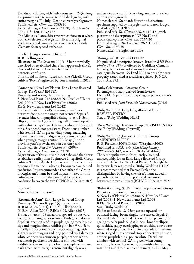Deciduous climber, with herbaceous stems 2–3m long. Lvs pinnate with terminal tendril, dark green, with entire margins. FL: July–Oct on current year's growth. Published refs: *Clem*. *Int*. *2013*: 20 External images: *Clem*. *Int*. *2013*: 20; *The Clematis 2013*: 118–120, 174 & 177 The Ribble is a Lancashire river which flows near where both the selector and registrant live. The original stock was raised from seed received via the British Clematis Society seed exchange. 'Roelie' (Large-flowered Division) R: B. Collingwood Illustrated in *The Clematis 2007*: 48 but not validly described or established there (nor apparently since), this is added to the *Checklist* here to minimize potential confusion. This should not be confused with the Viticella Group cultivar 'Roelie' registered by Ton Hannink in 2010. 'Romance' (New Leaf Plants) Early Large-flowered Group REVISED ENTRY Parentage unknown; chance seedling S: New Leaf Plants Ltd (2000), N: New Leaf Plants Ltd (2001), I: New Leaf Plants Ltd (2002), REG: New Leaf Plants Ltd (2012) Fls flat or flattish, 12–15cm across, upward- or outward-facing, borne singly, not scented. Sepals 8, lavender-blue with purplish veining,  $4-6 \times 2-3$ cm, elliptic, quite thick, overlapping half or more, tip acute with a distinct apiculus. Filaments white; anthers pale pink. Seedheads not persistent. Deciduous climber with stems 2–2.5m, green when young, maturing brown. Lvs ternate, mid-green (sometimes edged red when young), margins entire. FL: May–June on previous year's growth, Sept on current year's. Published refs: *New Leaf Plants cat*. (2003) External images: *Clem*. *Int*. *2013*: 20 Registration of this cultivar in 2012 showed that it was established earlier than Sugimoto's Integrifolia Group cultivar 'ロマンス': the latter, when transcribed, also becomes 'Romance' – which is known to have caused confusion. It is recommended that either the Group or Registrant's name be cited in parentheses for this cultivar, to minimize the potential for further confusion between the two (ICNCP, 2009: Art. 30.5). 'Romona'

Mis-spelling of 'Ramona'

'Rosemarie Ann' Early Large-flowered Group Parentage: 'Doctor Ruppel' (s) × unknown R: B.M. Allen (2004), G: B.M. Allen (2006), N: B.M. Allen (2006), REG: B.M. Allen (2013) Fls flat or flattish, 19cm across, upward- or outwardfacing, borne singly, not scented. Buds green, downy. Sepals 8, opening reddish purple, ageing to pale pink tips and margins about reddish pink bar,  $9 \times 4.5$ cm, broadly elliptic, downy outside, overlapping, with slightly wavy margins and long-pointed tip. Filaments white; connectives crimson-purple; anthers white. Seedheads persistent. Deciduous climber, with reddish brown stems up to 1m. Lvs simple or ternate, dark green, with margins entire but slightly wavy,

undersides downy. FL: May–Aug, on previous then current year's growth.

Nomenclatural Standard: flowering herbarium specimen supplied by the registrant and now lodged at Wisley (WSY0120278) Published refs: *The Clematis 2011*: 117–121, with pictures and description as "DR No.1", and provisional epithet; *Clem*. *Int*. *2014*: 20 External images: *The Clematis 2011*: 117–119; *Clem*. *Int*. *2014*: 20 Named after the registrant's wife

'Rosugyana' REVISED ENTRY No published description known: listed in *RHS Plant Finder 1998–1999* as offered by Caddicks Clematis Nursery, but not included in any Caddicks' catalogues between 1994 and 2003 so possibly never properly established as a cultivar epithet (ICNCP, 2009: Art. 27.1).

'Ruby Celebration' Atragene Group Parentage: Probably derived from *koreana* Fls double. Sepals ruby. FL: spring, on previous year's growth.

Published refs: *John Richards Nurseries cat*. (2012)

'Ruby Wedding' Early Large-flowered Group REVISED ENTRY Syn. of 'Ruby Wedding NLP2'

'Ruby Wedding' Texensis Group REVISED ENTRY See 'Ruby Wedding' (Fretwell)

'Ruby Wedding' (Fretwell) Texensis Group AMENDED ENTRY R: B. Fretwell (2005), I: F.M. Westphal (2008) Published refs: *F*.*M*. *Westphal Hauptkatalog 2008*–*2009*: 142, as *texensis* 'Ruby Wedding' The same epithet was subsequently also used, unacceptably, for an Early Large-flowered Group

cultivar selected by New Leaf Plants. Although the latter was later registered as 'Ruby Wedding NLP2', it is recommended that Fretwell's plant be distinguished by having the raiser's name added in parentheses, to minimize potential confusion between the two cultivars (ICNCP, 2009: Art. 30.5).

'Ruby Wedding NLP2' Early Large-flowered Group Parentage unknown; chance seedling S: New Leaf Plants Ltd (2008), N: New Leaf Plants Ltd (2009), I: New Leaf Plants Ltd (2009), REG: New Leaf Plants Ltd (2012) Syns: 'Ruby Wedding' Fls flat or flattish, 12–15cm across, upward- or outward-facing, borne singly, not scented. Sepals 6, deep reddish pink with darker red bar, sepal margins

ageing to paler pink,  $5-8 \times 2-3$ cm, broadly elliptic, quite thick, gappy, overlapping or touching above base, rounded at tip but with a distinct apiculus. Filaments white, tinged purple towards top; connectives crimson; anthers purplish pink; pollen white. Deciduous climber with stems 2–2.5m, green when young, maturing brown. Lvs ternate, brownish when young, maturing mid-green, with entire margins. FL: May–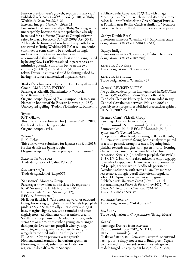June on previous year's growth, Sept on current year's. Published refs: *New Leaf Plants cat*. (2010), as 'Ruby Wedding'; *Clem*. *Int*. *2013*: 21

External images: *Clem*. *Int*. *2013*: 21 First introduced commercially as 'Ruby Wedding' – but unacceptably, because the same epithet had already been used for a different (Texensis Group) cultivar raised by Barry Fretwell (ICNCP, 2009: Art. 30.1). Although the former cultivar has subsequently been registered as 'Ruby Wedding NLP2', it will no doubt continue for some time to be circulated wrongly under its incorrect name, in which case it is recommended that at the very least it be distinguished by having New Leaf Plants added in parentheses, to minimize potential confusion between the two cultivars (ICNCP, 2009: Art. 30.5); by the same token, Fretwell's cultivar should be distinguished by having the raiser's name added in parentheses.

'Rudol′f Vladimirovich Kamelin' Late Large-flowered Group AMENDED ENTRY Parentage: 'Klavdiia Shul′zhenko' × 'Victoria' R: V. Reinwald (1983) Original script: Рудольф Владимирович Камелин. Named in honour of the Russian botanist (b.1938). Unaccepted spelling: 'Rudolf Vladimirovicz Kamelin'.

'Ryusei' R: T. Oikawa This cultivar was submitted for Japanese PBR in 2012; further details are being sought Original script: リュウセイ.

'Salome' R: K. Ochiai This cultivar was submitted for Japanese PBR in 2013; further details are being sought Original script: サロメ. Unaccepted spelling: 'Sarome'.

SALUTE TO VICTORY Trade designation of 'Saliut Pobedy'

Samaritan Jo Trade designation of 'Evipo075'

'Sanssouci' Montana Group Parentage: known but not disclosed by registrant R: W. Straver (2004), N: A. Straver (2012), I: Baumschule Adrian Straver (2012), REG: A. Straver (2012) Fls flat or flattish, 5–7cm across, upward- or outwardfacing, borne singly, slightly scented. Sepals 4, purplish pink, <3.5 × 2.5cm, broadly elliptic, overlapping at base, margins slightly wavy, tip rounded and often slightly notched. Filaments white; anthers cream. Seedheads not persistent. Deciduous climber, with stems 5m or more, purple when young, maturing to dark purple. Lvs ternate, purplish when young, maturing to dark green flushed purple, margins irregularly toothed with 1–4 teeth per side. FL: April–May on previous year's growth. Nomenclatural Standard: herbarium specimen (flowering material) submitted to Leiden on registrant's behalf by Wim Snoeijer

Published refs: *Clem*. *Int*. *2013*: 21, with image Meaning "carefree" in French, named after the summer palace built for Frederick the Great, King of Prussia, at Potsdam near Berlin. Cultivar similar to 'Tetrarose' but said to be more floriferous and easier to propagate.

'Saphyr Double Rose' Erroneous name for 'Cleminov 29' (which has trade designation Saphyra Double Rose)

'Saphyr Indigo' Erroneous name for 'Cleminov 51' (which has trade designation SAPHYRA INDIGO)

Saphyra Duo Rose Trade designation of 'Cleminov 29'

Saphyra Estrella Trade designation of 'Cleminov 27'

'Saruga' REVISED ENTRY No published description known: listed in *RHS Plant Finder 1995–1996* to *1998–1999* as offered by Caddicks Clematis Nursery, but not included in any Caddicks' catalogues between 1994 and 2003 so possibly never properly established as a cultivar epithet (ICNCP, 2009: Art. 27.1).

'Scented Clem' Viticella Group? Parentage: Derived from *cadmia* R: T. Hannink, N: T. Hannink (2011), I: Münster Baumschulen (2013), REG: T. Hannink (2013) Syns: *viticella* 'Scented Clem' Fls open as shallow bowl, maturing to flat or flattish, 8–10cm across, upward-facing, borne singly with paired bracts on pedicel, strongly scented. Opening buds pinkish towards margins, with green midrib, forming characteristic, small, open 'mouth' before final expansion. Sepals  $(5-)$ 6, brilliant purplish blue  $(94C)$ ,  $4-5 \times 1.5-2.5$ cm, with raised midveins, elliptic, gappy, somewhat long-pointed. Filaments whitish; connectives red-purple; anthers white. Seedheads persistent. Deciduous climber, with stems 2–3m. Lvs more or less ternate, though (basal) lflets often irregularly lobed. FL: Apr–June on current year's growth. Published refs: *Bloem* & *Plant* (Nov 2012): 74 External images: *Bloem* & *Plant* (Nov 2012): 74; *Clem*. *Int*. *2013*: 129; *Clem*. *Int*. *2014*: 20 Trade: Magical Scent

**SCHNEEMÄDCHEN** Trade designation of 'Yukikomachi'

Sea Spray Trade designation of *C*. × *jouiniana* 'Bryzgi Moria'

### 'Seena'

Parentage: Derived from *courtoisii* R: T. Hannink (pre- 2012), N: T. Hannink, REG: T. Hannink (2013) Fls flat or flattish, 10–12cm across, upward- or outwardfacing, borne singly, not scented. Buds green. Sepals 5–6, white, bar on outside sometimes pale green or midrib tinged pink/purple at base,  $5-\overline{6} \times 2-3$ cm,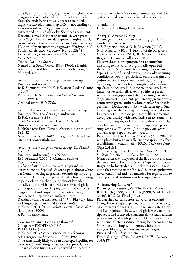broadly elliptic, touching or gappy, with slightly wavy margins and sides of sepal blade often folded back along the midrib, tips broadly acute to rounded, slightly recurved. Stamens up to 2cm, not tending to splay outwards with age; filaments, connectives, anthers and pollen dark violet. Seedheads persistent. Deciduous, weak climber or scrambler, with green stems 2–3m. Lvs ternate, dark green, margins mostly entire but sometimes weakly lobed or dentate near tip. FL: Apr–May on current year's growth. Hardy to −5°C. Published refs: *Bloem* & *Plant* (Nov 2012): 75 External images: *Bloem* & *Plant* (Nov 2012): 75; *Clem*. *Int*. *2014*: 21 Trade: Magical Seena Named after Seena Owen (1894–1966), a Danish-American silent-film star renowned for her long,

'Seishun-no-mai' Early Large-flowered Group Parentage unknown <sup>R</sup>: K. Sugimoto (pre 2007), <sup>I</sup>: Kasugai Garden Centre (*c*.2007) Published refs: Sugimoto *Total Cat*. *of Clematis 2007*–*2008*: 6

Original script: 青春の舞.

false eyelashes

'Senorita Dittorella' Early Large-flowered Group Parentage: 'Scartho Gem' (s) × unknown R: P.K. Sorensen (1998) Sepals "a very delicate pastel colour". Deciduous

climber with stems up to 3m.

Published refs: *Yaku Clematis Nurserycat*. *2001*–*2002*: 14 & 32

Noted in Yaku's 2001–02 catalogue as "to be released later", but soon withdrawn.

'Serafina' Early Large-flowered Group REVISED ENTRY

Parentage: unknown (cross 659/00) R: S. Franczak (2000), I: Clematis Szkółka Pojemnikowa (2009) Fls flat or flattish, 20–22cm across, upward- or

outward-facing. Sepals 6–8; with a pale, almost white bar (sometimes tinged greenish towards tip in young fls), main blade opening purplish red before maturing to pale violet-pink, then ageing almost lavender; broadly elliptic, with narrowed base giving slightly gappy appearance, overlapping above, and with tips long-pointed and cuspidate. Filaments creamy; connectives purple-violet; anthers purple. Deciduous climber with stems 2.5–3m. FL: May–June and Aug–Sept. Hardy USDA Zones 4–9. Published refs: *Clematis Szkółka Pojemnikowa Oferta* (Lato-Jesień 2009) A Polish female name

'Severnoie Siianie' Late Large-flowered Group AMENDED ENTRY R: M.I. Orlov (1966) Published refs: *Dekorativnye rasteniia otkrytogo i zakrytogo grunta*, Spravochnik, Kiev (1985) This seems highly likely to be an unaccepted spelling for 'Severnoe Siianie' (original script Северное Сияние) – in which case further research would be needed to

ascertain whether Orlov's or Sharonova's use of this epithet should take nomenclatural precedence.

'Shankonnu' Unaccepted spelling of 'Chaconne'

'Sharpie' Atragene Group Parentage unknown; chance seedling, possibly involving 'Clochette Pride' S: B. Rogerson (2003), G: B. Rogerson (2003),<br>N: B. Rogerson (2010), I: Friends of the Rogerson Clematis Collection (2011),  $REG:$  Friends of the Rogerson Clematis Collection (2012) Fls semi-double, drooping on first opening but maturing to outward-facing, broadly open bellshaped, to 10.5cm across, borne singly, not scented. Sepals 4, purple flushed brown (more violet in sunny conditions), downy (particularly on the margins and peduncle), 5 × 2cm, ovate-lanceolate, touching at base, long-pointed with an elongated, often twisted tip. Staminodes sepaloid, same colour as sepals, the innermost occasionally showing white or green streaking along upper midrib on opening, 1–5.4cm long, lanceolate. Filaments pale creamy green, downy; connectives green; anthers white, sterile? Seedheads persistent. Deciduous climber, with stems up to 3m, reddish green when young, maturing brown, downy. Lvs ternate to bi-ternate, pale green; lflets sometimes deeply cut, usually with irregularly serrate, sometimes bi-serrate, margins, and shiny and glabrous beneath; petioles hairy, and sometimes developing purplish tinge with age. FL: April–June on previous year's growth, Aug–Sept on current year's.

Published refs: FRCC *Collection News* (April 2010): 8, with photo but with insufficient description to effect establishment; established in FRCC *Collection News* (Sept 2011): 1

External images: FRCC *Collection News*, April 2010: 8; *Clem*. *Int*. *2012*: 141; *Clem*. *Int*. *2013*: 22 Named after the spiky look of the flowers but also after the nickname, "The Little Sharpie", given to Brewster Rogerson by his students. Initially this seedling was given the tentative name "Spikey", but that epithet was never established and was amended for registration to avoid potential confusion with 'Zospi' Spiky.

#### 'Shimmering Lanterns'

Parentage: *C*. × *diversifolia* 'Blue Boy' (s) ×*texensis* R: E. Leeds (1999), G: E. Leeds (1999), N: M. Floyd (2010), REG: M. Floyd (2012)

Fls urn-shaped, 1cm across, upward- or outwardfacing, borne singly. Sepals 4, metallic purple-violet, paler towards the margin,  $3 \times 1$ cm, lanceolate, thick and fleshy, joined at base, with slightly wavy margins, tips acute and recurved. Filaments dark cream; anthers pale cream. Seedheads persistent. Deciduous climber with some/all stems semi-climbing, herbaceous, up to 3m, violet. Lvs simple, mid-green, with entire margins. FL: July–Sept on current year's growth. Published refs: *Clem*. *Int*. *2013*: 23

External images: *Clem*. *Int*. *2013*: 23; *The Clematis 2013*: 175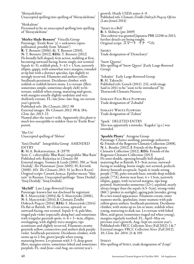'Shirayakihine' Unaccepted spelling/mis-spelling of 'Shirayukihime'

'Shirkahine' Presumed to be an unaccepted spelling/mis-spelling of 'Shirayukihime'

'Shirley Slade-Bennett' Viticella Group Parentage: 'Étoile Rose' (s) × unknown (openpollinated, possibly from 'Minuet') R: T. Bennett (2006), G: T. Bennett (2010), N: T. Bennett (2012), REG: T. Bennett (2012) Fls broadly bell-shaped, 6cm across, nodding at first, becoming outward-facing, borne singly, not scented. Sepals 4(–5), reddish pink, 3–4.5  $\times$  1.5cm, narrowly elliptic, gappy, with somewhat wavy margins, rounded at tip but with a distinct apiculus, tips slightly to strongly recurved. Filaments and anthers yellow. Seedheads persistent. Deciduous climber, with reddish or reddish brown stems. Lvs ternate (lflets sometimes simple, sometimes deeply cleft) to biternate, reddish when young, maturing mid-green, with margins usually slightly undulate and very shallowly crenate. FL: late June–late Aug, on current year's growth.

Published refs: *The Clematis 2012*: 98 External images: *The Clematis 2012*: 98 & 184; *Clem*. *Int*. *2013*: 23

Named after the raiser's wife. Apparently this plant is much less susceptible to mildew than its 'Étoile Rose' parent.

'Sho Un' Unaccepted spelling of 'Shōun'

'Sinii Dozhd′' Integrifolia Group AMENDED ENTRY

R: M.A. Beskaravainaya , I: (1979) Syns: *C*. ×*diversifolia* 'Blue Rain'; *integrifolia* 'Blue Rain' Published refs: Riekstiņa in *Clematis*-*86* External images: Toomey & Leeds (2001): 350, as 'Sinij Dozhdj'; *The Plantsman* (June 2005): 91; Kivistik (2008): 103; *The Clematis 2011*: 51 (as Blue Rain) Original script: Синий Дождь. Epithet means "blue rain" in Russian. Unaccepted spellings: 'Sinee Dozhd'; 'Sinij Dozhdj'; 'Sinij Dozhdz'.

'Skyfall' Late Large-flowered Group Parentage: known but not disclosed by registrant R: S. Marczyński (2004), G: S. Marczyński (2006), N: S. Marczyński (2014), I: Clematis Źródło Dobrych Pnączy (2014), REG: S. Marczyński (2014) Fls flat or flattish, 10–12cm across, upward- or outward-facing, not scented. Sepals 4–6, pale blue, tinged pale violet (especially along bar) and sometimes with irregular greenish spots,  $4-\tilde{6} \times 3-4$ cm, elliptic, overlapping, with slightly wavy margins, tips acuminate and slightly recurved. Filaments creamy greenish yellow; connectives and anthers dark purpleviolet. Seedheads persistent. Deciduous climber, with stems up to 2.5m, green/purple when young, maturing brown. Lvs pinnate with 3–5, deep green lflets, margins entire, sometimes lobed and sometimes purplish. FL: mid-June–end Aug, on current year's

growth. Hardy USDA zones 4–9. Published refs: *Clematis Źródło Dobrych PnączyOferta* (Lato-Jesień 2014)

'Smart in a Bell' R: S. Shibuya (pre 2009) This cultivar was granted Japanese PBR 22296 in 2013; further details are being sought. Original script: スマート イナ ベル.

Smoky Trade designation of 'Dymchatyi'

'Snow Queens' Mis-spelling of 'Snow Queen' (Early Large-flowered Group)

'Sokojiro' Early Large-flowered Group R: H. Takeuchi Published refs: Gooch (2011): 232, with image Said in 2011 to be "soon to be introduced" by Thorncroft Clematis Nursery.

Somany Pale Blue Flowers Trade designation of 'Zobadol'

Somany White Flowers Trade designation of 'Zobast'

'Spark' DELETED ENTRY This was apparently a mistake; 'Kagaku' (*q*.*v*.) was intended.

#### 'Sparkle Plenty' Atragene Group

Parentage: Chance seedling; parentage unknown G: Friends of the Rogerson Clematis Collection (2008), N: L. Beutler (2012), I: Friends of the Rogerson Clematis Collection (2012), REG: Friends of the Rogerson Clematis Collection (2013) Fls semi-double, opening broadly bell-shaped, maturing flat or flattish, 8.5–9cm across, outwardfacing or nodding, borne singly; not scented; pedicels downy beneath receptacle. Sepals 4; inside strong purple (77B), paler towards base; outside deep reddish purple (77A), downy near base;  $4 \times 1.5$ cm, narrowly elliptic, gappy, with recurved margins, tips longpointed. Staminodes numerous (12+), sepaloid, nearly always longer than the sepals (4.5–5cm), strong violet (86C) (pinker in sunlight), ageing pale lavender, giving fls a two-toned appearance. Filaments cream; outer stamens sterile, spathulate; inner stamens with pale yellow-green anthers. Seedheads persistent. Deciduous climber, with stems up to 2m or more, reddish when young, maturing to dark tan. Lvs ternate with lobed lflets, mid-green (sometimes tinged red when young), margins regularly toothed. FL: April–May on previous year's growth, Aug–Sept on current year's. Published refs: FRCC *Collection News* (Fall 2012): 1 & 7 External images: FRCC *Collection News* (Fall 2012): 10; *Clem*. *Int*. *2014*: 21 & 105

#### **Spikey**

Mis-spelling of Spiky, trade designation of 'Zospi'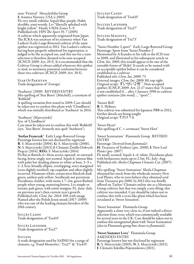*stans* 'Festival' Heracleifolia Group I: Asiatica Nursery, USA (*c*.2005) Fls very small, tubular. Sepals blue-purple. Habit shrubby, semi-woody. Lvs "liberally splashed with bright yellow". Hardy USDA Zones 5–9. Published refs: HPS *The Sport* 35: 7 (2005) A cultivar which apparently originated from Japan. The ICRA was unaware of its existence when Van Laeken's Early Large-flowered cultivar of the same epithet was registered in 2011. Van Laeken's cultivar, having been properly submitted for registration, is judged to be the accepted use, and this use for a *stans* selection is therefore deemed to be non-accepted (ICNCP, 2009: Art. 29.3). It is recommended that the Cultivar Group is always added whenever this epithet is cited, to minimize potential confusion between these two cultivars (ICNCP, 2009: Art. 30.5).

Star Of Pakistan Trade designation of 'Zostapa'

'Starburst' (2009) REVISED ENTRY Mis-spelling of 'Star Burst' (Mitchell), a synonym of 'RobloM'

A spelling variation first noted in 2009. Care should be taken not to confuse this plant with 'Cloudburst', which was initially distributed as 'Starburst' in 2014.

'Starburst' (Marczyński) Syn. of 'Cloudburst' Care must be taken not to confuse this with 'RobloM' (syn. 'Star Burst', formerly mis-spelt 'Starburst').

'Stefan Franczak' Early Large-flowered Group Parentage known but not disclosed by registrant R: S. Marczyński (2004), G: S. Marczyński (2006), N: S. Marczyński (2013), I: Clematis Źródło Dobrych Pnączy (2014), REG: S. Marczyński (2014) Fls flat or flattish, 6–10cm across, upward- or outwardfacing, borne singly, not scented. Sepals 6, intense blue with paler bar shading almost to white at base,  $3-5 \times$ 2–2.5cm, broadly elliptic, overlapping, wavy-margined (even slightly toothed), tip cuspidate and often slightly recurved. Filaments white; connectives blackish dark green; anthers pale yellow. Seedheads not persistent. Deciduous climber, with stems 1.7–2m, green flushed purple when young, maturing brown. Lvs simple or ternate, pale green, with entire margins. FL: June–July, on previous year's then current year's growth.<br>Published refs: *Clem. Int. 2014*: 109, with image Published refs: *Clem*. *Int*. *2014*: 109, with image Named after the Polish Jesuit monk (1917–2009) who was one of the leading clematis breeders of the 20th century

Succès Candy Trade designation of 'Tra415'

Succès Lavender Trade designation of 'Tra27'

#### **SUCCESS**

A trade designation used by SAPHO for a range of clematis, *e*.*g*. 'Fond Memories', 'Tra27' & 'Tra415'

Success Candy Trade designation of 'Tra415'

Success Lavender Trade designation of 'Tra27'

Success Magenta Trade designation of 'Tra73'

"Suisei Number 2 sport" Early Large-flowered Group Parentage: Sport from 'Suisei Number 2' Mentioned by A Kaneko in his talk to the IClS tour in 2008, and illustrated in his subsequent article in *Clem*. *Int*. *2009*, this would appear to be one of the unstable forms of 'Shikō'. It needs to be named with an acceptable epithet before it can be considered established as a cultivar. Published refs: *Clem*. *Int*. *2009*: 73 External images: *Clem*. *Int*. *2009*: 80, top right Original script: すいせい2号〝. Non-accepted epithet; ICNCP, 2009: Art. 21.17 states that "A name is not established if … after 1 January 1996 its cultivar epithet contains [the word] … "sport".".

'Sunset Bell' R: S. Shibuya This cultivar was submitted for Japanese PBR in 2012; further details are being sought Original script: サンセット ベル.

'Sweet Heart' Mis-spelling of *C*. × *cartmanii* 'Sweet Hart'

'Sweet Scentsation' Flammula Group REVISED ENTRY

Parentage: Derived from *flammula*? H: Treasures of Tenbury (pre- 2000), I: New Leaf Plants (pre- 2007) Fls small, scented. Sepals 4–6, white. Deciduous plant with herbaceous stems up to 2.5m. FL: July–Aug Published refs: *Sheila Chapman Clematis Cat*. (2007): 44

Mis-spelling: 'Sweet Sentsation'. Sheila Chapman obtained her stock from the wholesale nursery New Leaf Plants, who in turn believe they obtained seed from Treasures pre-2000. In 2012 this was briefly offered on Taylors' Clematis online site as a Montana Group cultivar, but that was simply a mis-filing: this cultivar was intended. Care should be taken not to confuse this with a *recta*-like plant which has been circulated as 'Sweet Sensation'.

'Sweet Sensation' Flammula Group Apparently a clone very close to, if not indeed a direct selection from, *recta*, which was commercially available for several years in the UK. Care should be taken not to confuse this unregistered plant with 'Sweet Scentsation' (also in Flammula group but closer to *flammula*).

#### 'Sweet Summer Love' Flammula Group AMENDED ENTRY

Parentage known but not disclosed by registrant R: S. Marczyński (2003), N: S. Marczyński (2011), I: Clematis Szkółka Pojemnikowa (2011),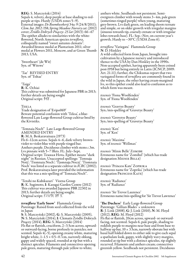REG: S. Marczyński (2014) Sepals 4, velvety, deep purple at base shading to redpurple at tips. Hardy (USDA zones 5–9). External images: *De Boomkwekerij* 34a: 9 (24/8/2011); *Clem*. *Int*. *2012*: 158; *Spring Meadow Nurserycat*. (2012) cover; *Źródło Dobrych Pnączy*: *25 lat* (2013): 66–67 The epithet alludes to similarities with the white-flowered, North American species *terniflora*, colloquially named "sweet autumn clematis". Awarded bronze medal at Plantarium 2011; silver medal at Flowers 2011, Moscow, and at Green Thumb 2013, USA.

'Sweetheart' (de Wit) Syn. of 'Witswe'

'Tae' REVISED ENTRY Syn. of 'Toltae'

'Taiga'

R: K. Ochiai This cultivar was submitted for Japanese PBR in 2013; further details are being sought Original script: タイガ.

Tekla

Trade designation of 'Evipo069' Beware potential confusion with 'Teksa', a blueflowered Late Large-flowered Group cultivar bred by the Kivistiks.

'Temnaia Noch′' Late Large-flowered Group AMENDED ENTRY R: M.A. Beskaravainaya (1973) Fls 6–12cm across. Sepals 4–6, dark velvety brownviolet to violet-blue with purple-tinged bar. Anthers purple. Deciduous climber with stems *c*.3m. Lvs pinnate with 5–7 lflets. FL: July–Sept. Original script: Темная Ночь. Epithet means "dark night" in Russian. Unaccepted spellings: 'Temnaja Notj'; 'Tiomnaia Noch'; 'Tjomnaja Noczj'. 'Tiomnaia Noch' was listed as a separate cultivar in *ICRC* (2002); Prof. Beskaravainaya later provided the information that this was a mis-spelling of 'Temnaia Noch′'.

'Tenshi no Kubikazari' Viorna Group R: K. Sugimoto, I: Kasugai Garden Centre (2012) This cultivar was awarded Japanese PBR 22302 in 2013; further details are being sought. Original script: テンシノクビカザリ.

*terniflora* 'Early Snow' Flammula Group Parentage: Raised from seed collected from the wild in Japan

S: S. Marczyński (2002), G: S. Marczyński (2005), N: S. Marczyński (2014), I: Clematis Zródło Dobrych Pnączy (2014), REG: S. Marczyński (2014) Fls flat or flattish, cruciform, 2–3.5cm across, upwardor outward-facing, borne profusely in panicles; not scented. Sepals 4(–5), opening creamy white, maturing bright white,  $1-1.5 \times 0.5-0.7$ cm, narrowly oblong, gappy and widely spaced, rounded at tip but with a distinct apiculus. Filaments and connectives opening pale green, maturing through pale yellow to white;

anthers white. Seedheads not persistent. Semievergreen climber with woody stems 3–4m, pale green (sometimes tinged purple) when young, maturing grey-brown. Lvs dark green, on leading shoots ternate and simple, or on older growth with irregular margins (sinuous towards tip, coarsely crenate or with irregular lobes towards base). FL: Sep.–Nov, on current year's growth. Hardy to −30°C (USDA Zone 6).

*terniflora* 'Variegata' Flammula Group N: D. Hinkley

A wild-collected form from Japan, brought into cultivation by a Japanese nursery and introduced thence to the USA by Dan Hinkley in the 1990s. Non-accepted epithet, having apparently been coined post-1958 but being entirely in Latin (ICNCP, 2009: Art. 21.11); further, the Chikumas report that two variegated forms of *terniflora* are commonly found in the wild in Japan, the other having cream-margined lvs, so this epithet could also lead to confusion as to which form was meant.

*texensis* 'Fiona Woolfenden' Syn. of 'Fiona Woolfenden'

*texensis* 'Gravtye Beauty' Syn./mis-spelling of 'Gravetye Beauty'

*texensis* 'Grovetye Beauty' Syn./mis-spelling of 'Gravetye Beauty'

*texensis* 'Ken' Syn. of 'Ken'

*texensis* 'Maxima' Syn. of *texensis* 'Wellmax'

*texensis* 'Minie Belle' Zomibe Erroneous name for 'Zomibel' (which has trade designation MIENIE BELLE)

*texensis* 'Princess Kate' Zoprika Erroneous name for 'Zoprika' (which has trade designation PRINCESS KATE)

*texensis* 'Radiance' Syn. of 'Radiance'

*texensis* 'Sir Trevor Laurence' Erroneous name/mis-spelling for 'Sir Trevor Lawrence'

'The Duchess' Early Large-flowered Group Parentage: 'Gillian Blades' × unknown R: J. Link (2008), G: J. Link (2010), N: M. Floyd (2012), REG: M. Floyd (2012) Fls flat or flattish, 20cm across, upward- or outwardfacing, not scented. Sepals 6, pale purple, shading to reddish purple to margins near base and from base to halfway up bar,  $10 \times 3.5$ cm, narrowly obovate but with basal half folded down to either side to give each sepal a spathulate look, gappy, with slightly wavy margins, rounded at tip but with a distinct apiculus, tip slightly recurved. Filaments and anthers cream; connectives greenish yellow. Seedheads not persistent. Deciduous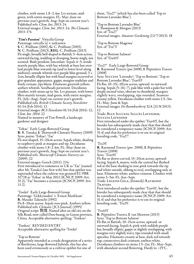climber, with stems 1.8–2.4m. Lvs ternate, midgreen, with entire margins. FL: May–June on previous year's growth, Aug–Sept on current year's. Published refs: *Clem*. *Int*. *2013*: 24 External images: *Clem*. *Int*. *2013*: 24; *The Clematis 2013*: 174

'Tim's Passion' Viticella Group Parentage: *viticella* (s) × unknown S: C. Pridham (2001), G: C. Pridham (2003), N: C. Pridham (2013), REG: C. Pridham (2013) Fls single, broadly bell-shaped to flattish, 5–6cm across, outward-facing, nodding or drooping, borne singly, not scented. Buds pendent, lanceolate. Sepals 4–5; inside laid purple-blue towards tip (and to lower level along midvein); outside whitish over purple-blue ground;  $3 \times$ 2cm, broadly elliptic but with basal margins recurved to give spatulate appearance, gappy, margins undulate and finely crenate, tips blunt. Filaments greenish yellow; anthers whitish. Seedheads persistent. Deciduous climber, with stems up to 3m. Lvs pinnate, with lower lflets mainly ternate, mid-green, with entire margins. FL: July–Aug(–Sept) on current year's growth. Published refs: *British Clematis Society Newsletter* 01/14 (Feb 2014): 12

External images: *BCS Newsletter* 01/14 (Feb 2014): 12; *Clem*. *Int*. *2014*: 22

Named in memory of Tim Powell, a landscape gardener and designer

'Toltae' Early Large-flowered Group R: R. Tanaka, I: Thorncroft Clematis Nursery (2009) Syns: *patens* 'Toltae'; 'Tae' Fls star-shaped, 15–20cm across. Sepals white, shading to raspberry-pink at margins and tip. Deciduous climber with stems 1.8–2.4m. FL: May–June on previous year's growth, Aug–Sept on current year's. Published refs: *Thorncroft Clematis Nurserycat*. (2009): 22 External images: Gooch (2011): 234

First introduced to commerce in UK as 'Tae' (named after Mr Tanaka's late first wife) but that epithet was superseded when the cultivar was granted EU PBR 32728 as 'Toltae' in May 2012 (ICNCP, 2009: Art. 31.2); 'Tae' becomes a synonym (ICNCP, 2009: Art. 11.2).

'Tonkō' Early Large-flowered Group Parentage: 'Gekkyuuden' × 'Ernest Markham' R: Masako Takeuchi (1992) Fls 8–10cm across. Sepals rose-pink. Anthers yellow. Published refs: *Clematis* (JCS Journal) (1995) Original script: 敦煌. Named after an old city on the Silk Road, now called Dun-huang, in Gansu province, China. Acceptable alternative spelling: 'Tonkoo'.

'Tonkoo' REVISED ENTRY Acceptable alternative spelling for 'Tonkō'

#### 'Top to Bottom'

Apparently intended as a trade designation of a series of floriferous, large-flowered hybrids, this has also been used erroneously as a cultivar epithet for one of

them, 'Tra27' (which has also been called 'Top to Bottom Lavender Blue').

'Top to Bottom Lavender Blue' I: Thompson & Morgan (2013) Syn. of 'Tra27' External images: *Amateur Gardening* (13/7/2013): 18

'Top to Bottom Magenta' Syn. of 'Tra73'

'Top to Bottom Salmon' Syn. of 'Tra415'

'Tra27' Early Large-flowered Group <sup>R</sup>: Raymond Travers (pre 2008), <sup>I</sup>: Pépinières Travers (2008)

Syns: Success 'Lavender'; 'Top to Bottom'; 'Top to Bottom Lavender Blue'; 'Trav03'

Fls flat, 10–15(–18)cm across, upward- to outwardfacing. Sepals (5–)6(–7), pale blue with a paler bar with deeply incised veins, obovate to rhomboid, margins slightly wavy, overlapping, tips rounded. Stamens creamy yellow. Deciduous climber with stems 2.5–3m. FL: May–June & Sept.

External images: *De Boomkwekerij* 32A (21/8/2013): 12

Trade: Blue Success; Succès Lavender; Success Lavender

First introduced under the epithet 'Trav03', but the breeder has subsequently made clear that that should be considered a temporary name (ICNCP, 2009: Art. 31.4) and that his preference is to use its original breeding-code, 'Tra27'.

#### 'Tra35'

R: Raymond Travers (pre- 2008), I: Pépinières Travers (2008)

Syns: 'Trav01'

Fls flat or down-curved, 15–20cm across, upwardfacing. Sepals 8, mauve, with the central bar flushed red at the base shading to rose-pink towards the tip and white outside, oblong to oval, overlapping only at base. Filaments white; anthers crimson. Climber with stems 3–5m. FL: Jun–Sept.

Trade: Legend Giga; (formerly) Raymond Travers

First introduced under the epithet 'Trav01', but the breeder has subsequently made clear that that should be considered a temporary name (ICNCP, 2009: Art. 31.4) and that his preference is to use its original breeding-code, 'Tra35'.

### 'Tra415'

R: Pépinières Travers, I: van Meuwen (2013) Syns: 'Top to Bottom Salmon' Fls flat or flattish, 10–15cm across, upward- or

outward-facing. Sepals 6, pink with reddish purple bar, broadly elliptic, gappy or slightly overlapping, with margins very slightly wavy, tips rounded with small apiculus. Filaments creamy at base, dark red towards top; connectives dark crimson; anthers white. Deciduous climbers on stems 1.5–2m. FL: May–Sept, with abundant second flowering. Hardy to −25°C.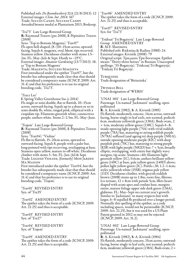Published refs: *De Boomkwekerij* 32A (21/8/2013): 12 External images: *Clem*. *Int*. *2014*: 167 Trade: Succès Candy, Success Candy Awarded bronze medal at Plantarium 2013, Boskoop.

'Tra73' Late Large-flowered Group **R**: Raymond Travers (pre 2008), **I**: Pépinières Travers<br>(2008) Syns: 'Top to Bottom Magenta'; 'Trav07' Fls open bell-shaped, (8–)10–15cm across, upwardfacing. Sepals 6, magenta, oval, blunt, tips recurved. Stamens yellow. Deciduous climber with stems 1.5– 2m. FL: May–July & Sept. Hardy to −25°C. External images: *Amateur Gardening* (13/7/2013): 18, as 'Top to Bottom Magenta' Trade: Magenta; Success Magenta First introduced under the epithet 'Trav07', but the breeder has subsequently made clear that that should be considered a temporary name (ICNCP, 2009: Art. 31.4) and that his preference is to use its original

breeding-code, 'Tra73'.

'Tracy Lee'

I: Spring Valley Greenhouse Inc.(*c*.2014) Fls single or semi-double, flat or flattish, 10–15cm across, outward-facing. Sepals up to a dozen or so in semi-double fls, white, tinged pink, elliptical with a cuspidate tip. Filaments greenish white; connectives purple; anthers white. Stems 2–2.5m. FL: May–June.

'Trajem' Late Large-flowered Group <sup>R</sup>: Raymond Travers (pre 2008), <sup>I</sup>: Pépinières Travers (2008)

Syns: 'Trav04'; ''Violine'

Fls flat to flattish, 15–20cm across, upward-to outward-facing. Sepals 8, purple with a paler bar, long-pointed with tips recurving, overlapping at base. Stamens open yellow, mature to off-white. Deciduous climber with stems 3–5m. FL: Jun–Jul & Sept. Trade: Legend Violine; (formerly) Mon Jardin Ma Maison

First introduced under the epithet 'Trav04', but the breeder has subsequently made clear that that should be considered a temporary name (ICNCP, 2009: Art. 31.4) and that his preference is to use its original breeding-code, 'Trajem'.

'Trav01' REVISED ENTRY Syn. of 'Tra35'

'Trav02' AMENDED ENTRY The epithet takes the form of a code (ICNCP, 2009: Art. 21.25) and thus is acceptable.

'Trav03' REVISED ENTRY Syn. of 'Tra27'

'Trav04' REVISED ENTRY Syn. of 'Trajem'

'Trav05' AMENDED ENTRY The epithet takes the form of a code (ICNCP, 2009: Art. 21.25) and thus is acceptable.

'Trav06' AMENDED ENTRY The epithet takes the form of a code (ICNCP, 2009: Art.  $21.25$ ) and thus is acceptable.

'Trav07' REVISED ENTRY Syn. for 'Tra73'

'Tridtsat′ Tri Bogatyria' Late Large-flowered Group AMENDED ENTRY R: M.F. Sharonova Published refs: Riekstiņa & Radina (1988): 24 External images: Kivistik (2008): 79 Original script: Тридцать Три Богатыря. Epithet means "Thirty-three heroes" in Russian. Unaccepted spellings: '33-Bogatyrja'; 'Tridczatj Tri Bogatyrja'; 'Tridzatj Tri Bogatyrja'.

Turquoise Trade designation of 'Biriuzinka'

Twinkle Bell Trade designation of 'WER01'

'UNAI 001' Late Large-flowered Group Parentage: Un-named 'Jackmanii' seedling, openpollinated R: A. Kivistik (1982), S: A. Kivistik (1985) Fls flattish, moderately concave, 14cm across, outwardfacing, borne singly in leaf axils, not scented; pedicels 6cm, moderate yellowish green (138A). Buds ovate, 2 × 1cm, moderate yellow-green (138C). Sepals 6–8; inside opening light purple (75A) with vivid reddish purple (78A) bar, maturing to strong reddish purple (N78A) suffused (and ageing to) deep purple (N81A); outside opening moderate purple (82C) with deep purplish pink (70C) bar, maturing to strong purple (82B) with light purple (N82D) bar; 7  $\times$  5cm, broadly elliptic, overlapping, with entire but slightly wavy margins, tip acute. Stamens *c*.60; filaments light greenish yellow (1C), 0.6cm; anthers brilliant yellowgreen (149C) at base, pale yellow-green (149D) above; pollen light yellow-green (2C). Pistils *c*.30, 1.2–1.4cm; styles yellowish white (155B); stigmas pale yellow (11D). Deciduous climber, with greyish reddish brown (200B) stems up to 1.8m; roots fine, fibrous. Lvs ternate,  $12 \times 8$ cm with petiole 5cm, lflets heartshaped with acute apex and cordate base, margins entire, mature foliage upper side dark green (136A), glabrous. FL: May–Sept on current year's growth. Similar to 'Jackmanii' in many respects but with larger, 6–8-sepalled fls produced over a longer period. Normally this spelling of the epithet, as a code including spaces, would not be permissible (ICNCP, 2009: Art. 21.25), but it was used for a US Plant Patent granted in 2012 so may not be rejected (ICNCP, 2009: Art. 31.2).

'UNAI 002' Late Large-flowered Group Parentage: Un-named 'Jackmanii' seedling, openpollinated R: A. Kivistik (1982), S: A. Kivistik (1984)

Fls flattish, moderately concave, 15cm across, outwardfacing, borne singly in leaf axils, not scented; pedicels 6cm, moderate yellowish green (138A). Buds ovate,  $2 \times$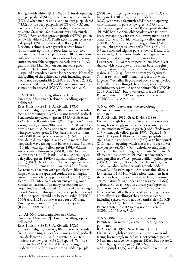1cm, greenish white (192D). Sepals 6; inside opening deep purplish red (61A), tinged vivid reddish purple (N74A) when mature and ageing to deep purplish red (71A); outside deep purplish red (71A);  $7 \times 3.5$ cm, narrowly deltoid, with entire but slightly wavy margins, tip acute. Stamens  $c$ .60; filaments very pale purple (76D), 0.6cm; anthers greyish purple (N77A); pollen yellowish white (158D). Pistils *c*.30, 1.2cm; styles very pale purple (76D); stigmas pale yellow (11C). Deciduous climber, with greyish reddish brown (200B) stems up to 1.8m; roots fine, fibrous. Lvs ternate,  $15 \times 10$ cm with petiole 6cm, lflets lanceolate with acute apex and cordate or obtuse base, margins entire, mature foliage upper side dark green (136A), glabrous. FL: May–Sept on current year's growth. Similar to 'Jackmanii' in many respects but with larger, 6-sepalled fls produced over a longer period. Normally this spelling of the epithet, as a code including spaces, would not be permissible (ICNCP, 2009: Art. 21.25), but it was used for a US Plant Patent granted in 2012 so may not be rejected (ICNCP, 2009: Art. 31.2).

'UNAI 003' Late Large-flowered Group Parentage: Un-named 'Jackmanii' seedling, openpollinated

R: A. Kivistik (1982), S: A. Kivistik (1986) Fls flattish, slightly concave, 10cm across, outwardfacing, borne singly in leaf axils, not scented; pedicels 6cm, moderate yellowish green (138A). Buds ovate,  $2-3 \times 1$ cm, yellowish white (196D). Sepals 6–7; inside strong violet (opening 90A, maturing 90B) with deep purplish red  $(71A)$  bar, ageing to brilliant violet  $(90C)$ with pale yellow-green (155A) bar; outside brilliant violet (90D) with pale yellow-green (155A) bar;  $7 \times$ 5cm, deltoid, overlapping, with entire margins but irregularly wavy throughout blade, tip acute. Stamens *c*.60; filaments light yellow-green (150D), 0.2cm; anthers pale yellow-green (149D); pollen brilliant yellow-green (149C). Pistils *c*.30, 0.2–0.3cm; styles pale yellow-green (149D); stigmas brilliant yellowgreen (149C). Deciduous climber, with greyish reddish brown (200B) stems up to 1.5m; roots fine, fibrous. Lvs ternate,  $12 \times$  9cm with petiole 6cm, lflets heartshaped with acute apex and cordate base, margins entire, mature foliage upper side dark green (136A), glabrous. FL: May–Sept on current year's growth. Similar to 'Jackmanii' in many respects but with larger, 6–7-sepalled, ruffled fls produced over a longer period. Normally this spelling of the epithet, as a code including spaces, would not be permissible (ICNCP, 2009: Art. 21.25), but it was used for a US Plant Patent granted in 2012 so may not be rejected (ICNCP, 2009: Art. 31.2).

'UNAI 004' Late Large-flowered Group Parentage: Un-named 'Jackmanii' seedling, openpollinated

R: A. Kivistik (1982), S: A. Kivistik (1986) Fls flattish, slightly concave, 10cm across, outwardfacing, borne singly in leaf axils, not scented; pedicels 6cm, dark green (136A). Buds ovate,  $2-3 \times 1$ cm, moderate yellow-green (138C). Sepals 6–7; inside vivid purple (82A, with 81A bar), maturing to moderate purple (82C) with strong reddish purple

(78B) bar and ageing to very pale purple (76D) with light purple (78C) bar; outside moderate purple (82C), with very pale purple (85D) bar on opening which matures to pale yellow-green (157A), and ageing to very pale purple (76D) with pinkish white  $(N155B)$  bar;  $7 \times 5cm$ , oblanceolate with truncate base, overlapping, with entire but wavy margins, tip acute. Stamens  $c.60$ ; filaments light yellow-green (150D), 0.2cm; anthers pale orange-yellow (23D); pollen light orange-yellow (22C). Pistils *c*.30, 0.2– 0.3cm; styles and stigmas pale yellow (11D and 11C respectively). Deciduous climber, with greyish reddish brown (200B) stems up to 1.5m; roots fine, fibrous. Lvs ternate,  $12 \times 8$ cm with petiole 6cm, lflets heartshaped with acute apex and cordate base, margins entire, mature foliage upper side dark green (136A), glabrous. FL: May–Sept on current year's growth. Similar to 'Jackmanii' in many respects but with larger, 6–7-sepalled fls produced over a longer period. Normally this spelling of the epithet, as a code including spaces, would not be permissible (ICNCP, 2009: Art. 21.25), but it was used for a US Plant Patent granted in 2012 so may not be rejected (ICNCP, 2009: Art. 31.2).

'UNAI 005' Late Large-flowered Group Parentage: Un-named 'Jackmanii' seedling, openpollinated

R: A. Kivistik (1982), S: A. Kivistik (1986) Fls flattish, slightly concave, 14cm across, outwardfacing, borne singly in leaf axils, not scented; pedicels 0.4cm, moderate yellowish green (138A). Buds ovate,  $2-3 \times 1$ cm, pale yellow-green (193C). Sepals 6–7; inside dark purple (83A) with strong purplish red (67A) bar; outside deep purple (83B), with light purple (84C) bar on opening which matures and ages to very pale purple (84D);  $7 \times$  5cm, deltoid, overlapping, with entire but wavy margins, tip acute. Stamens *c*.60; filaments pinkish white (N155C), 0.4cm; anthers deep purplish red (71A); pollen brilliant yellow-green (149C). Pistils *c*.30, 0.2–0.3cm; styles and stigmas 149C. Deciduous climber, with greyish reddish brown (200B) stems up to 1.8m; roots fine, fibrous. Lvs ternate,  $15 \times 11$ cm with petiole 4cm, lflets heartshaped with acute apex and cordate base, margins entire, mature foliage upper side dark green (136A), glabrous. FL: May–Sept on current year's growth. Similar to 'Jackmanii' in many respects but with larger, 6–7-sepalled fls produced over a longer period. Normally this spelling of the epithet, as a code including spaces, would not be permissible (ICNCP, 2009: Art. 21.25), but it was used for a US Plant Patent granted in 2012 so may not be rejected (ICNCP, 2009: Art. 31.2).

'UNAI 006' Late Large-flowered Group Parentage: Un-named 'Jackmanii' seedling, openpollinated

R: A. Kivistik (1982), S: A. Kivistik (1991) Fls flattish, slightly concave, 15cm across, outwardfacing, borne singly in leaf axils, not scented; pedicels 0.6cm, moderate yellowish green (138A). Buds ovate, 2  $\times$  1cm, light greenish grey (188C). Sepals 6; inside deep reddish purple (77A), with deep purplish red (61A)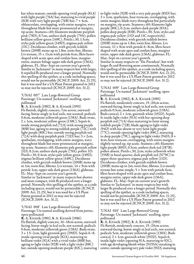bar when mature; outside opening vivid purple (81A) with light purple (76A) bar, maturing to vivid purple (81B) with very light purple (76B) bar;  $7 \times 4$ cm, oblanceolate, overlapping, with entire margins, wavy throughout blade but more pronounced at margins, tip acute. Stamens *c*.60; filaments moderate purplish pink (78D), 0.7cm; anthers dark purple (79A); pollen brilliant yellow-green (149C). Pistils *c*.30, 1.5cm; styles pale yellow-green (149D); stigmas pale yellow (11C). Deciduous climber, with greyish reddish brown (200B) stems up to 1.8m; roots fine, fibrous. Lvs ternate,  $15 \times 11$ cm with petiole 6cm, lflets heartshaped with acute apex and cordate base, margins entire, mature foliage upper side dark green (136A), glabrous. FL: May–Sept on current year's growth. Similar to 'Jackmanii' in many respects but with larger, 6-sepalled fls produced over a longer period. Normally this spelling of the epithet, as a code including spaces, would not be permissible (ICNCP, 2009: Art. 21.25), but it was used for a US Plant Patent granted in 2012 so may not be rejected (ICNCP, 2009: Art. 31.2).

'UNAI 007' Late Large-flowered Group Parentage: Un-named 'Jackmanii' seedling, openpollinated

R: A. Kivistik (1982), S: A. Kivistik (1991) Fls flattish, slightly concave, 7cm across, outwardfacing, borne singly in leaf axils, not scented; pedicels 0.6cm, moderate yellowish green (138A). Buds ovate,  $2 \times 1$ cm, moderate yellow-green (138C). Sepals 6; inside strong purplish red (72A) with strong purple (80B) bar, ageing to strong reddish purple (72C) with light purple (80C) bar; outside strong purplish red  $(72A)$  with deep purplish pink  $(72D)$  bar;  $3 \times 2$ cm, spathulate, overlapping, with entire margins, wavy throughout blade but more pronounced at margins, tip acute. Stamens *c*.60; filaments pale greenish yellow  $(1D)$ , 0.2cm; anthers dark purple  $(79A)$ ; pollen  $1D$ . Pistils *c*.30, 0.4cm; styles pale yellow-green (149D); stigmas brilliant yellow-green (149C). Deciduous climber, with greyish reddish brown (200B) stems up to 1m; roots fine, fibrous. Lys ternate,  $14 \times 9$ cm with petiole 1cm, upper side dark green (136A), glabrous. FL: May–Sept on current year's growth. Similar to 'Jackmanii' in many respects but shorter and more compact, with fls produced over a longer period. Normally this spelling of the epithet, as a code including spaces, would not be permissible (ICNCP, 2009: Art. 21.25), but it was used for a US Plant Patent granted in 2012 so may not be rejected (ICNCP, 2009: Art. 31.2).

'UNAI 008' Late Large-flowered Group Parentage: Un-named seedling derived from *patens*, open-pollinated

R: A. Kivistik (1981), S: A. Kivistik (1986) Fls flattish, slightly concave, 16–18cm across, outwardfacing, borne singly in leaf axils, not scented; pedicels 0.6cm, moderate yellowish green (138A). Buds ovate,  $3 \times 1.5$ –2cm, light greenish grey (190D). Sepals 6–8; inside opening vivid purple (82A), maturing to brilliant violet (92A) with a vivid violet (88B) bar, ageing to light violet (92B) with a light violet (88C) bar; outside opening moderate purple (82C), maturing

to light violet (92B) with a very pale purple (85D) bar;  $3 \times 2$ cm, spathulate, base truncate, overlapping, with entire margins, blade wavy throughout but particularly on margins, tip acute. Stamens *c*.60; filaments light purple (80C), 0.2cm; anthers dark purple (83A); pollen deep purple (83B). Pistils *c*.30, 3cm; styles and stigma pale yellow (11D and 11C respectively). Deciduous climber, with greyish reddish brown (200B) stems up to 1.8m; roots fine, fibrous. Lvs ternate,  $12 \times 8$ cm with petiole 6–8cm, lflets heartshaped with acute apex and cordate base, margins entire, upper side dark green (136A), glabrous. FL: May–Sept on current year's growth. Similar in many respects to 'The President', but with larger fls and flowering more continuously. Normally this spelling of the epithet, as a code including spaces, would not be permissible (ICNCP, 2009: Art. 21.25), but it was used for a US Plant Patent granted in 2012 so may not be rejected (ICNCP, 2009: Art. 31.2).

'UNAI 009' Late Large-flowered Group Parentage: Un-named 'Jackmanii' seedling, openpollinated

R: A. Kivistik (1982), S: A. Kivistik (1985) Fls flattish, moderately concave, 15–20cm across, outward-facing, borne singly in leaf axils, not scented; pedicels 0.5cm, moderate yellowish green (138A). Buds conical,  $2 \times 1$ cm, greenish white (192D). Sepals 6; inside light violet (91A) with bar opening deep purplish red (71A) then maturing to faint strong reddish purple (72B), blade ageing to light violet (94D) with bar absent or very faint light purple (77C); outside opening light violet (88C), maturing to deep purple (79C), ageing to light violet (94D);  $\bar{8} \times$ 4cm, base truncate, overlapping, with entire margins slightly turned up, tip acute. Stamens *c*.60; filaments light purple (80D), 0.5cm; anthers dark red (187B); pollen absent. Pistils *c*.30, 2cm; styles yellowish white (155B) in basal quarter, dark purplish red (N79C) in upper three-quarters; stigmas pale yellow (11D). Deciduous climber, with greyish reddish brown (200B) stems up to 2m; roots fine, fibrous. Lvs mostly ternate but some simple,  $5 \times 3$ cm with petiole 6cm, lflets heart-shaped with acute apex and cordate base, margins entire, upper side dark green (136A), glabrous. FL: May–Sept on current year's growth. Similar to 'Jackmanii' in many respects but with larger fls produced over a longer period. Normally this spelling of the epithet, as a code including spaces, would not be permissible (ICNCP, 2009: Art. 21.25), but it was used for a US Plant Patent granted in 2012 so may not be rejected (ICNCP, 2009: Art. 31.2).

'UNAI 010' Late Large-flowered Group Parentage: Un-named 'Jackmanii' seedling, openpollinated

R: A. Kivistik (1982), S: A. Kivistik (1985) Fls flattish, moderately concave, 15–20cm across, outward-facing, borne singly in leaf axils, not scented; pedicels 5cm, moderate yellowish green (138A). Buds conical,  $2 \times 1$ cm, greenish white (192D). Sepals 6; inside light violet (opening 91A, maturing to 92C), with age developing bluish white (N155A) streaking in centre; outside opening very pale violet (91D), maturing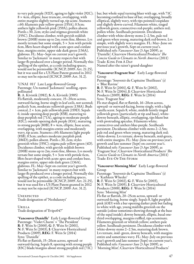to very pale purple (92D), ageing to light violet (92C);  $8 \times 4$ cm, elliptic, base truncate, overlapping, with entire margins slightly turned up, tip acute. Stamens *c*.60; filaments pale yellow-green (155A), 0.5cm; anthers light yellowish pink (159A); pollen absent. Pistils *c*.30, 2cm; styles and stigmas greenish white (155C). Deciduous climber, with greyish reddish brown (200B) stems up to 2m; roots fine, fibrous. Lvs mostly ternate but some simple,  $5 \times 3$ cm with petiole 6cm, lflets heart-shaped with acute apex and cordate base, margins entire, upper side dark green (136A), glabrous. FL: May–Sept on current year's growth. Similar to 'Jackmanii' in many respects but with larger fls produced over a longer period. Normally this spelling of the epithet, as a code including spaces, would not be permissible (ICNCP, 2009: Art. 21.25), but it was used for a US Plant Patent granted in 2012 so may not be rejected (ICNCP, 2009: Art. 31.2).

'UNAI 011' Late Large-flowered Group Parentage: Un-named 'Jackmanii' seedling, openpollinated

R: A. Kivistik (1982), S: A. Kivistik (1985) Fls flattish, moderately concave, 15–20cm across, outward-facing, borne singly in leaf axils, not scented; pedicels 5cm, moderate yellowish green (138A). Buds conical,  $2 \times 1$ cm, pale yellowish pink (159D). Sepals 6; inside opening deep purple (83B), maturing to deep purplish red (71A), ageing to moderate purple (82C); outside opening dark purple (83A), maturing to strong purple (80B);  $8 \times 4$ cm, elliptic, base acute, overlapping, with margins entire and moderately wavy, tip acute. Stamens *c*.60; filaments light purple (85B), 0.5cm; anthers moderate purplish pink (186D); pollen absent. Pistils *c*.30, 2cm; styles greenish white (155C); stigma pale yellow-green (4D). Deciduous climber, with greyish reddish brown (200B) stems up to 2m; roots fine, fibrous. Lvs mostly ternate but some simple,  $5 \times 3$ cm with petiole 6cm, lflets heart-shaped with acute apex and cordate base, margins entire, upper side dark green (136A), glabrous. FL: May–Sept on current year's growth. Similar to 'Jackmanii' in many respects but with larger fls produced over a longer period. Normally this spelling of the epithet, as a code including spaces, would not be permissible (ICNCP, 2009: Art. 21.25), but it was used for a US Plant Patent granted in 2012 so may not be rejected (ICNCP, 2009: Art. 31.2).

#### **UNEXPECTED**

Trade designation of 'Nezhdannyi'

Urilla Trade designation of 'Evipo047'

'Vancouver Danielle' Early Large-flowered Group Parentage: 'Violet Charm' x 'The President' R: F. Wein Sr (2000), G: F. Wein Sr (2001), N: F. Wein Sr (2003), I: Clearview Horticultural Products (2009), REG: F. Wein Sr (2014) Syns: 'Danielle' Fls flat or flattish, 15–20cm across, upward- or outward-facing. Sepals 8, opening with strong purple (83C) blade/margins about strong purplish red (71C) bar, but whole sepal turning bluer with age, with 71C becoming confined to base of bar; overlapping, broadly elliptical, slightly wavy, with tips pointed/cuspidate and slightly down-curved. Filaments white, tinged yellowish green; connectives red-purple; anthers red; pollen white. Seedheads persistent. Deciduous climber with white-downy stems 2–2.5m, pale red and green when young, maturing dark red-brown. Lvs simple, with slightly wavy margins. FL: May–June on previous year's growth, Sept on current year's. Published refs: *Vancouver Sun* (3 Apr 2009), as 'Danielle'; Clearview Horticultural Products' *The Concise Guide to Clematis in North America* (2011) Trade: King For A Day Named after the raiser's grand-daughter

#### 'Vancouver Fragrant Star' Early Large-flowered Group

Parentage: 'Souvenir du Capitaine Thuilleaux' (s) × 'Blue Ravine'

R: F. Wein Sr (2001), G: F. Wein Sr (2002), N: F. Wein Sr (2004), I: Clearview Horticultural Products (2009), REG: F. Wein Sr (2014) Syns: 'Fragrant Star' Fls star-shaped, flat or flattish, 16–20cm across, upward- or outward-facing, borne singly, with a light vanilla scent. Sepals 8, white, midrib faintly tinged yellowish green (particularly at tip and base), whitedowny beneath, elliptic, overlapping, tips blunt but with protruding apiculus. Filaments white; connectives and anthers blue-purple. Seedheads persistent. Deciduous climber with stems 2–2.5m; pale red and green when young, maturing dark red; white-downy. Lvs ternate, downy beneath, mid-green, with entire margins. FL: May–June on previous year's growth and late summer (Sept) on current year's. Published refs: *Vancouver Sun* (3 Apr 2009), as 'Fragrant Star'; Clearview Horticultural Products' *The Concise Guide to Clematis in North America* (2011) Trade: Eye-Of-The-Storm

#### 'Vancouver Morning Mist' Early Large-flowered Group

Parentage: 'Souvenir du Capitaine Thuilleaux' (s) × 'Kathleen Wheeler' R: F. Wein Sr (2002), G: F. Wein Sr (2003), N: F. Wein Sr (2005), I: Clearview Horticultural Products (2008), REG: F. Wein Sr (2014) Syns: 'Morning Mist' Fls flat or flattish, 20–25cm across, upward- or outward-facing, borne singly. Sepals 8, light purplish pink (63D) with a bar opening darker pink but fading to white with age, young midribs greenish on the outside (colour sometimes showing through at the base of the sepal inside); downy beneath, elliptic, basal onethird overlapping, margins ruffled, tips acuminate. Filaments greenish or whitish yellow; anthers pale yellow. Seedheads persistent. Deciduous climber with white-downy stems 2–2.5m, maturing dark brown. Lvs ternate, mid- green, downy beneath, with margins entire and sometimes wavy. FL: May-July on previous year's growth and late summer (Sept) on current year's. Published refs: *Vancouver Sun* (3 Apr 2009), as 'Morning Mist'; Clearview Horticultural Products'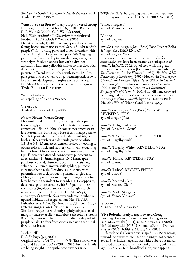*The ConciseGuideto Clematis in North America* (2011) Trade: Hint Of Pink

'Vancouver Sea Breeze' Early Large-flowered Group Parentage: 'Kathleen Wheeler' (s)  $\times$  'Blue Ravine' R: F. Wein Sr (2000), G: F. Wein Sr (2001), N: F. Wein Sr (2005), I: Clearview Horticultural Products (2012), REG: F. Wein Sr (2014) Fls flat or flattish, 15–10cm across, upward- or outwardfacing, borne singly, not scented. Sepals 8, light reddish purple (74C) turning paler and bluer (lavender) with age, with midrib deep purplish pink (70C) ageing to pale purple, broadly elliptic, overlapping, margins strongly ruffled, tip obtuse but with a distinct apiculus. Filaments yellowish white; connectives with dark spot at tip; anthers pale yellow. Seedheads persistent. Deciduous climber, with stems 1.5–2m, pale green and red when young, maturing dark brown. Lvs ternate, dark green, margins entire but wavy. FL: May–Oct on previous, then current year's growth. Trade: Ruffled Feathers

'Venosa Violacae' Mis-spelling of 'Venosa Violacea'

Vienetta Trade designation of 'Evipo006'

*vinacea* Floden Viorna Group Fls urn-shaped or urceolate, nodding or drooping, borne singly at the terminus of each stem in usually ebracteate 1-fld infl. (though sometimes bracteate in late-season infls. borne from base of terminal peduncle). Sepals 4, pinkish purple (or reddish or pinkish) on both surfaces, with tips paler pink, green or white,  $1.5-3 \times 0.6-1.5$ cm, erect, densely sericeous, oblong to oblanceolate, thick and leathery, connivent (touching but not fused), long-pointed with acuminate, recurved tips. Filaments flattened; connectives pubescent to apex; anthers 4–5mm. Stigmas 10–14mm, apex papillose, curved, plumose. Seedheads persistent, spherical, 3–7cm diameter, with golden, plumose, curvate achene-tails. Deciduous sub-shrub, with perennial rootstock producing annual, angled and ribbed, shortly sericeous stems up to 1.5m, erect at first, later becoming scandent to scrambling. Lvs opposite, decussate, pinnate-ternate with 3–5 pairs of lflets themselves 3–5-lobed and densely though shortly sericeous on both surfaces. FL: late Mar–Sept, on current year's growth. Narrowly endemic in subxeric, upland habitats in S Appalachian Mts, SE USA. Published refs: *J*. *Bot*. *Res*. *Inst*. *Texas* 7(1): 1–7 (2013) External images: *The Clematis 2013*: 127–130 Similar to *crispa* but with only slightly crispate sepal margins; narrower lflets and lobes; sericeous lvs, stems & sepals; plumose achene tails; and distinctly pinkish purple sepals. Differs from *viorna* in having terminal fls without bracts.

'Violet Bell'

R: S. Shibuya (pre 2009)

Original script: バイオレット ベル. This cultivar was awarded Japanese PBR 22298 in 2013; further details are being sought. The epithet contravenes ICNCP,

2009: Rec. 21G, but, having been awarded Japanese PBR, may not be rejected (ICNCP, 2009: Art. 31.2).

'Violet Stargazer' Syn. of 'Venosa Violacea'

'Violine' Syn. of 'Trajem'

*viticella* subsp. *campaniflora* (Brot.) Font Quer ex Bolòs & Vigo REVISED ENTRY Syn. of *campaniflora* It is now considered to have been a mistake for *campaniflora* to have been treated as a subspecies of *viticella* in *ICRC 2002*, out of step with the great majority of recent authors [for example, Brandenburg in *The European Garden Flora*, v.3 (1989); *The New RHS Dictionary ofGardening* (1992); Howells in *Trouble*-*free Clematis*: *the Viticellas* (1998); Grey-Wilson in *Clematis the Genus* (2000); Johnson in *The Genus Clematis* (2001); and Toomey & Leeds in *An Illustrated Encyclopedia of Clematis* (2001)]. It will henceforward be reassigned to species' level, with consequences for the *campaniflora* × *viticella* hybrids 'Hågelby Pink', 'Hågelby White', 'Hanna' and Lisboa' [*q*.*v*.].

*viticella* var. *campaniflora* (Brot.) Willk. & Lange REVISED ENTRY Syn. of *campaniflora*

*viticella* 'Delightful Scent' Syn. of 'Delightful Scent'

*viticella* 'Hågelby Pink' REVISED ENTRY Syn. of 'Hågelby Pink'

*viticella* 'Hågelby White' REVISED ENTRY Syn. of 'Hågelby White'

*viticella* 'Hanna' REVISED ENTRY Syn. of 'Hanna'

*viticella* 'Lisboa' REVISED ENTRY Syn. of 'Lisboa'

*viticella* 'Scented Clem' Syn. of 'Scented Clem'

*viticella* 'Violet Stargazer' Syn. of 'Venosa Violacea'

'Vitwester' Mis-spelling of 'Vitiwester'

'Viva Polonia' Early Large-flowered Group Parentage known but not disclosed by registrant R: S. Marczyński (2004), G: S. Marczyński (2006), N: S. Marczyński (2013), I: Clematis Źródło Dobrych Pnączy (2014), REG: S. Marczyński (2014) Fls flattish or shallowly bowl-shaped, 12–15cm across, upward- or outward-facing, borne singly, not scented. Sepals 6–8; inside magenta, bar white at base but mostly suffused purple above; outside pink, turning paler with age;  $6-7.5 \times 3-4$ cm, broadly elliptic, overlapping,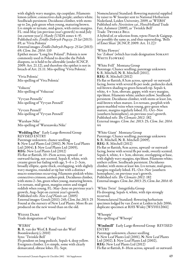with slightly wavy margins, tip cuspidate. Filaments lemon-yellow; connectives dark purple; anthers white. Seedheads persistent. Deciduous climber, with stems up to 2m, pale green when young, maturing brown. Lvs simple or ternate, mid-green, with entire margins. FL: mid-May (on previous year's growth) to mid-July (on current year's). Hardy (USDA zones 4–9). Published refs: *Źródło Dobrych Pnączy*: *25 lat* (2013): 69, as 'Vivia Polonia' External images: *Źródło Dobrych Pnączy*: *25 lat* (2013): 69; *Clem*. *Int*. *2014*: 110 Epithet means "Long live Poland". Polonia is now commonly used in Poland to describe the Polish diaspora, so is held to be allowable (under ICNCP, 2009: Art. 21.12), and therefore the epithet is not in breach of Art. 21.11. Mis-spelling 'Vivia Polonia'.

'Vivia Polonia' Mis-spelling of 'Viva Polonia'

'Voluceu' Mis-spelling of 'Voluceau'

'Vyvyan Pennells' Mis-spelling of 'Vyvyan Pennell'

'Vyvyen Pennell' Mis-spelling of 'Vyvyan Pennell'

'Warshaw Nike' Mis-spelling of 'Warszawska Nike'

'Wedding Day' Early Large-flowered Group REVISED ENTRY Parentage unknown; chance seedling S: New Leaf Plants Ltd (2002), N: New Leaf Plants Ltd (2004), I: New Leaf Plants Ltd (2005), REG: New Leaf Plants Ltd (2012) Fls flat or flattish, 10–15cm across, upward- or outward-facing, not scented. Sepals  $\overline{8}$ , white, with creamy green bar fading with age,  $5-6 \times 2-3$ cm, broadly elliptic, quite thick, overlapping, with slightly wavy margins, rounded at tip but with a distinct mucro sometimes recurving. Filaments pinkish white; connectives crimson; anthers pink. Deciduous climber, with stems 2–3m, green when young, maturing brown. Lvs ternate, mid-green, margins entire and tinged reddish when young. FL: May–June on previous year's growth, Aug–Sept on current year's growth. Published refs: *New Leaf Plants cat*. (2005) External images: Gooch (2011): 245; *Clem*. *Int*. *2013*: 25 Found at the nursery of New Leaf Plants. More fls are produced on the new wood than on the old.

Weisse Dame Trade designation of 'Valge Daam'

#### 'WER01'

R: R. van der Werf, I: Ruud van der Werf Boomkwekerij (*c*.2010) Syns: 'Twinkle Bell' Fls pendent on long pedicels. Sepals 4, deep yellow. Evergreen climber. Lvs simple, some with clearly demarcated, obtuse lobes. FL: Sept.

Nomenclatural Standard: flowering material supplied by raiser to W Snoeijer sent to National Herbarium Nederland, Leiden University, 2009, as 'WER01' Published refs: *Noviteiten cat*., FloraHolland Trade Fair, Aalsmeer (2009), as 'Twinkle Bell' Trade: Twinkle Bell A hybrid of, or selection from, *repens* Finet & Gaignep. (or possibly the same as, and thus superseding, 'Bells of Emei Shan' [ICNCP, 2009: Art. 11.2])?

'White Flowers' See 'Zobast' (which has trade designation Somany White Flowers)

'White Frill' Montana Group Parentage: Chance seedling; parentage unknown S: R. Mitchell, N: R. Mitchell (2011), REG: R. Mitchell (2012)

Fls flat or flattish, 8.5cm across, upward- or outwardfacing, borne with several fls per node, peduncles dark red-brown shading to green beneath tip. Sepals 4, white,  $4 \times 3$ cm, obovate, gappy, with wavy margins, tips blunt. Filaments white; anthers yellow. Seedheads persistent. Deciduous climber, with stems at least 2m, mid-brown when mature. Lvs ternate, purplish with green-marbled veins when young, grey-green when mature, margins regularly lobed. FL: Oct–Nov (southern hemisphere), on previous year's growth. Published refs: *The Clematis 2012*: 182 External images: *Clem*. *Int*. *2013*: 25; *Clem*. *Int*. *2014*: 44

'White Giant' Montana Group Parentage: Chance seedling; parentage unknown S: R. Mitchell, N: R. Mitchell (2009), REG: R. Mitchell (2012) Fls flat or flattish, 9cm across, upward- or outwardfacing, borne with several fls per node, sweetly scented. Sepals 4, white,  $4 \times 3$ cm, obovate, overlapping at base, with slightly wavy margins, tips blunt. Filaments white; anthers yellow. Seedheads persistent. Deciduous climber, with stems at least 4m. Lvs ternate, mid-green, margins regularly lobed. FL: Oct–Nov (southern hemisphere), on previous year's growth. Published refs: *The Clematis 2012*: 182 External images: *Clem*. *Int*. *2013*: 25; *Clem*. *Int*. *2014*: 45

'White Twist' Integrifolia Group Fls drooping. Sepals 4, white, with tips strongly recurved. Nomenclatural Standard: flowering herbarium specimen lodged by van Zoest at Leiden in July 2006; duplicate specimen at RHS Wisley [WSY0112061]

'Whoopie' Mis-spelling of 'Whoopi'

'Windmill' Early Large-flowered Group REVISED ENTRY Parentage unknown; chance seedling S: New Leaf Plants Ltd (2001), N: New Leaf Plants Ltd (2002), I: New Leaf Plants Ltd (2002), REG: New Leaf Plants Ltd (2012) Fls flat or flattish, 8–10cm across, upward- or outward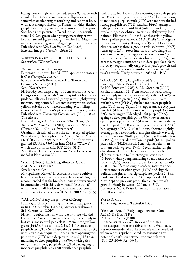facing, borne singly, not scented. Sepals 8, mauve with a pinker bar,  $4-5 \times 2$ cm, narrowly elliptic or obovate, somewhat overlapping or touching and gappy at base, with acute, long-pointed tip. Filaments white, flushed purple towards top; connectives crimson; anthers pink. Seedheads not persistent. Deciduous climber, with stems 1.5–2m, green when young, maturing brown. Lvs ternate, mid-green, margins entire. FL: May–June on previous year's growth, Aug–Sept on current year's. Published refs: *New Leaf Plants Cat*. (2003) External images: *Clem*. *Int*. *2013*: 26

Winter Parasol CORRECTED ENTRY See *cirrhosa* 'Winter Parasol'

'Witswe' Integrifolia Group

Parentage unknown, but EU PBR application states it is *C*. × *diversifolia* cultivar

R: Marco de Wit Boomkwekerij, I: Thorncroft

Clematis Nursery (2011)

Syns: 'Sweetheart'

Fls broadly bell-shaped, up to 10cm across, outwardfacing or nodding. Sepals 6, mauve-pink with a deeper pink bar, elliptical, twisted, gappy, with slightly wavy margins, long-pointed. Filaments creamy white; anthers yellow. Sub-shrub with non-clinging, scrambling stems to 2m. FL: June–Sept on current year's growth. Published refs: *Thorncroft Clematis cat*. (2011): 10, as 'Sweetheart'

External images: *De Boomkwekerij* 34a: 9 (24/8/2011), *Thorncroft Clematis cat*. (2011): back cover, & *The Clematis 2012*: 27, all as 'Sweetheart'

Originally circulated under the non-accepted epithet 'Sweetheart', a homophone for *C*. × *cartmanii* 'Sweet Hart' [ICNCP, 2009: Art. 21.23). The cultivar was granted EU PBR 35630 in June 2013 as 'Witswe', which takes priority (ICNCP, 2009: 31.2); 'Sweetheart' becomes a synonym. Awarded bronze medal at Plantarium 2011.

'Xerxes' (Noble) Early Large-flowered Group AMENDED ENTRY

Sepals deep violet.

Mis-spelling: 'Xerxès'. In Australia a white cultivar has for years been sold as 'Xerxes'. In view of this, it is recommended that the breeder's name is always quoted in connection with this cultivar and "(Australia)" with that white-fld cultivar, to minimize potential confusion between the two (ICNCP, 2009: Art. 50.5).

'YAKU010A' Early Large-flowered Group Parentage: Chance seedling found in private garden in British Columbia, Canada; parentage unknown S: P.K. Sorensen (2010)

Fls semi-double, flattish, with two or three whorled layers, 15–17cm across, outward-facing, borne singly in leaf axils, not scented; pedicels 10–25cm, strong yellowgreen (144A). Buds conical,  $2.5 \times 1.5$ –1.8cm, strong purplish red (71B). Sepals/sepaloid staminodes 20–50, with a transparent quality; upper surface opening very pale purple (76D) with deep purplish red (71A) bar, maturing to deep purplish pink (70C) with paler margins and strong purplish red (71B) bar, ageing to moderate purplish pink (70D) with deep purplish

pink (70C) bar; lower surface opening very pale purple (76D) with strong yellow-green (144C) bar, maturing to moderate purplish pink (70D) with margins flushed strong purplish red (71D) and bar 144C (ageing to light yellow-green  $(144D)$ );  $4.5-10 \times 1.5-3$ cm, ovate, overlapping, base obtuse, margins slightly wavy, longpointed. Filaments 40+ per fl,; anthers vivid yellow (16A); pollen pale yellow (162D). Pistils 2cm; stigmas paler than brilliant yellow-green (154C). Deciduous climber, with glabrous, greyish reddish brown (200B) stems up to 2.5m; roots fine, fibrous. Lvs simple on lower stem, ternate on upper stem,  $6-10 \times 4-7.5$ cm, mature upper surface moderate olive-green (137A), base cordate, margins entire, tip cuspidate; petiole 2–5cm. FL: May–Sept, initially on previous year's growth and continuing to produce semi-double fls on current year's growth. Hardy between −20° and +45°C.

'YAKU050' Early Large-flowered Group Parentage: 'Marie Boisselot' (s)  $\times$  'Nelly Moser' R: P.K. Sorensen (1996), S: P.K. Sorensen (2000) Fls flat or flattish, 12–15cm across, outward-facing, borne singly in lf axils, not scented; pedicels 10–25cm, moderate olive-green (137A). Buds  $2.5 \times 1.5$ cm, pinkish white (N155C) flushed moderate purplish pink (70D) at tip. Sepals 6–8; upper surface very pale purple (75D), with bar strong reddish purple (opening 72C, maturing to 72B edged light purple (75A), ageing to deep purplish pink (70C); lower surface opening very pale purple (75D), maturing to moderate purplish pink (70D) with strong yellow-green (144C) bar, ageing to  $75D$ ;  $6-10 \times 3-4$ cm, obovate, slightly overlapping, base rounded, margins slightly wavy, tip acute. Filaments 70–85 per fl., 1.5cm, yellowish white (N155D); anthers dark yellowish pink (181D); pollen pale yellow (162D). Pistils 2cm; stigma paler than brilliant yellow-green (154C). Seeds feathery, light olive-brown (199B). Deciduous climber, with glabrous stems up to 3m, strong yellow-green (N144C) when young, maturing to moderate olivebrown (199A); roots fine, fibrous. Lvs ternate, 12–15  $\times$  10–12cm, lflets oblong to cordate, mature upper surface moderate olive-green (137A) and slightly bullate, margins entire, tip cuspidate; petiole 2–5cm, moderate olive-brown (199A) on upper side. FL: May–Sept on previous year's, then current year's growth. Hardy between −20° and +45°C. Resembles 'Marie Boisselot' in most features apart from flower colour.

YALTA STUDY Trade designation of 'Ialtinskii Etiud'

'Yoshiko' (Asada) Early Large-flowered Group AMENDED ENTRY R: Hisashi Asada (1988) Original script: よしこ. In view of the later (non-accepted) re-use of this epithet by Watanabe, it is recommended that the breeder's name be added whenever this epithet is cited, to minimize any potential confusion between the two cultivars (ICNCP, 2009: Art. 30.5).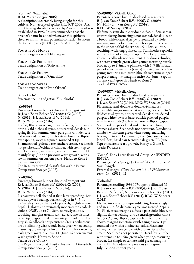'Yoshiko' (Watanabe) R: M. Watanabe (pre 2006) A description is currently being sought for this cultivar. Non-accepted epithet (ICNCP, 2009: Art. 30.1), having already been used by Asada for a cultivar established in 1992. It is recommended that the breeder's name be added whenever this epithet is cited, to minimize any potential confusion between the two cultivars (ICNCP, 2009: Art. 30.5).

YOU ARE MY HONEY Trade designation of 'Hikarugenji'

YOU ARE SO FRIENDLY Trade designation of 'Rahvarinne'

You Are So Funny Trade designation of 'Omoshiro'

YOU ARE SO SWEET Trade designation of 'Ivan Olsson'

'Yukiokochi' Syn./mis-spelling of *patens* 'Yukiokoshi'

#### 'Zo08095'

Parentage known but not disclosed by registrant R: J. van Zoest Beheer B.V. (2004), G: (2008), N: (2014), I: J. van Zoest B.V. (2014), REG: W. Snoeijer (2014)

Fls flat, 10–12cm across, upward-facing, borne singly or in a 3-fld dichasial cyme, not scented. Sepals 8 in spring fls, 6 in summer ones, pale pink with delicate red veins and red margins,  $6 \times 4$ cm, broadly elliptic, overlapping, wavy-margined, rounded at tip. Filaments red (pale at base); anthers cream. Seedheads not persistent. Deciduous climber, with stems up to 2m. Lvs ternate, mid-green, with entire margins. FL: mainly May–June on previous year's growth, with a few in summer on current year's. Hardy to Zone 6. Trade: Liberty

The Registrant would classify this within Patens Group *sensu* Snoeijer (2008).

#### 'Zo09045'

Parentage known but not disclosed by registrant R: J. van Zoest Beheer B.V. (2006), G: (2009), N: (2014), I: J. van Zoest B.V. (2014), REG: W. Snoeijer (2014)

Fls narrowly bell-shaped at first, later spreading, 4cm across, upward-facing, borne singly or in 3–5-fld dichasial cymes on dark violet pedicels, slightly scented. Sepals 4, glossy, approximately moderate violet/dark violet (N92B), up to  $7 \times 2$ cm, narrowly elliptic, touching, margins usually with at least one distinct wave, tip long-pointed. Filaments pale violet; anthers greyish. Seedheads not persistent. Stems herbaceous or sub-climbing with woody base, green when young, maturing brown, up to 1m tall. Lvs simple or ternate, dark green, margins entire. FL: June–Sept on current year's growth. Hardy to Zone 5.

Trade: Blue Ocean The Registrant would classify this within Diversifolia Group *sensu* Snoeijer (2008).

#### 'Zo09085' Viticella Group

Parentage known but not disclosed by registrant R: J. van Zoest Beheer B.V. (2006), G: (2009), N: (2014), I: J. van Zoest B.V. (2014), REG: W. Snoeijer (2014)

Fls female, semi-double or double, flat, 6–8cm across, upward-facing, borne singly, not scented. Sepals 6, with a broad, white, central stripe surrounded by violet margins, some colour from which seeps into the veins in the upper half of the stripe;  $4.5 \times 2$ cm, elliptic, touching, with long-pointed tip. Staminodes sepaloid, with similar colouring and up to 2cm long. Stamens absent. Seedheads not persistent. Deciduous climber, with stems purple-green when young, maturing purplebrown, up to 2.5m. Lvs pinnate, with 5–7 lflets, basal pair of which sometimes (rarely) ternate; purple when young, maturing mid-green (though sometimes tinged purple at margins); margins entire. FL: June–Sept on current year's growth. Hardy to Zone 7. Trade: Astra Nova

#### 'Zo09087' Viticella Group

Parentage known but not disclosed by registrant R: J. van Zoest Beheer B.V. (2006), G: (2009), I: J. van Zoest B.V. (2014), REG: W. Snoeijer (2014) Fls female, semi-double or double, 4cm across, outward-facing or somewhat nodding, borne in 3–7 fld dichasial cymes, not scented. Sepals 4, inside redpurple, white towards base; outside pale red-purple, mainly at midrib;  $3 \times 1$ cm, narrowly elliptic, gappy. Staminodes sepaloid, red and up to 2.5cm long. Stamens absent. Seedheads not persistent. Deciduous climber, with stems green when young, maturing brown, up to 2m. Lvs pinnate, with 5–7, sometimes lobed lflets, basal pair ternate; pale green. FL: June– Sept on current year's growth. Hardy to Zone 5. Trade: Rosalyn

'Zoang' Early Large-flowered Group AMENDED ENTRY

Parentage: 'Mrs George Jackman' (s) × 'Andromeda' Syns: 'Angela' External images: *Clem*. *Int*. *2011*: 21; *RHS Summer*

*Plant Cat*. (2012): 11

### 'Zobadol'

Parentage: Seedling 19960074 open-pollinated (s) R: J. van Zoest Beheer B.V. (2003), G: J. van Zoest Beheer B.V. (2006), N: J. van Zoest Beheer B.V. (2011), <sup>I</sup>: J. van Zoest Beheer B.V. (2011), REG: W. Snoeijer (2012)

Fls flat, 4–7cm across, upward-facing, borne singly and in a 3–5-fld dichasial cyme, not scented. Sepals (4–)5–6, broad margins suffused pale violet-blue with slightly darker veining, and a central, greenish white bar,  $5 \times 3.5$ cm, elliptic, gappy at base but touching above, margins sometimes with a single wave, tips rounded but with a distinct apiculus. Filaments white; connectives yellow with brown tip; anthers cream. Seedheads not persistent. Deciduous climber, with stems up to 1.5m, green when young, maturing brown. Lvs simple or ternate, mid-green, margins entire. FL: May–June on previous year's growth, July–Sept on current year's.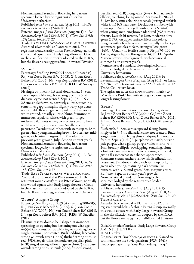Nomenclatural Standard: flowering herbarium specimen lodged by the registrant at Leiden University herbarium

Published refs: *J*. *van Zoest cat*. (Aug 2011): 13; *De Boomkwekerij* 34a: 9 (24/8/2011) External images: *J*. *van Zoest cat*. (Aug 2011): 4; *De Boomkwekerij* 34a: 9 (24/8/2011); *Clem*. *Int*. *2012*: 157; *Clem*. *Int*. *2013*: 27

Trade: Baby Doll; Somany Pale Blue Flowers Awarded silver medal at Plantarium 2011. The registrant would classify this in Patens Group; normally this would equate with Early Large-flowered Group in the classification currently adopted by the ICRA, but the flower size suggests Small-flowered Division.

#### 'Zobast'

Parentage: Seedling 19960074 open-pollinated (s) R: J. van Zoest Beheer B.V. (2003), G: J. van Zoest Beheer B.V. (2006), N: J. van Zoest Beheer B.V. (2011), <sup>I</sup>: J. van Zoest Beheer B.V. (2011), REG: W. Snoeijer (2012)

Fls single or (in early fls) semi-double, flat, 5–8cm across, upward-facing, borne singly or in a 3-fld dichasial cyme, not scented. Sepals  $(4-)$ 5–6; 5  $\times$ 2.5cm; single fls white, narrowly elliptic, touching, sometimes gappy, margins slightly wavy, tips acute; semi-double fls with green or pink mottling over a white ground, broadly elliptic, blunt. Staminodes numerous, sepaloid, white, with green-tinged midvein. Filaments white; connectives cream, later with brown tip; anthers cream. Seedheads not persistent. Deciduous climber, with stems up to 1.5m, green when young, maturing brown. Lvs ternate, midgreen, with entire margins. FL: May–June on previous year's growth, July–Sept on current year's. Nomenclatural Standard: flowering herbarium specimen lodged by the registrant at Leiden University herbarium

Published refs: *J*. *van Zoest cat*. (Aug 2011): 13; *De Boomkwekerij* 34a: 9 (24/8/2011)

External images: *J*. *van Zoest cat*. (Aug 2011): 4; *De Boomkwekerij* 34a: 9 (24/8/2011); *Clem*. *Int*. *2012*: 158; *Clem*. *Int*. *2013*: 27

Trade: Baby Star; Somany White Flowers Awarded bronze medal at Plantarium 2011. The registrant would classify this in Patens Group; normally this would equate with Early Large-flowered Group in the classification currently adopted by the ICRA, but the flower size suggests Small-flowered Division.

'**Zocoro'** Atragene Group<br>Parentage: Seedling 20010039 (s) × seedling 20040155 R: J. van Zoest Beheer B.V. (2005), G: J. van Zoest Beheer B.V. (2007), N: J. van Zoest Beheer B.V. (2011), <sup>I</sup>: J. van Zoest Beheer B.V. (2011), REG: W. Snoeijer (2012)

Fls usually semi-double, bell-shaped, staminodes spreading on opening but flattening out with age, 4–5(–7)cm across, outward-facing or nodding, borne singly, terminal, not scented. Buds nodding, lanceolate, strong yellowish green (144A) flushed strong purplish red (59D). Sepals 4, inside moderate purplish pink (62B) tinged strong yellowish green (144C) near base, outside strong purplish pink (62A), flushed strong

purplish red (61B) along veins,  $3-4 \times 1$ cm, narrowly elliptic, touching, long-pointed. Staminodes 20–30, 3–4cm long, same colouring as sepals (or tinged pinkish white (N155C) near base). Deciduous climber, with stems up to 2m, strong yellowish green (N144A) when young, maturing brown (dark red (59A)); roots fibrous. Lvs sub-bi-ternate,  $7 \times 8$ cm, moderate olivegreen (137A) on upper surface, lflets lanceolate, margins with a few large teeth and usually 1 lobe, tips acuminate; petioles to 5cm, strong yellow-green (143C). Usually no fertile stamens. Pistils 70–100, to 1.4cm; stigma light yellow-green (145D). FL: April– May on previous year's growth, with occasional summer fls on current year's.

Nomenclatural Standard: flowering herbarium specimen lodged by the registrant at Leiden University herbarium

Published refs: *J*. *van Zoest cat*. (Aug 2011): 14 External images: *J*. *van Zoest cat*. (Aug 2011): 6; *Clem*. *Int*. *2013*: 28; *De Boomkwekerij* 32A (21/8/2013): 12 Trade: Country Rose

The registrant notes this shows some similarity to 'Markham's Pink', but with stronger colouring and longer-lasting flowers.

#### 'Zoexci'

Parentage: known but not disclosed by registrant R: J. van Zoest Beheer B.V. (2004), G: J. van Zoest Beheer B.V. (2006), N: J. van Zoest Beheer B.V. (2011), <sup>I</sup>: J. van Zoest Beheer B.V. (2011), REG: W. Snoeijer (2012)

Fls flattish, 3–5cm across, upward-facing, borne singly or in 3–5-fld dichasial cyme, not scented. Buds long-pointed, and, being glossy red-purple, a notable feature. Sepals (4–5–)6; purple-violet inside; outside pale purple, with a glossy, purple-violet midrib;  $4 \times$ 2cm; broadly elliptic, overlapping, touching, blunt – but with margins tending to be strongly inrolled, giving fl a somewhat star-shaped appearance. Filaments cream; anthers yellowish. Seedheads not persistent. Deciduous habit, with stems up to 1.5m, green when young, maturing dark brown. Lvs pinnate, with 3–5, mid-green lflets, margins entire. FL: June–Sept, on current year's growth. Nomenclatural Standard: flowering herbarium specimen lodged by the registrant at Leiden University herbarium

Published refs: *J*. *van Zoest cat*. (Aug 2011): 15 External images: *J*. *van Zoest cat*. (Aug 2011): 8; *De Boomkwekerij* 34a: 12 (22/8/2012); *Clem*. *Int*. *2013*: 29 Trade: Exciting

Awarded bronze medal at Plantarium 2012. The registrant would classify this in Patens Group; normally this would equate with Early Large-flowered Group in the classification currently adopted by the ICRA, but the flower size suggests Small-flowered Division.

'Zoia Kosmodem′ianskaia' Early Large-flowered Group AMENDED ENTRY

R: M.I. Orlov

Original script: Зоя Космодемьянская. Named to commemorate the Soviet partisan (1923–1941). Unaccepted spelling: 'Zoja Kosmodemjanskaja'.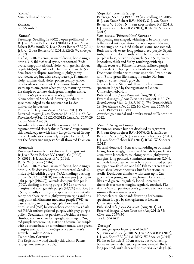'Zomea' Mis-spelling of 'Zomoa'

Zomibe See 'Zomibel'

#### 'Zomoa'

Parentage: Seedling 19960250 open-pollinated (s) R: J. van Zoest Beheer B.V. (2004), G: J. van Zoest Beheer B.V. (2006), N: J. van Zoest Beheer B.V. (2011), <sup>I</sup>: J. van Zoest Beheer B.V. (2011), REG: W. Snoeijer (2012)

Fls flat, 6–10cm across, upward-facing, borne singly or in a 3–5-fld dichasial cyme, not scented. Buds ovate, long-pointed, dark violet, with greyish down. Sepals (4–5–)6, dark violet, bar flushed purple, 5  $\times$ 3cm, broadly elliptic, touching, slightly gappy, rounded at top but with a cuspidate tip. Filaments violet; anthers dark violet; pollen creamy yellow. Seedheads not persistent. Deciduous climber, with stems up to 2m, green when young, maturing brown. Lvs simple or ternate, dark green, margins entire. FL: June–Sept on current year's growth. Nomenclatural Standard: flowering herbarium specimen lodged by the registrant at Leiden University herbarium

Published refs: *J*. *van Zoest cat*. (Aug 2011): 19 External images: *J*. *van Zoest cat*. (Aug 2011): 27; *De Boomkwekerij* 34a: 12 (22/8/2012); *Clem*. *Int*. *2013*: 29 Trade: Mon Amour

Awarded silver medal at Plantarium 2012. The registrant would classify this in Patens Group; normally this would equate with Early Large-flowered Group in the classification currently adopted by the ICRA, but the flower size suggests Small-flowered Division.

#### 'Zomonch'

Parentage known but not disclosed by registrant R: J. van Zoest Beheer B.V. (2003), G: (2006), N: (2014), I: J. van Zoest B.V. (2014), REG: W. Snoeijer (2014)

Fls flat, 6–10cm across, upward-facing, borne singly or in 3–5-fld dichasial cymes, not scented. Sepals 6; inside vivid reddish purple (78A), shading to strong purple (N82A to N82B) towards margins [ageing to light purple (N82C)]; outside deep purplish pink (70C), shading to strong purple (N82B) towards margins and with greyish purple (N77A) midribs; 5  $\times$ 3.5cm, broadly elliptic, overlapping midway but often gappy near base, with slightly wavy margins and tips long-pointed. Filaments moderate purple (79D) at base, shading to dull grey-purple above and deep purplish red (59B) below anthers; connectives dark red (59A); anthers pale red-purple, with grey-purple pollen. Seedheads not persistent. Deciduous semiclimber, with more or less upright stems up to 2m, red-purple when young, maturing brown. Lvs simple with a cordate base, or sometimes ternate, dark green, margins entire. FL: June–Sept on current year's growth. Hardy to Zone 6.

#### Trade: Mon Cherry

The Registrant would classify this within Patens Group *sens*. Snoeijer (2008).

#### 'Zoprika' Texensis Group

Parentage: Seedling 19990039 (s)  $\times$  seedling 19970052 R: J. van Zoest Beheer B.V. (2004), G: J. van Zoest Beheer B.V. (2006), N: J. van Zoest Beheer B.V. (2011), <sup>I</sup>: J. van Zoest Beheer B.V. (2011), REG: W. Snoeijer (2012)

Syns: *texensis* 'Princess Kate' Zoprika Fls opening urn-shaped, widening to become more bell-shaped with age, 4–6cm across, upward-facing, borne singly or in a 3-fld dichasial cyme, not scented. Buds narrowly ovate, long-pointed, red-purple. Sepals 4–6, inside predominantly white but suffused redpurple at base, outside red-purple,  $5 \times 2.5$ cm, ovatelanceolate, thick and fleshy, touching, with tips slightly recurved. Filaments cream, suffused purple; anthers dark red-purple. Seedheads not persistent. Deciduous climber, with stems up to 4m. Lvs pinnate, with 5 mid-green lflets, margins entire. FL: June– Sept, on current year's growth.

Nomenclatural Standard: flowering herbarium specimen lodged by the registrant at Leiden University herbarium

Published refs: *J*. *van Zoest cat*. (Aug 2011): 20 External images: *J*. *van Zoest cat*. (Aug 2011): 30; *De Boomkwekerij* 34a: 12 (22/8/2012); *TheClematis 2012*: 29; *The Garden* (Dec 2012): 10; *Clem*. *Int*. *2013*: 30 Trade: Princess Kate

Awarded gold medal and novelty award at Plantarium 2012.

#### 'Zosor' Atragene Group

Parentage: known but not disclosed by registrant R: J. van Zoest Beheer B.V. (2005), G: J. van Zoest Beheer B.V. (2007), N: J. van Zoest Beheer B.V. (2011), I: J. van Zoest Beheer B.V. (2011), REG: W. Snoeijer (2012)

Fls semi-double, 4–6cm across, nodding or outwardfacing, borne singly, not scented. Sepals 4, purple,  $4 \times$ 2cm, ovate-lanceolate, touching, with slightly wavy margins, long-pointed. Staminodes numerous (20+), narrowly lanceolate, white at base but suffused purple in upper two-thirds to one half. Filaments cream with greenish yellow connectives, but fls functionally sterile. Deciduous climber, with stems up to 2m, green when young, maturing brown. Lvs ternate; lflets mid-green, irregularly lobed, sometimes themselves ternate; margins regularly toothed. FL: April–May on previous year's growth, with occasional summer fls on current year's. Nomenclatural Standard: flowering herbarium specimen lodged by the registrant at Leiden University herbarium Published refs: *J*. *van Zoest cat*. (Aug 2011): 21 External images: *J*. *van Zoest cat*. (Aug 2011): 32; *Clem*. *Int*. *2013*: 30 Trade: SORBET

#### 'Zostapa'

Parentage: Sport from 'Star of India' S: J. van Zoest B.V. (2010), N: J. van Zoest B.V. (2013), I: J. van Zoest B.V. (2013), REG: W. Snoeijer (2014) Fls flat or flattish, 8–10cm across, outward-facing, borne in few-fld dichasial cyme, not scented. Buds long-pointed, with dark red-purple ribs. Sepals (4–)6,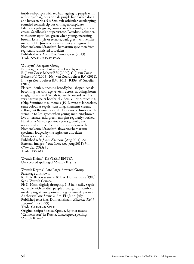inside red-purple with red bar (ageing to purple with red-purple bar), outside pale purple but darker along and between ribs,  $5 \times 5$ cm, sub-orbicular, overlapping, rounded towards tip but with apex cuspidate. Filaments pale green; connectives brownish; anthers cream. Seedheads not persistent. Deciduous climber, with stems up to 3m, green when young, maturing brown. Lvs simple or ternate, dark green, with entire margins. FL: June–Sept on current year's growth. Nomenclatural Standard: herbarium specimen from registrant submitted to Leiden Published refs: *J*. *van Zoest nurserycat*. (2013) Trade: Star Of Pakistan

#### 'Zotrym' Atragene Group

Parentage: known but not disclosed by registrant R: J. van Zoest Beheer B.V. (2000), G: J. van Zoest Beheer B.V. (2006), N: J. van Zoest Beheer B.V. (2011), <sup>I</sup>: J. van Zoest Beheer B.V. (2011), REG: W. Snoeijer (2012)

Fls semi-double, opening broadly bell-shaped, sepals becoming flat with age, 4–6cm across, nodding, borne singly, not scented. Sepals 4; purple, outside with a very narrow, paler border;  $4 \times 2$ cm, elliptic, touching, ribby. Staminodes numerous (15+), ovate to lanceolate, same colour as sepals, 4cm long. Filaments creamy yellow, but fls usually sterile. Deciduous climber with stems up to 2m, green when young, maturing brown. Lvs bi-ternate, mid-green, margins regularly toothed. FL: April–May on previous year's growth, with occasional summer fls on current year's growth. Nomenclatural Standard: flowering herbarium specimen lodged by the registrant at Leiden University herbarium Published refs: *J*. *van Zoest cat*. (Aug 2011): 22 External images: *J*. *van Zoest cat*. (Aug 2011): 34;

*Clem*. *Int*. *2013*: 31 Trade: Try Me

'Zvezda Krima' REVISED ENTRY Unaccepted spelling of 'Zvezda Kryma'

'Zvezda Kryma' Late Large-flowered Group Parentage unknown R: M.A. Beskaravainaya & E.A. Doniushkina (1985) Syns: 'Zvezda Crimea' Fls 8–10cm, slightly drooping, 1–3 in lf-axils. Sepals 4, purple with reddish purple at margins, rhomboid, overlapping at base, pointed, edges twisted upwards. Anthers yellow. Stems 2–3m. FL: June–July. Published refs: E.A. Doniushkina in *Zhurnal* '*Kviti Ykraini'* (Oct 1999) Trade: Crimean Star Original script: Звезда Крыма. Epithet means "Crimean star" in Russia. Unaccepted spelling: 'Zvezda Krima'.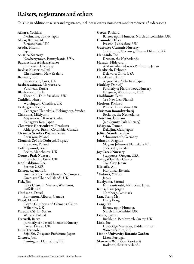### Raisers, registrants and others

This list, in addition to raisers and registrants, includes selectors, nominants and introducers (  $^\dagger$  = deceased)

Aihara, Yoshiaki Nerima-ku, Tokyo, Japan Allen, Bernard M. Birmingham, UK Asada, Hisashi Japan Asiatica Nursery Newberrytown, Pennsylvania, USA Baumschule Adrian Straver Emmerich, Germany Bayliss Nurseries Ltd Christchurch, New Zealand Bennett, Tom Ingatestone, Essex, UK Beskaravainaya, Margarita A. Voronezh, Russia Blackwood, Freda Thornhill, Dumfriesshire, UK Caddick, Harry Warrington, Cheshire, UK Cedergren, Krister Cedergren Plantskola, Helsingborg, Sweden Chikuma, Mikiyoshi Miyamae-ku, Kawasaki-shi, Kanagawa Ken, Japan Clearview Horticultural Products Aldergrove, British Columbia, Canada Clematis Szkółka Pojemnikowa Pruszków, Poland Clematis Źródło Dobrych Pnączy Pruszków, Poland Collingwood, Brian Eccles, Manchester, UK County Park Nursery Hornchurch, Essex, UK Doniushkina, E.A. Former USSR Evison, Raymond J. Guernsey Clematis Nursery, St Sampson, Guernsey, Channel Islands, UK Fisk, Jim Fisk's Clematis Nursery, Wessleton, Suffolk, UK Flathman, David Edmonton, Alberta, Canada Floyd, Marcel Floyd's Climbers and Clematis, Calne, Wiltshire, UK Franczak SJ, Br. Stefan Warsaw, Poland Fretwell, Barry (formerly of) Peveril Clematis Nursery, Exeter, Devon, UK Fujii, Terunobu Sōja-Shi, Okayama Prefecture, Japan Gittoes, Jack Lymington, Hampshire, UK

Green, Richard Barrow upon Humber, North Lincolnshire, UK Grounds, Harry Preston, Lancashire, UK Guernsey Clematis Nursery St Sampson, Guernsey, Channel Islands, UK Hannink, Ton Drunen, the Netherlands Harada, Hideyasu Asakura-shi, Fukuoka Prefecture, Japan Hardwick, Deborah Delaware, Ohio, USA Hayakawa, Hiroshi Anjoo City, Aichi Ken, Japan Hinkley, Daniel J. Formerly of Heronswood Nursery, Kingston, Washington, USA Hoddinott, Peter (see New Leaf Plants) Hodson, Richard Preston, Lancashire, UK Huisman Boomkwekerij Boskoop, the Netherlands Hutchins, Graham (see County Park Nursery) Ishiguro, Tsuneo Kakajima Gun, Japan Jelitto Staudensamen Schwarmstedt, Germany Johnson, Magnus Magnus Johnson's Plantskola AB, Södertälje, Sweden Joy Creek Nursery Scappoose, Oregon, USA Kasugai Garden Centre Toki City, Japan Kivistik, Aili <sup>†</sup>Kubota, Yoshio Japan Kuriyama, Satomi Ichinomiya-shi, Aichi Ken, Japan Kuus, Hans Jørgen Nordborg, Denmark Lan, Tsang Mei Hong Kong Lang, Ian Barrow upon Humber, North Lincolnshire, UK Leeds, Everett Buckland, Betchworth, Surrey, UK Link, Joe Haybridge Nurseries, Kidderminster, Worcestershire, UK Lisbon University Botanic Garden Lison, Portugal Marco de Wit Boomkwekerij Boskoop, the Netherlands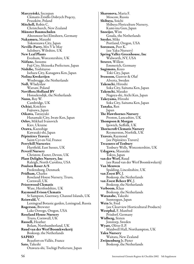Marczyński, Szczepan Clematis Źródło Dobrych Pnączy, Pruszków, Poland Mitchell, Robin C. Christchurch, New Zealand Münster Baumschulen Altenmoor bei Elmshorn, Germany Nakamura, Masashi Tokorozawa City, Japan Neville-Parry, Mrs V le May Salisbury, Wiltshire, UK New Leaf Plants Evesham, Worcestershire, UK Niifune, Susumu Fuji City, Shizuoka Prefecture, Japan Nishibe, Yoshitaroo Isehara City, Kanagawa Ken, Japan Nolina Kwekerijen Woubrugge, the Netherlands Noll, Władysław Warsaw, Poland Noviflora Holland BV Honselersdijk, the Netherlands Nunn, Roy W. Cambridge, UK Ochiai, Koichiro Fujisawa, Japan Oikawa, Tatsuyuki Hanamaki City, Iwate Ken, Japan Orlov, Mikhail Ivanovich Kiev, Ukraine Ozawa, Kazushige Kawasaki-shi, Japan Pépinières Travers Saint-Cyr-en-Val, France Perryhill Nurseries Hartfield, East Sussex, UK Peveril Nursery Christow, Exeter, Devon, UK Plant Delights Nursery, Inc Raleigh, North Carolina, USA Poulsen Roser A/S Fredensborg, Denmark Pridham, Charles Roseland House Nursery, Truro, Cornwall, UK Priorswood Clematis Ware, Hertfordshire, UK Raymond Evison Clematis St Sampson, Guernsey, Channel Islands, UK Reinwald, V. Leningrad Botanic garden, Leningrad, Russia Rogerson, Brewster Lake Oswego, Oregon, USA Roseland House Nursery Truro, Cornwall, UK Russell, Heather Bolam, Northumberland, UK Ruud van der Werf Boomkwekerij Boskoop, the Netherlands SAPHO Beaufort-en-Vallée, France Sato, Takeshi Otawara-shi, Tochigi Prefecture, Japan

Sharonova, Maria F. Moscow, Russia Shibuya, Soichi Shibuya Floriculture Nursery, Kami-ina Gun, Japan Snoeijer, Wim Gouda, the Netherlands Snyder, Mike Portland, Oregon, USA Sorensen, Peer K. (see Yaku Nursery) Spring Valley Greenhouse, Inc Walworth, NY, USA Straver, Willem Emmerich, Germany Sugimoto, Kozo Toki City, Japan Svensson, Gunvor & Olaf Alverta, Sweden Takeuchi, Hiroshi Soka City, Saitama Ken, Japan Takeuchi, Masako Nagoya-shi, Aichi Ken, Japan Takeyama, Hiroshi Soka City, Saitama Ken, Japan Tanaka, Ren Japan The Hawthornes Nursery Preston, Lancashire, UK Thompson & Morgan Ipswich, Suffolk, UK Thorncroft Clematis Nursery Reymerston, Norfolk, UK Travers, Raymond (see Pépinières Travers) Treasures of Tenbury Tenbury Wells, Worcestershire, UK Udagawa, Masatake Tokyo, Japan van der Werf, Ruud (see Ruud van der Werf Boomkwekerij) Van Meuwen Spalding, Lincolnshire, UK van Zoest BV, J. Boskoop, the Netherlands van Zoest Beheer BV, J. Boskoop, the Netherlands Verboom, Klaas Boskoop, the Netherlands Watanabe, Takeshi Suntoogun, Japan Wein Sr, Fred (see Clearview Horticultural Products) Westphal, F. Manfred Prisdorf, Germany Widberg, Sixten Jonstorp, Sweden Wyatt, Oliver E.P. Maidwell Hall, Northampton, UK Yaku Nursery Waitara, New Zealand Zwijnenburg Jr, Pieter Boskoop, the Netherlands